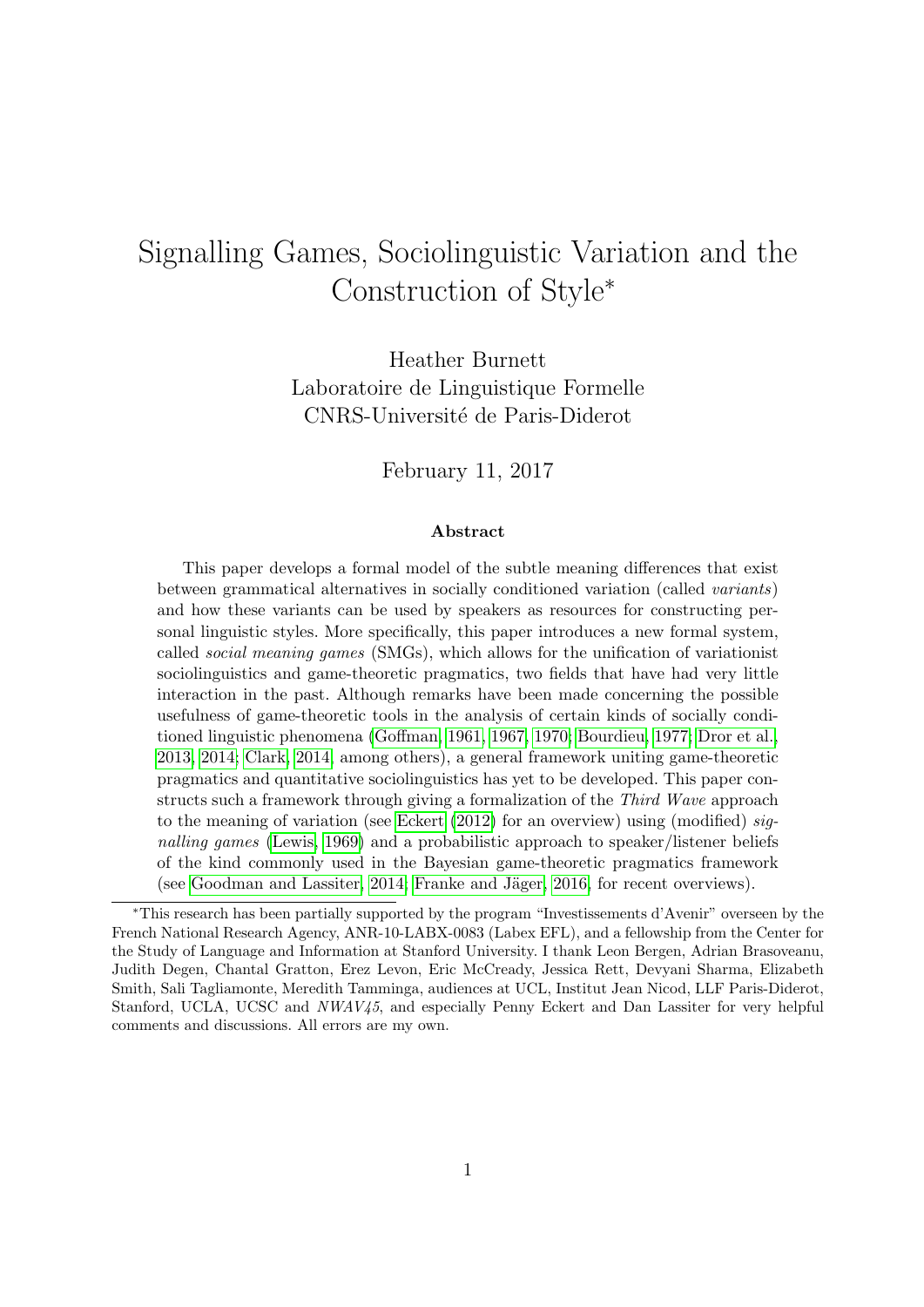# Signalling Games, Sociolinguistic Variation and the Construction of Style<sup>∗</sup>

Heather Burnett Laboratoire de Linguistique Formelle CNRS-Universit´e de Paris-Diderot

February 11, 2017

#### Abstract

This paper develops a formal model of the subtle meaning differences that exist between grammatical alternatives in socially conditioned variation (called variants) and how these variants can be used by speakers as resources for constructing personal linguistic styles. More specifically, this paper introduces a new formal system, called social meaning games (SMGs), which allows for the unification of variationist sociolinguistics and game-theoretic pragmatics, two fields that have had very little interaction in the past. Although remarks have been made concerning the possible usefulness of game-theoretic tools in the analysis of certain kinds of socially conditioned linguistic phenomena [\(Goffman, 1961,](#page-39-0) [1967,](#page-39-1) [1970;](#page-39-2) [Bourdieu, 1977;](#page-36-0) [Dror et al.,](#page-38-0) [2013,](#page-38-0) [2014;](#page-38-1) [Clark, 2014,](#page-38-2) among others), a general framework uniting game-theoretic pragmatics and quantitative sociolinguistics has yet to be developed. This paper constructs such a framework through giving a formalization of the Third Wave approach to the meaning of variation (see [Eckert](#page-39-3) [\(2012\)](#page-39-3) for an overview) using (modified) signalling games [\(Lewis, 1969\)](#page-41-0) and a probabilistic approach to speaker/listener beliefs of the kind commonly used in the Bayesian game-theoretic pragmatics framework (see [Goodman and Lassiter, 2014;](#page-39-4) Franke and Jäger, 2016, for recent overviews).

<sup>∗</sup>This research has been partially supported by the program "Investissements d'Avenir" overseen by the French National Research Agency, ANR-10-LABX-0083 (Labex EFL), and a fellowship from the Center for the Study of Language and Information at Stanford University. I thank Leon Bergen, Adrian Brasoveanu, Judith Degen, Chantal Gratton, Erez Levon, Eric McCready, Jessica Rett, Devyani Sharma, Elizabeth Smith, Sali Tagliamonte, Meredith Tamminga, audiences at UCL, Institut Jean Nicod, LLF Paris-Diderot, Stanford, UCLA, UCSC and NWAV45, and especially Penny Eckert and Dan Lassiter for very helpful comments and discussions. All errors are my own.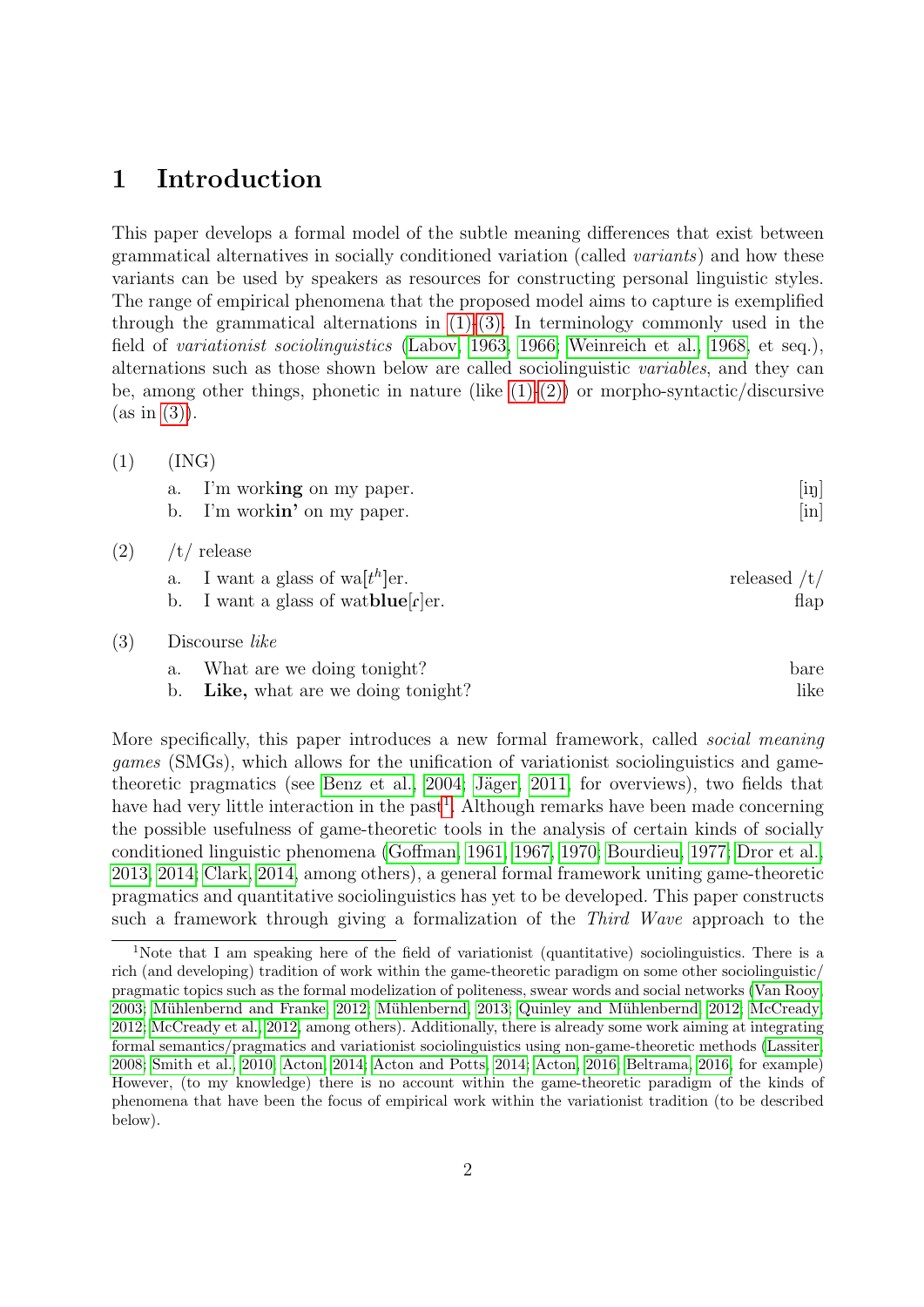### 1 Introduction

This paper develops a formal model of the subtle meaning differences that exist between grammatical alternatives in socially conditioned variation (called variants) and how these variants can be used by speakers as resources for constructing personal linguistic styles. The range of empirical phenomena that the proposed model aims to capture is exemplified through the grammatical alternations in  $(1)-(3)$ . In terminology commonly used in the field of variationist sociolinguistics [\(Labov, 1963,](#page-40-0) [1966;](#page-40-1) [Weinreich et al., 1968,](#page-44-0) et seq.), alternations such as those shown below are called sociolinguistic variables, and they can be, among other things, phonetic in nature (like  $(1)-(2)$ ) or morpho-syntactic/discursive  $(as in (3)).$  $(as in (3)).$  $(as in (3)).$ 

<span id="page-1-4"></span><span id="page-1-0"></span> $(1)$   $(ING)$ 

<span id="page-1-2"></span> $(2)$ 

<span id="page-1-1"></span> $(3)$ 

<span id="page-1-5"></span>a. I'm working on my paper. [in] b. I'm workin' on my paper. [in] a. I want a glass of wa[t h ]er. released /t/ b. I want a glass of watblue[f]er. flap

|  | a. What are we doing tonight? | bare |
|--|-------------------------------|------|
|  |                               |      |

b. Like, what are we doing tonight?

More specifically, this paper introduces a new formal framework, called social meaning games (SMGs), which allows for the unification of variationist sociolinguistics and gametheoretic pragmatics (see Benz et al.,  $2004$ ; Jäger,  $2011$ , for overviews), two fields that have had very little interaction in the past<sup>[1](#page-1-3)</sup>. Although remarks have been made concerning the possible usefulness of game-theoretic tools in the analysis of certain kinds of socially conditioned linguistic phenomena [\(Goffman, 1961,](#page-39-0) [1967,](#page-39-1) [1970;](#page-39-2) [Bourdieu, 1977;](#page-36-0) [Dror et al.,](#page-38-0) [2013,](#page-38-0) [2014;](#page-38-1) [Clark, 2014,](#page-38-2) among others), a general formal framework uniting game-theoretic pragmatics and quantitative sociolinguistics has yet to be developed. This paper constructs such a framework through giving a formalization of the Third Wave approach to the

<span id="page-1-3"></span><sup>1</sup>Note that I am speaking here of the field of variationist (quantitative) sociolinguistics. There is a rich (and developing) tradition of work within the game-theoretic paradigm on some other sociolinguistic/ pragmatic topics such as the formal modelization of politeness, swear words and social networks [\(Van Rooy,](#page-44-1) [2003;](#page-44-1) Mühlenbernd and Franke, 2012; Mühlenbernd, 2013; Quinley and Mühlenbernd, 2012; [McCready,](#page-41-1) [2012;](#page-41-1) [McCready et al., 2012,](#page-41-2) among others). Additionally, there is already some work aiming at integrating formal semantics/pragmatics and variationist sociolinguistics using non-game-theoretic methods [\(Lassiter,](#page-41-3) [2008;](#page-41-3) [Smith et al., 2010;](#page-43-0) [Acton, 2014;](#page-35-0) [Acton and Potts, 2014;](#page-35-1) [Acton, 2016;](#page-35-2) [Beltrama, 2016,](#page-36-2) for example) However, (to my knowledge) there is no account within the game-theoretic paradigm of the kinds of phenomena that have been the focus of empirical work within the variationist tradition (to be described below).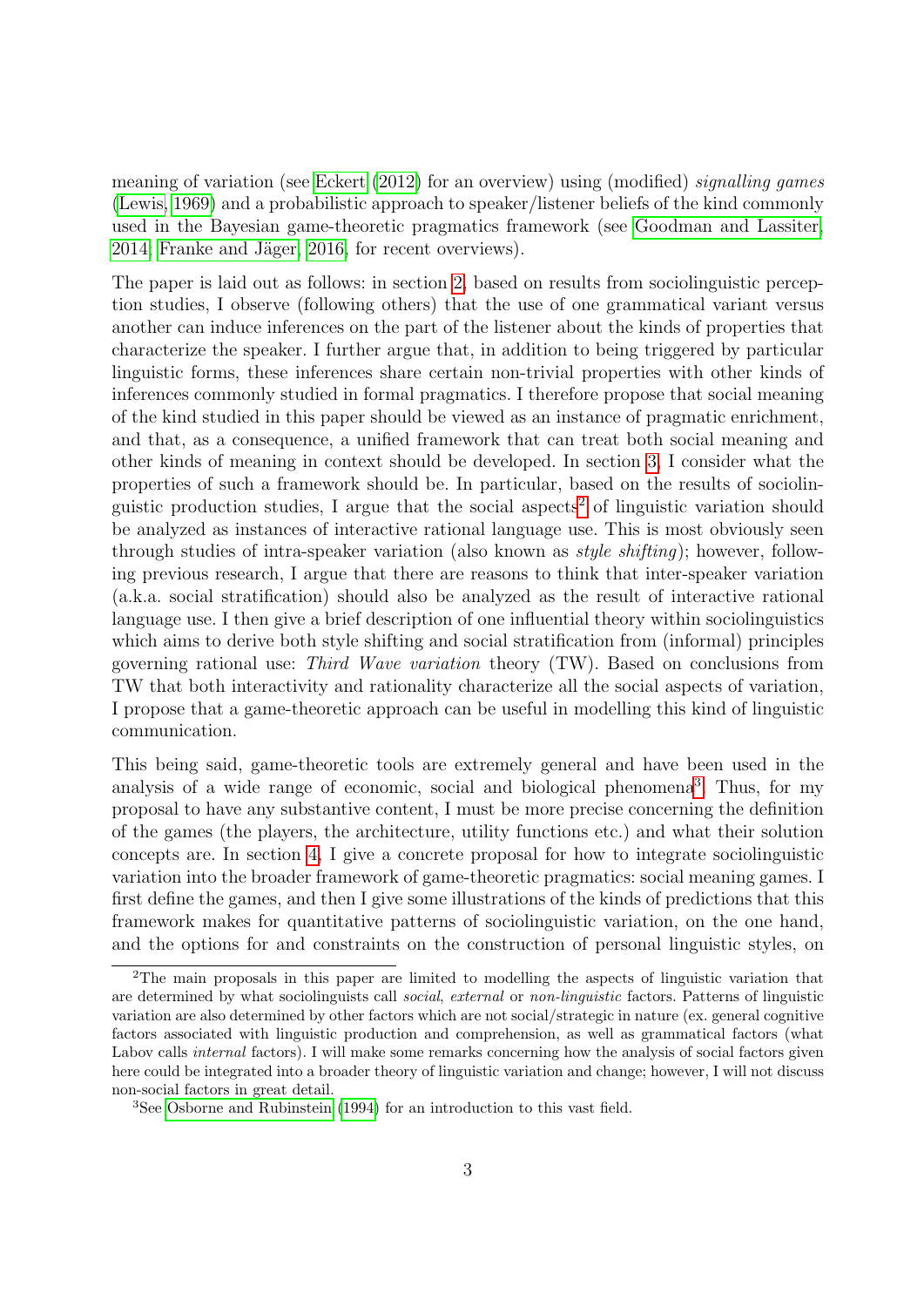meaning of variation (see [Eckert](#page-39-3) [\(2012\)](#page-39-3) for an overview) using (modified) signalling games [\(Lewis, 1969\)](#page-41-0) and a probabilistic approach to speaker/listener beliefs of the kind commonly used in the Bayesian game-theoretic pragmatics framework (see [Goodman and Lassiter,](#page-39-4) [2014;](#page-39-4) Franke and Jäger, 2016, for recent overviews).

The paper is laid out as follows: in section [2,](#page-3-0) based on results from sociolinguistic perception studies, I observe (following others) that the use of one grammatical variant versus another can induce inferences on the part of the listener about the kinds of properties that characterize the speaker. I further argue that, in addition to being triggered by particular linguistic forms, these inferences share certain non-trivial properties with other kinds of inferences commonly studied in formal pragmatics. I therefore propose that social meaning of the kind studied in this paper should be viewed as an instance of pragmatic enrichment, and that, as a consequence, a unified framework that can treat both social meaning and other kinds of meaning in context should be developed. In section [3,](#page-9-0) I consider what the properties of such a framework should be. In particular, based on the results of sociolin-guistic production studies, I argue that the social aspects<sup>[2](#page-2-0)</sup> of linguistic variation should be analyzed as instances of interactive rational language use. This is most obviously seen through studies of intra-speaker variation (also known as style shifting); however, following previous research, I argue that there are reasons to think that inter-speaker variation (a.k.a. social stratification) should also be analyzed as the result of interactive rational language use. I then give a brief description of one influential theory within sociolinguistics which aims to derive both style shifting and social stratification from (informal) principles governing rational use: Third Wave variation theory (TW). Based on conclusions from TW that both interactivity and rationality characterize all the social aspects of variation, I propose that a game-theoretic approach can be useful in modelling this kind of linguistic communication.

This being said, game-theoretic tools are extremely general and have been used in the analysis of a wide range of economic, social and biological phenomena<sup>[3](#page-2-1)</sup>. Thus, for my proposal to have any substantive content, I must be more precise concerning the definition of the games (the players, the architecture, utility functions etc.) and what their solution concepts are. In section [4,](#page-17-0) I give a concrete proposal for how to integrate sociolinguistic variation into the broader framework of game-theoretic pragmatics: social meaning games. I first define the games, and then I give some illustrations of the kinds of predictions that this framework makes for quantitative patterns of sociolinguistic variation, on the one hand, and the options for and constraints on the construction of personal linguistic styles, on

<span id="page-2-0"></span><sup>2</sup>The main proposals in this paper are limited to modelling the aspects of linguistic variation that are determined by what sociolinguists call social, external or non-linguistic factors. Patterns of linguistic variation are also determined by other factors which are not social/strategic in nature (ex. general cognitive factors associated with linguistic production and comprehension, as well as grammatical factors (what Labov calls *internal* factors). I will make some remarks concerning how the analysis of social factors given here could be integrated into a broader theory of linguistic variation and change; however, I will not discuss non-social factors in great detail.

<span id="page-2-1"></span><sup>&</sup>lt;sup>3</sup>See [Osborne and Rubinstein](#page-42-3) [\(1994\)](#page-42-3) for an introduction to this vast field.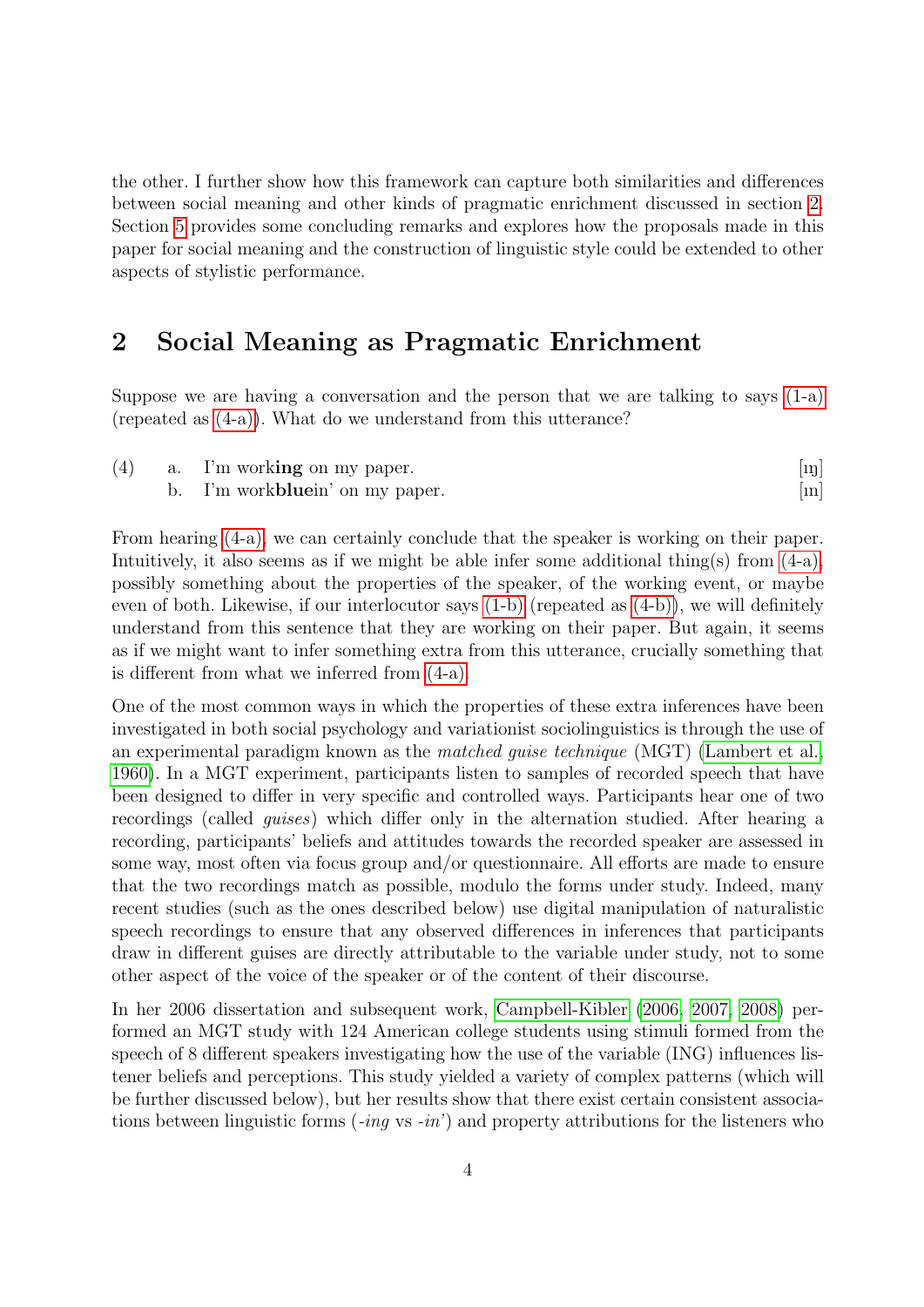the other. I further show how this framework can capture both similarities and differences between social meaning and other kinds of pragmatic enrichment discussed in section [2.](#page-3-0) Section [5](#page-34-0) provides some concluding remarks and explores how the proposals made in this paper for social meaning and the construction of linguistic style could be extended to other aspects of stylistic performance.

# <span id="page-3-0"></span>2 Social Meaning as Pragmatic Enrichment

Suppose we are having a conversation and the person that we are talking to says  $(1-a)$ (repeated as [\(4-a\)\)](#page-3-1). What do we understand from this utterance?

<span id="page-3-2"></span><span id="page-3-1"></span>

| (4) | a. I'm working on my paper.           | $[\mathbf{u}$           |
|-----|---------------------------------------|-------------------------|
|     | I'm work <b>blue</b> in' on my paper. | $\left[\text{m}\right]$ |

From hearing [\(4-a\),](#page-3-1) we can certainly conclude that the speaker is working on their paper. Intuitively, it also seems as if we might be able infer some additional thing(s) from  $(4-a)$ , possibly something about the properties of the speaker, of the working event, or maybe even of both. Likewise, if our interlocutor says [\(1-b\)](#page-1-5) (repeated as [\(4-b\)\)](#page-3-2), we will definitely understand from this sentence that they are working on their paper. But again, it seems as if we might want to infer something extra from this utterance, crucially something that is different from what we inferred from [\(4-a\).](#page-3-1)

One of the most common ways in which the properties of these extra inferences have been investigated in both social psychology and variationist sociolinguistics is through the use of an experimental paradigm known as the matched guise technique (MGT) [\(Lambert et al.,](#page-40-3) [1960\)](#page-40-3). In a MGT experiment, participants listen to samples of recorded speech that have been designed to differ in very specific and controlled ways. Participants hear one of two recordings (called guises) which differ only in the alternation studied. After hearing a recording, participants' beliefs and attitudes towards the recorded speaker are assessed in some way, most often via focus group and/or questionnaire. All efforts are made to ensure that the two recordings match as possible, modulo the forms under study. Indeed, many recent studies (such as the ones described below) use digital manipulation of naturalistic speech recordings to ensure that any observed differences in inferences that participants draw in different guises are directly attributable to the variable under study, not to some other aspect of the voice of the speaker or of the content of their discourse.

In her 2006 dissertation and subsequent work, [Campbell-Kibler](#page-37-0) [\(2006,](#page-37-0) [2007,](#page-37-1) [2008\)](#page-37-2) performed an MGT study with 124 American college students using stimuli formed from the speech of 8 different speakers investigating how the use of the variable (ING) influences listener beliefs and perceptions. This study yielded a variety of complex patterns (which will be further discussed below), but her results show that there exist certain consistent associations between linguistic forms  $(-ing \text{ vs } -in')$  and property attributions for the listeners who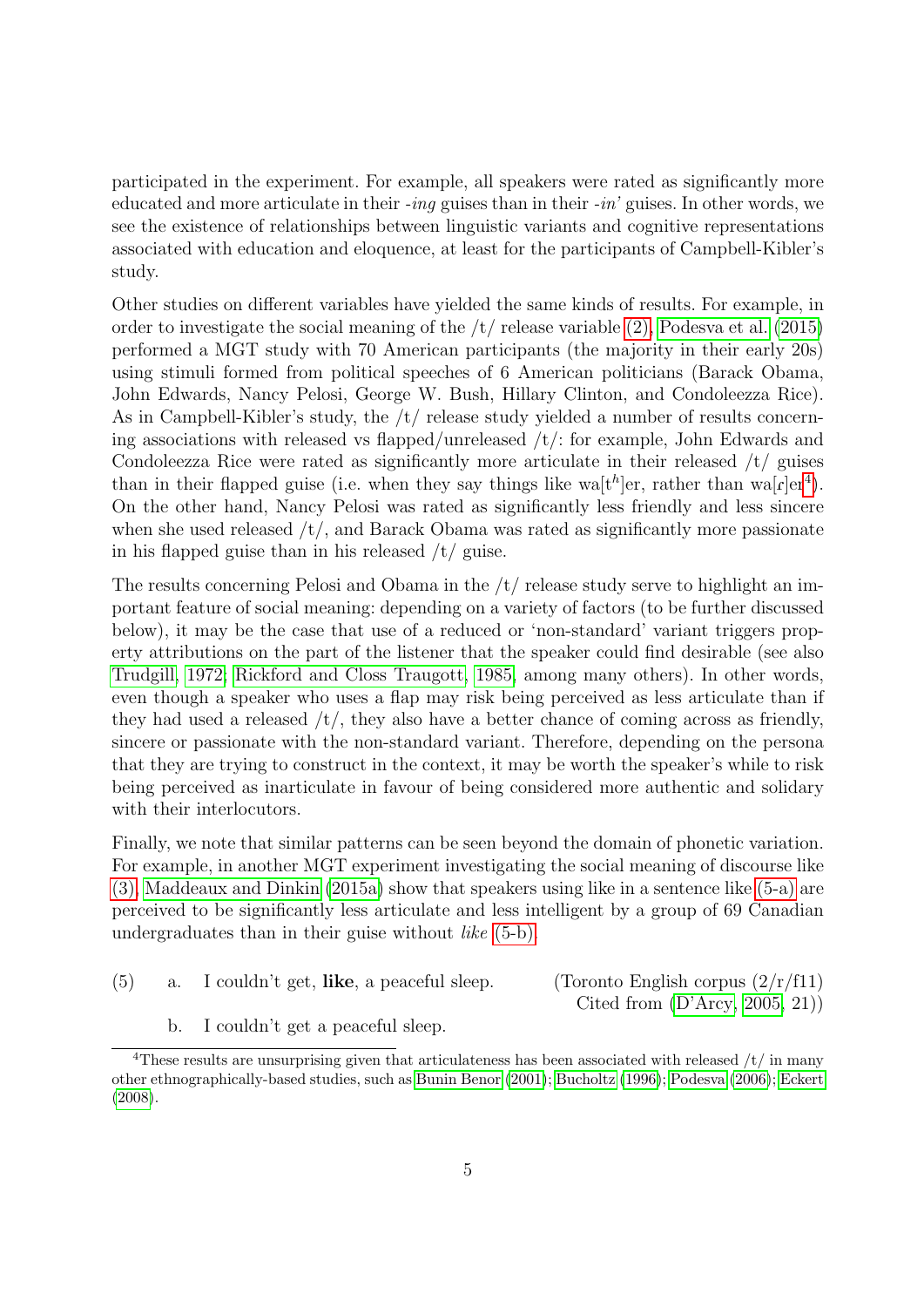participated in the experiment. For example, all speakers were rated as significantly more educated and more articulate in their  $-i\eta q$  guises than in their  $-i\eta'$  guises. In other words, we see the existence of relationships between linguistic variants and cognitive representations associated with education and eloquence, at least for the participants of Campbell-Kibler's study.

Other studies on different variables have yielded the same kinds of results. For example, in order to investigate the social meaning of the  $/t/$  release variable  $(2)$ , [Podesva et al.](#page-42-4)  $(2015)$ performed a MGT study with 70 American participants (the majority in their early 20s) using stimuli formed from political speeches of 6 American politicians (Barack Obama, John Edwards, Nancy Pelosi, George W. Bush, Hillary Clinton, and Condoleezza Rice). As in Campbell-Kibler's study, the /t/ release study yielded a number of results concerning associations with released vs flapped/unreleased /t/: for example, John Edwards and Condoleezza Rice were rated as significantly more articulate in their released /t/ guises than in their flapped guise (i.e. when they say things like wa<sup>[th</sup>]er, rather than wa<sup>[c]</sup>er<sup>[4](#page-4-0)</sup>). On the other hand, Nancy Pelosi was rated as significantly less friendly and less sincere when she used released  $/t/$ , and Barack Obama was rated as significantly more passionate in his flapped guise than in his released /t/ guise.

The results concerning Pelosi and Obama in the /t/ release study serve to highlight an important feature of social meaning: depending on a variety of factors (to be further discussed below), it may be the case that use of a reduced or 'non-standard' variant triggers property attributions on the part of the listener that the speaker could find desirable (see also [Trudgill, 1972;](#page-44-2) [Rickford and Closs Traugott, 1985,](#page-43-1) among many others). In other words, even though a speaker who uses a flap may risk being perceived as less articulate than if they had used a released  $/t/$ , they also have a better chance of coming across as friendly, sincere or passionate with the non-standard variant. Therefore, depending on the persona that they are trying to construct in the context, it may be worth the speaker's while to risk being perceived as inarticulate in favour of being considered more authentic and solidary with their interlocutors.

Finally, we note that similar patterns can be seen beyond the domain of phonetic variation. For example, in another MGT experiment investigating the social meaning of discourse like [\(3\),](#page-1-1) [Maddeaux and Dinkin](#page-41-4) [\(2015a\)](#page-41-4) show that speakers using like in a sentence like [\(5-a\)](#page-4-1) are perceived to be significantly less articulate and less intelligent by a group of 69 Canadian undergraduates than in their guise without like [\(5-b\).](#page-4-2)

<span id="page-4-1"></span>(5) a. I couldn't get, like, a peaceful sleep. (Toronto English corpus  $\left(2/\frac{r}{f11}\right)$ 

Cited from [\(D'Arcy, 2005,](#page-38-3) 21))

b. I couldn't get a peaceful sleep.

<span id="page-4-2"></span><span id="page-4-0"></span><sup>&</sup>lt;sup>4</sup>These results are unsurprising given that articulateness has been associated with released  $/t/m$  many other ethnographically-based studies, such as [Bunin Benor](#page-37-3) [\(2001\)](#page-37-3); [Bucholtz](#page-36-3) [\(1996\)](#page-36-3); [Podesva](#page-42-5) [\(2006\)](#page-42-5); [Eckert](#page-39-6) [\(2008\)](#page-39-6).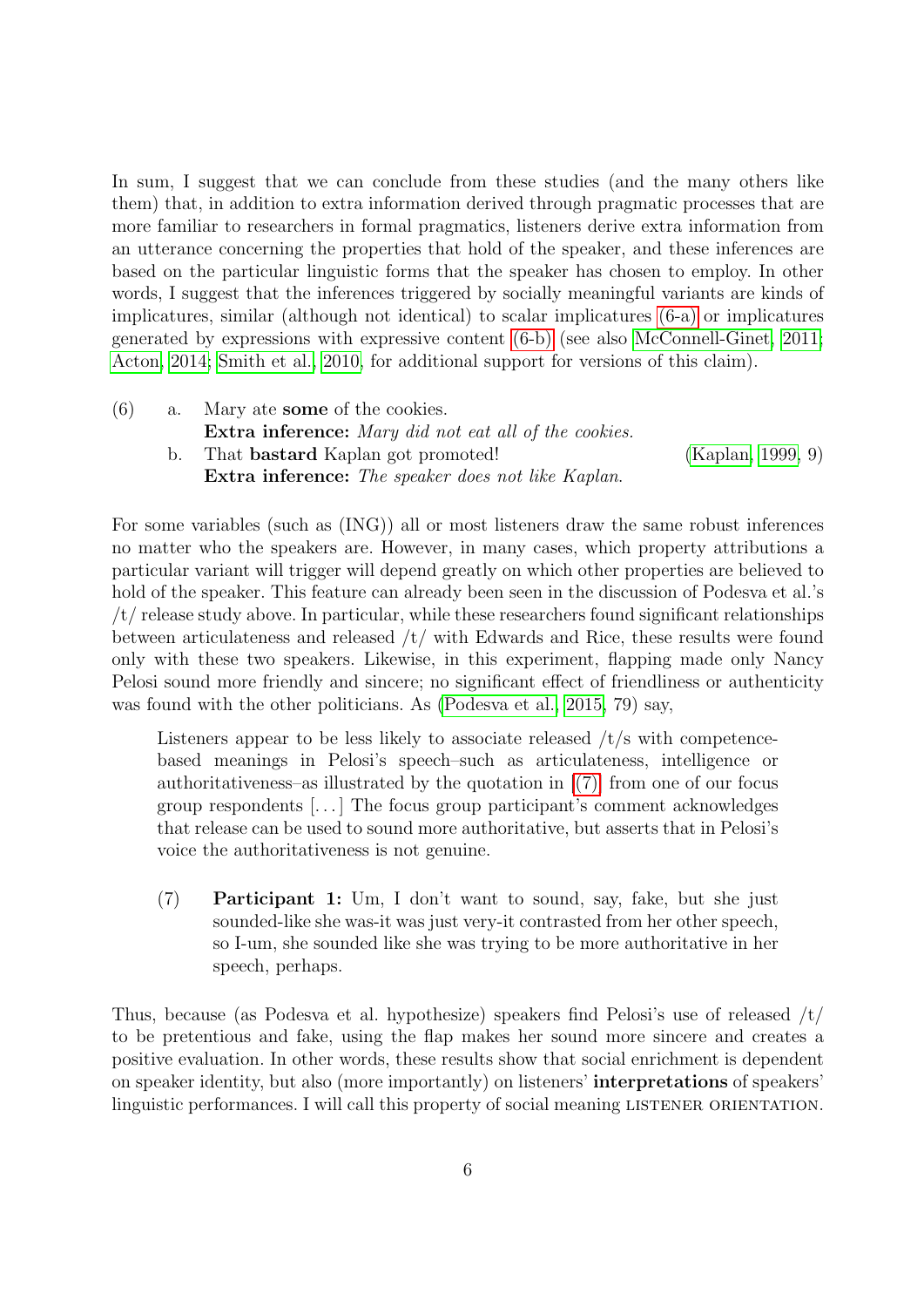In sum, I suggest that we can conclude from these studies (and the many others like them) that, in addition to extra information derived through pragmatic processes that are more familiar to researchers in formal pragmatics, listeners derive extra information from an utterance concerning the properties that hold of the speaker, and these inferences are based on the particular linguistic forms that the speaker has chosen to employ. In other words, I suggest that the inferences triggered by socially meaningful variants are kinds of implicatures, similar (although not identical) to scalar implicatures [\(6-a\)](#page-5-0) or implicatures generated by expressions with expressive content [\(6-b\)](#page-5-1) (see also [McConnell-Ginet, 2011;](#page-41-5) [Acton, 2014;](#page-35-0) [Smith et al., 2010,](#page-43-0) for additional support for versions of this claim).

<span id="page-5-1"></span><span id="page-5-0"></span>(6) a. Mary ate some of the cookies. Extra inference: Mary did not eat all of the cookies. b. That bastard Kaplan got promoted! [\(Kaplan, 1999,](#page-40-4) 9) Extra inference: The speaker does not like Kaplan.

For some variables (such as (ING)) all or most listeners draw the same robust inferences no matter who the speakers are. However, in many cases, which property attributions a particular variant will trigger will depend greatly on which other properties are believed to hold of the speaker. This feature can already been seen in the discussion of Podesva et al.'s /t/ release study above. In particular, while these researchers found significant relationships between articulateness and released /t/ with Edwards and Rice, these results were found only with these two speakers. Likewise, in this experiment, flapping made only Nancy Pelosi sound more friendly and sincere; no significant effect of friendliness or authenticity was found with the other politicians. As [\(Podesva et al., 2015,](#page-42-4) 79) say,

Listeners appear to be less likely to associate released /t/s with competencebased meanings in Pelosi's speech–such as articulateness, intelligence or authoritativeness–as illustrated by the quotation in  $[(7)]$  from one of our focus group respondents [. . . ] The focus group participant's comment acknowledges that release can be used to sound more authoritative, but asserts that in Pelosi's voice the authoritativeness is not genuine.

<span id="page-5-2"></span>(7) Participant 1: Um, I don't want to sound, say, fake, but she just sounded-like she was-it was just very-it contrasted from her other speech, so I-um, she sounded like she was trying to be more authoritative in her speech, perhaps.

Thus, because (as Podesva et al. hypothesize) speakers find Pelosi's use of released /t/ to be pretentious and fake, using the flap makes her sound more sincere and creates a positive evaluation. In other words, these results show that social enrichment is dependent on speaker identity, but also (more importantly) on listeners' interpretations of speakers' linguistic performances. I will call this property of social meaning LISTENER ORIENTATION.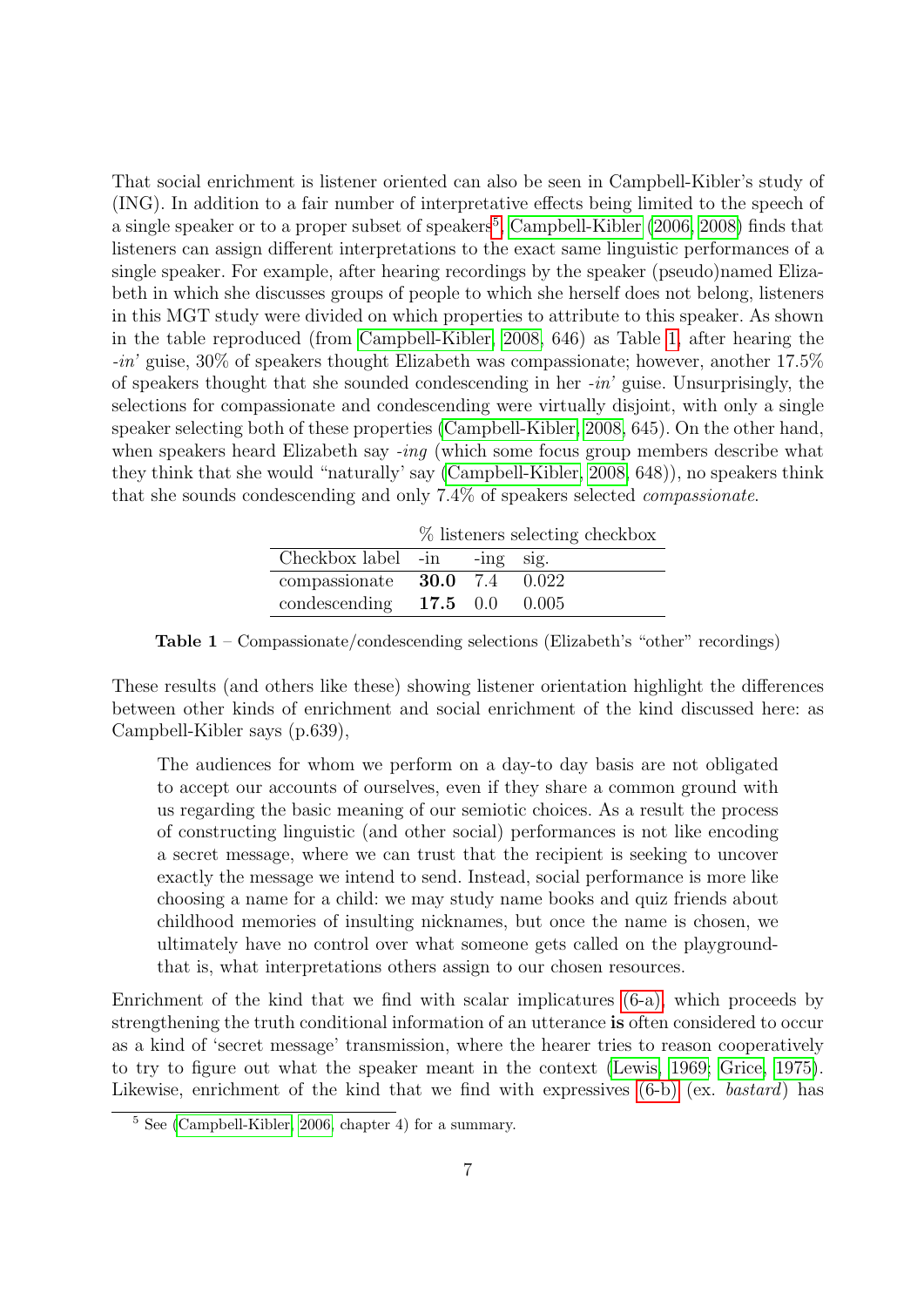That social enrichment is listener oriented can also be seen in Campbell-Kibler's study of (ING). In addition to a fair number of interpretative effects being limited to the speech of a single speaker or to a proper subset of speakers<sup>[5](#page-6-0)</sup>, [Campbell-Kibler](#page-37-0) [\(2006,](#page-37-0) [2008\)](#page-37-2) finds that listeners can assign different interpretations to the exact same linguistic performances of a single speaker. For example, after hearing recordings by the speaker (pseudo)named Elizabeth in which she discusses groups of people to which she herself does not belong, listeners in this MGT study were divided on which properties to attribute to this speaker. As shown in the table reproduced (from [Campbell-Kibler, 2008,](#page-37-2) 646) as Table [1,](#page-6-1) after hearing the -in' guise, 30% of speakers thought Elizabeth was compassionate; however, another 17.5% of speakers thought that she sounded condescending in her  $-in'$  guise. Unsurprisingly, the selections for compassionate and condescending were virtually disjoint, with only a single speaker selecting both of these properties [\(Campbell-Kibler, 2008,](#page-37-2) 645). On the other hand, when speakers heard Elizabeth say -ing (which some focus group members describe what they think that she would "naturally' say [\(Campbell-Kibler, 2008,](#page-37-2) 648)), no speakers think that she sounds condescending and only 7.4% of speakers selected compassionate.

% listeners selecting checkbox Checkbox label -in -ing sig. compassionate 30.0 7.4 0.022 condescending 17.5 0.0 0.005

<span id="page-6-1"></span>Table 1 – Compassionate/condescending selections (Elizabeth's "other" recordings)

These results (and others like these) showing listener orientation highlight the differences between other kinds of enrichment and social enrichment of the kind discussed here: as Campbell-Kibler says (p.639),

The audiences for whom we perform on a day-to day basis are not obligated to accept our accounts of ourselves, even if they share a common ground with us regarding the basic meaning of our semiotic choices. As a result the process of constructing linguistic (and other social) performances is not like encoding a secret message, where we can trust that the recipient is seeking to uncover exactly the message we intend to send. Instead, social performance is more like choosing a name for a child: we may study name books and quiz friends about childhood memories of insulting nicknames, but once the name is chosen, we ultimately have no control over what someone gets called on the playgroundthat is, what interpretations others assign to our chosen resources.

Enrichment of the kind that we find with scalar implicatures [\(6-a\),](#page-5-0) which proceeds by strengthening the truth conditional information of an utterance is often considered to occur as a kind of 'secret message' transmission, where the hearer tries to reason cooperatively to try to figure out what the speaker meant in the context [\(Lewis, 1969;](#page-41-0) [Grice, 1975\)](#page-40-5). Likewise, enrichment of the kind that we find with expressives  $(6-b)$  (ex. bastard) has

<span id="page-6-0"></span> $5 \text{ See } (Cambell-Kibler, 2006, chapter 4)$  for a summary.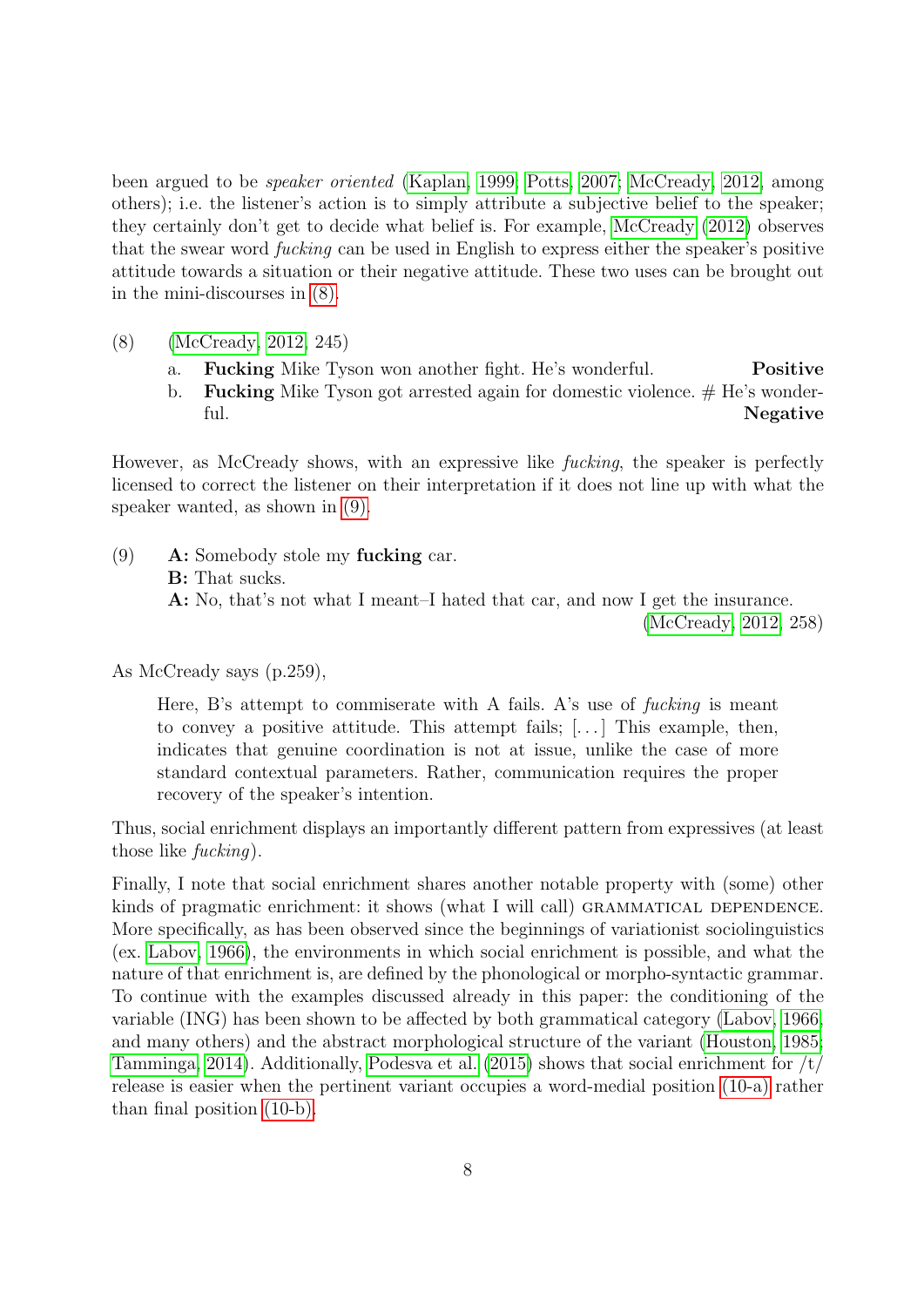been argued to be speaker oriented [\(Kaplan, 1999;](#page-40-4) [Potts, 2007;](#page-42-6) [McCready, 2012,](#page-41-1) among others); i.e. the listener's action is to simply attribute a subjective belief to the speaker; they certainly don't get to decide what belief is. For example, [McCready](#page-41-1) [\(2012\)](#page-41-1) observes that the swear word fucking can be used in English to express either the speaker's positive attitude towards a situation or their negative attitude. These two uses can be brought out in the mini-discourses in [\(8\).](#page-7-0)

- <span id="page-7-0"></span>(8) [\(McCready, 2012,](#page-41-1) 245)
	- a. Fucking Mike Tyson won another fight. He's wonderful. Positive
	- b. **Fucking** Mike Tyson got arrested again for domestic violence.  $#$  He's wonderful. Negative

However, as McCready shows, with an expressive like fucking, the speaker is perfectly licensed to correct the listener on their interpretation if it does not line up with what the speaker wanted, as shown in [\(9\).](#page-7-1)

<span id="page-7-1"></span>(9) A: Somebody stole my fucking car. B: That sucks. A: No, that's not what I meant–I hated that car, and now I get the insurance. [\(McCready, 2012,](#page-41-1) 258)

As McCready says (p.259),

Here, B's attempt to commiserate with A fails. A's use of fucking is meant to convey a positive attitude. This attempt fails;  $[\ldots]$  This example, then, indicates that genuine coordination is not at issue, unlike the case of more standard contextual parameters. Rather, communication requires the proper recovery of the speaker's intention.

Thus, social enrichment displays an importantly different pattern from expressives (at least those like fucking).

Finally, I note that social enrichment shares another notable property with (some) other kinds of pragmatic enrichment: it shows (what I will call) GRAMMATICAL DEPENDENCE. More specifically, as has been observed since the beginnings of variationist sociolinguistics (ex. [Labov, 1966\)](#page-40-1), the environments in which social enrichment is possible, and what the nature of that enrichment is, are defined by the phonological or morpho-syntactic grammar. To continue with the examples discussed already in this paper: the conditioning of the variable (ING) has been shown to be affected by both grammatical category [\(Labov, 1966,](#page-40-1) and many others) and the abstract morphological structure of the variant [\(Houston, 1985;](#page-40-6) [Tamminga, 2014\)](#page-43-2). Additionally, [Podesva et al.](#page-42-4) [\(2015\)](#page-42-4) shows that social enrichment for  $/t/$ release is easier when the pertinent variant occupies a word-medial position [\(10-a\)](#page-8-0) rather than final position [\(10-b\).](#page-8-1)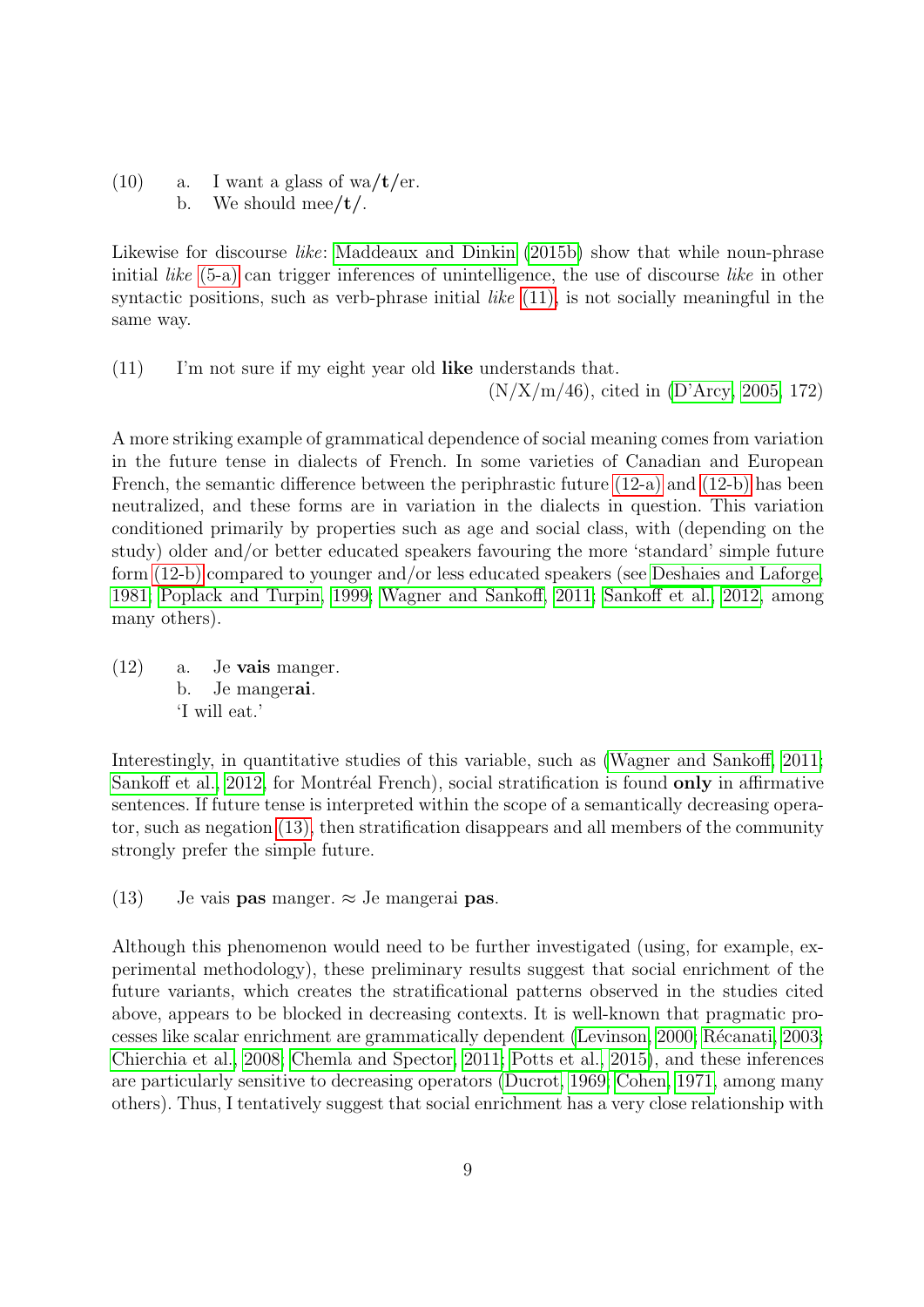<span id="page-8-1"></span><span id="page-8-0"></span> $(10)$  a. I want a glass of wa/t/er. b. We should mee/ $t$ /.

Likewise for discourse *like*: [Maddeaux and Dinkin](#page-41-6) [\(2015b\)](#page-41-6) show that while noun-phrase initial *like* [\(5-a\)](#page-4-1) can trigger inferences of unintelligence, the use of discourse *like* in other syntactic positions, such as verb-phrase initial *like*  $(11)$ , is not socially meaningful in the same way.

<span id="page-8-2"></span>(11) I'm not sure if my eight year old like understands that.  $(N/X/m/46)$ , cited in [\(D'Arcy, 2005,](#page-38-3) 172)

A more striking example of grammatical dependence of social meaning comes from variation in the future tense in dialects of French. In some varieties of Canadian and European French, the semantic difference between the periphrastic future [\(12-a\)](#page-8-3) and [\(12-b\)](#page-8-4) has been neutralized, and these forms are in variation in the dialects in question. This variation conditioned primarily by properties such as age and social class, with (depending on the study) older and/or better educated speakers favouring the more 'standard' simple future form [\(12-b\)](#page-8-4) compared to younger and/or less educated speakers (see [Deshaies and Laforge,](#page-38-4) [1981;](#page-38-4) [Poplack and Turpin, 1999;](#page-42-7) [Wagner and Sankoff, 2011;](#page-44-3) [Sankoff et al., 2012,](#page-43-3) among many others).

<span id="page-8-4"></span><span id="page-8-3"></span> $(12)$  a. Je **vais** manger. b. Je mangerai. 'I will eat.'

Interestingly, in quantitative studies of this variable, such as [\(Wagner and Sankoff, 2011;](#page-44-3) [Sankoff et al., 2012,](#page-43-3) for Montréal French), social stratification is found only in affirmative sentences. If future tense is interpreted within the scope of a semantically decreasing operator, such as negation [\(13\),](#page-8-5) then stratification disappears and all members of the community strongly prefer the simple future.

<span id="page-8-5"></span>(13) Je vais **pas** manger.  $\approx$  Je mangerai **pas**.

Although this phenomenon would need to be further investigated (using, for example, experimental methodology), these preliminary results suggest that social enrichment of the future variants, which creates the stratificational patterns observed in the studies cited above, appears to be blocked in decreasing contexts. It is well-known that pragmatic pro-cesses like scalar enrichment are grammatically dependent [\(Levinson, 2000;](#page-41-7) Récanati, 2003; [Chierchia et al., 2008;](#page-37-4) [Chemla and Spector, 2011;](#page-37-5) [Potts et al., 2015\)](#page-42-8), and these inferences are particularly sensitive to decreasing operators [\(Ducrot, 1969;](#page-38-5) [Cohen, 1971,](#page-38-6) among many others). Thus, I tentatively suggest that social enrichment has a very close relationship with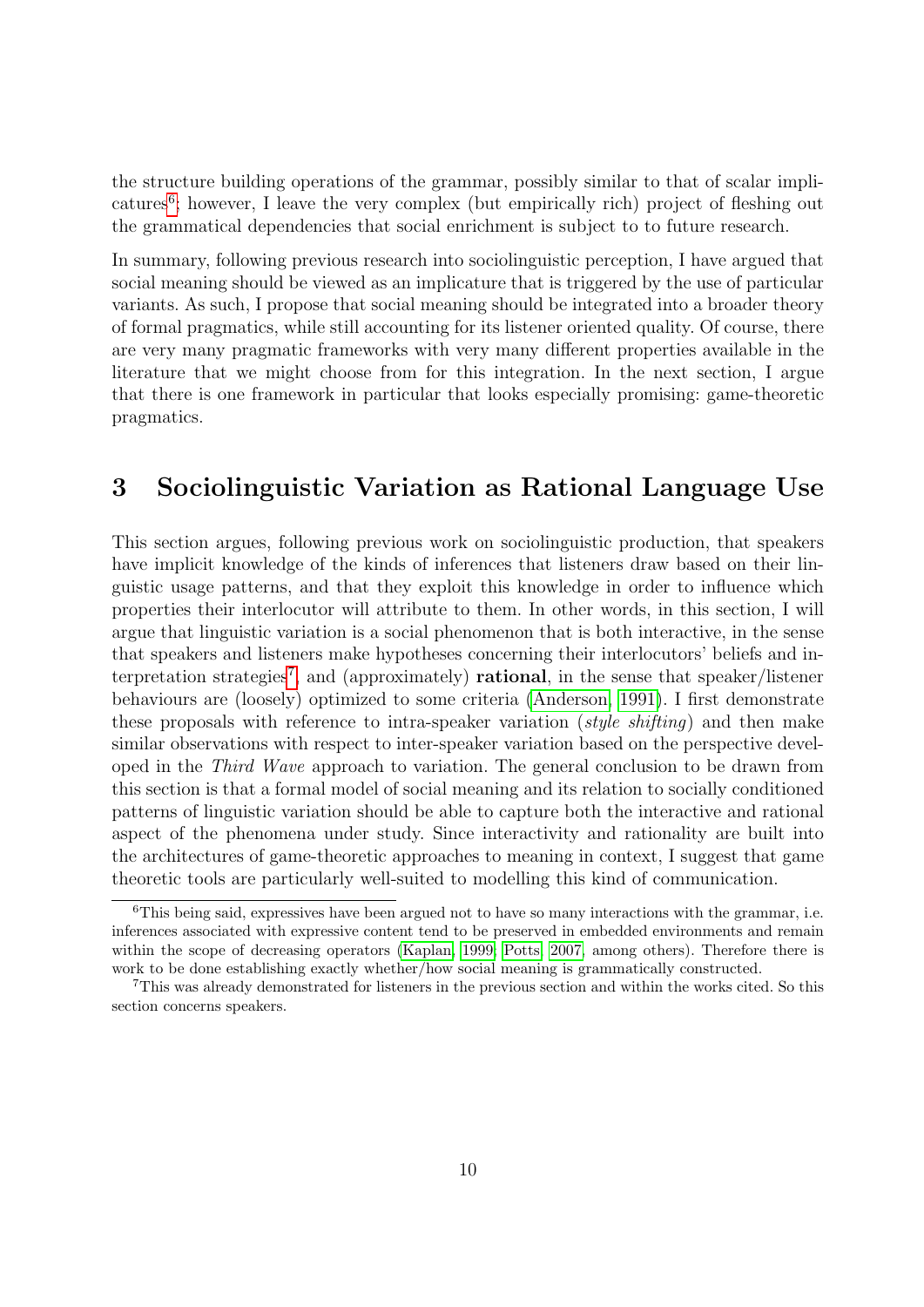the structure building operations of the grammar, possibly similar to that of scalar impli-catures<sup>[6](#page-9-1)</sup>; however, I leave the very complex (but empirically rich) project of fleshing out the grammatical dependencies that social enrichment is subject to to future research.

In summary, following previous research into sociolinguistic perception, I have argued that social meaning should be viewed as an implicature that is triggered by the use of particular variants. As such, I propose that social meaning should be integrated into a broader theory of formal pragmatics, while still accounting for its listener oriented quality. Of course, there are very many pragmatic frameworks with very many different properties available in the literature that we might choose from for this integration. In the next section, I argue that there is one framework in particular that looks especially promising: game-theoretic pragmatics.

# <span id="page-9-0"></span>3 Sociolinguistic Variation as Rational Language Use

This section argues, following previous work on sociolinguistic production, that speakers have implicit knowledge of the kinds of inferences that listeners draw based on their linguistic usage patterns, and that they exploit this knowledge in order to influence which properties their interlocutor will attribute to them. In other words, in this section, I will argue that linguistic variation is a social phenomenon that is both interactive, in the sense that speakers and listeners make hypotheses concerning their interlocutors' beliefs and in-terpretation strategies<sup>[7](#page-9-2)</sup>, and (approximately) **rational**, in the sense that speaker/listener behaviours are (loosely) optimized to some criteria [\(Anderson, 1991\)](#page-36-4). I first demonstrate these proposals with reference to intra-speaker variation (style shifting) and then make similar observations with respect to inter-speaker variation based on the perspective developed in the Third Wave approach to variation. The general conclusion to be drawn from this section is that a formal model of social meaning and its relation to socially conditioned patterns of linguistic variation should be able to capture both the interactive and rational aspect of the phenomena under study. Since interactivity and rationality are built into the architectures of game-theoretic approaches to meaning in context, I suggest that game theoretic tools are particularly well-suited to modelling this kind of communication.

<span id="page-9-1"></span> $6$ This being said, expressives have been argued not to have so many interactions with the grammar, i.e. inferences associated with expressive content tend to be preserved in embedded environments and remain within the scope of decreasing operators [\(Kaplan, 1999;](#page-40-4) [Potts, 2007,](#page-42-6) among others). Therefore there is work to be done establishing exactly whether/how social meaning is grammatically constructed.

<span id="page-9-2"></span><sup>7</sup>This was already demonstrated for listeners in the previous section and within the works cited. So this section concerns speakers.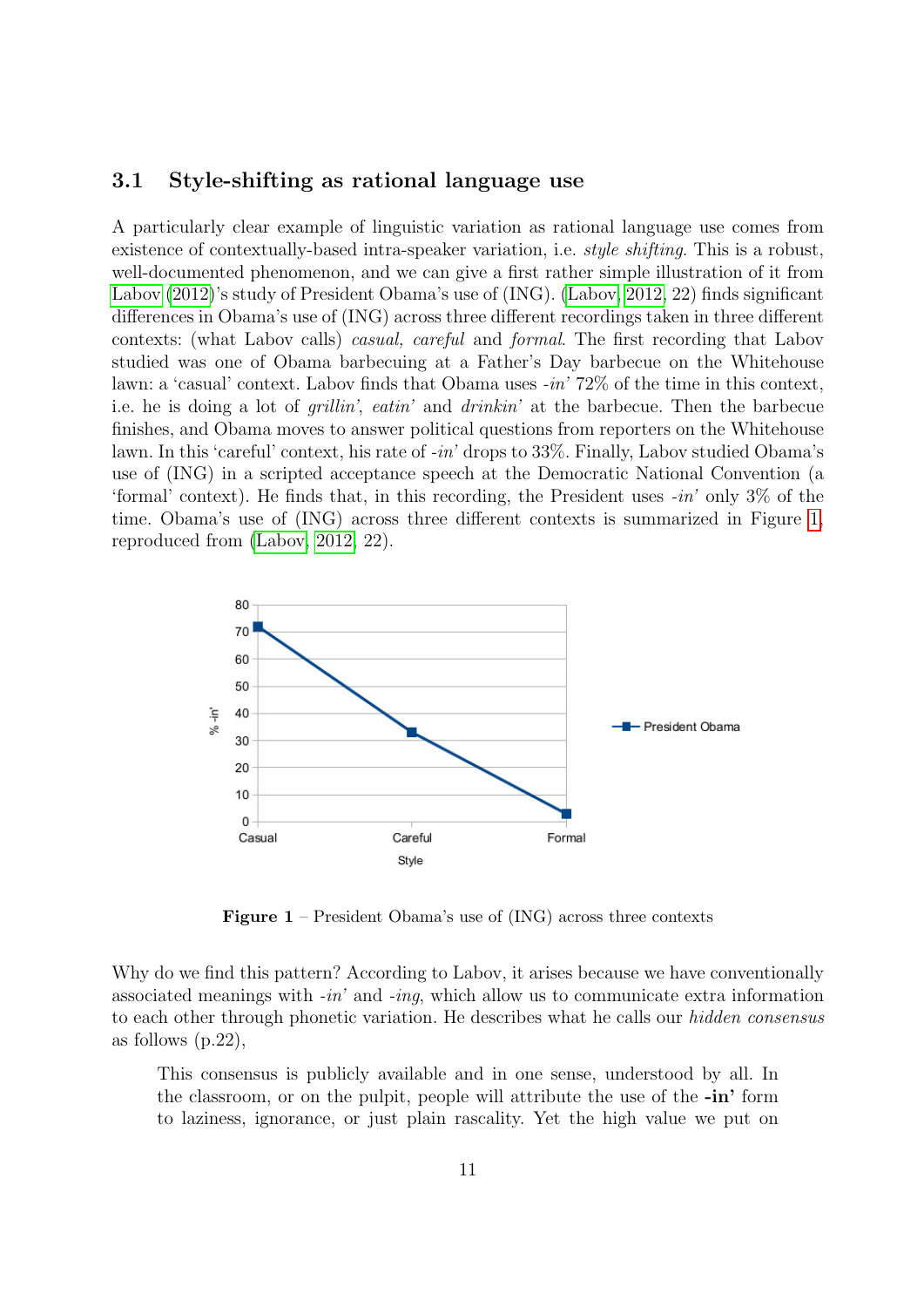### 3.1 Style-shifting as rational language use

A particularly clear example of linguistic variation as rational language use comes from existence of contextually-based intra-speaker variation, i.e. *style shifting*. This is a robust, well-documented phenomenon, and we can give a first rather simple illustration of it from [Labov](#page-40-7) [\(2012\)](#page-40-7)'s study of President Obama's use of (ING). [\(Labov, 2012,](#page-40-7) 22) finds significant differences in Obama's use of (ING) across three different recordings taken in three different contexts: (what Labov calls) casual, careful and formal. The first recording that Labov studied was one of Obama barbecuing at a Father's Day barbecue on the Whitehouse lawn: a 'casual' context. Labov finds that Obama uses -in' 72% of the time in this context, i.e. he is doing a lot of grillin', eatin' and drinkin' at the barbecue. Then the barbecue finishes, and Obama moves to answer political questions from reporters on the Whitehouse lawn. In this 'careful' context, his rate of -in' drops to 33%. Finally, Labov studied Obama's use of (ING) in a scripted acceptance speech at the Democratic National Convention (a 'formal' context). He finds that, in this recording, the President uses  $-in'$  only 3% of the time. Obama's use of (ING) across three different contexts is summarized in Figure [1,](#page-10-0) reproduced from [\(Labov, 2012,](#page-40-7) 22).

<span id="page-10-0"></span>

Figure 1 – President Obama's use of (ING) across three contexts

Why do we find this pattern? According to Labov, it arises because we have conventionally associated meanings with  $-in'$  and  $-inq$ , which allow us to communicate extra information to each other through phonetic variation. He describes what he calls our hidden consensus as follows (p.22),

This consensus is publicly available and in one sense, understood by all. In the classroom, or on the pulpit, people will attribute the use of the -in' form to laziness, ignorance, or just plain rascality. Yet the high value we put on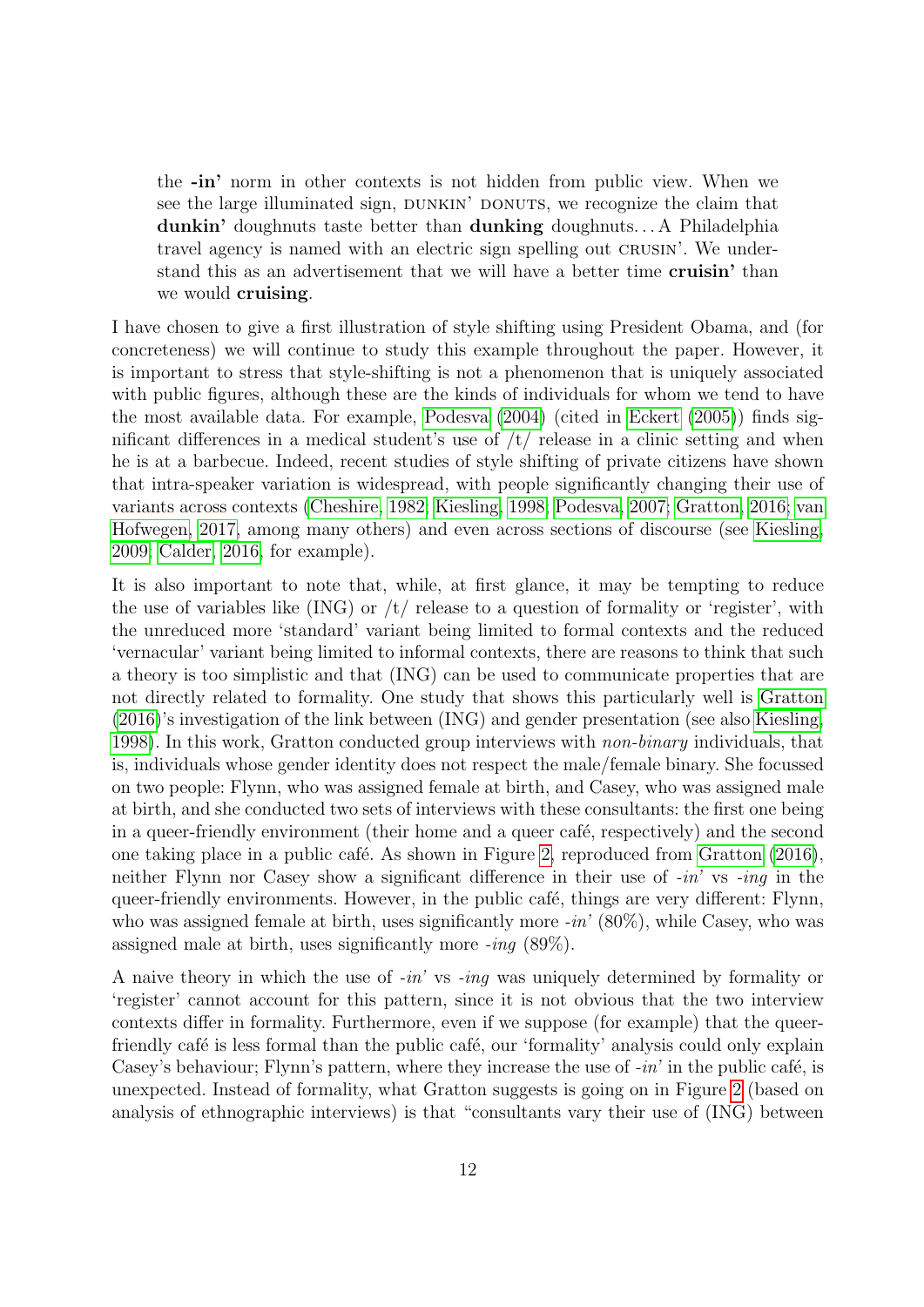the -in' norm in other contexts is not hidden from public view. When we see the large illuminated sign, DUNKIN' DONUTS, we recognize the claim that dunkin' doughnuts taste better than dunking doughnuts. . . A Philadelphia travel agency is named with an electric sign spelling out CRUSIN'. We understand this as an advertisement that we will have a better time cruisin' than we would **cruising**.

I have chosen to give a first illustration of style shifting using President Obama, and (for concreteness) we will continue to study this example throughout the paper. However, it is important to stress that style-shifting is not a phenomenon that is uniquely associated with public figures, although these are the kinds of individuals for whom we tend to have the most available data. For example, [Podesva](#page-42-9) [\(2004\)](#page-42-9) (cited in [Eckert](#page-39-7) [\(2005\)](#page-39-7)) finds significant differences in a medical student's use of  $/t/$  release in a clinic setting and when he is at a barbecue. Indeed, recent studies of style shifting of private citizens have shown that intra-speaker variation is widespread, with people significantly changing their use of variants across contexts [\(Cheshire, 1982;](#page-37-6) [Kiesling, 1998;](#page-40-8) [Podesva, 2007;](#page-42-10) [Gratton, 2016;](#page-39-8) [van](#page-44-4) [Hofwegen, 2017,](#page-44-4) among many others) and even across sections of discourse (see [Kiesling,](#page-40-9) [2009;](#page-40-9) [Calder, 2016,](#page-37-7) for example).

It is also important to note that, while, at first glance, it may be tempting to reduce the use of variables like  $(ING)$  or  $/t/$  release to a question of formality or 'register', with the unreduced more 'standard' variant being limited to formal contexts and the reduced 'vernacular' variant being limited to informal contexts, there are reasons to think that such a theory is too simplistic and that (ING) can be used to communicate properties that are not directly related to formality. One study that shows this particularly well is [Gratton](#page-39-8) [\(2016\)](#page-39-8)'s investigation of the link between (ING) and gender presentation (see also [Kiesling,](#page-40-8) [1998\)](#page-40-8). In this work, Gratton conducted group interviews with non-binary individuals, that is, individuals whose gender identity does not respect the male/female binary. She focussed on two people: Flynn, who was assigned female at birth, and Casey, who was assigned male at birth, and she conducted two sets of interviews with these consultants: the first one being in a queer-friendly environment (their home and a queer café, respectively) and the second one taking place in a public café. As shown in Figure [2,](#page-12-0) reproduced from [Gratton](#page-39-8) [\(2016\)](#page-39-8), neither Flynn nor Casey show a significant difference in their use of  $-in'$  vs  $-inq$  in the queer-friendly environments. However, in the public café, things are very different: Flynn, who was assigned female at birth, uses significantly more  $-in'$  (80%), while Casey, who was assigned male at birth, uses significantly more -ing (89%).

A naive theory in which the use of -in' vs -ing was uniquely determined by formality or 'register' cannot account for this pattern, since it is not obvious that the two interview contexts differ in formality. Furthermore, even if we suppose (for example) that the queerfriendly café is less formal than the public café, our 'formality' analysis could only explain Casey's behaviour; Flynn's pattern, where they increase the use of  $-in'$  in the public café, is unexpected. Instead of formality, what Gratton suggests is going on in Figure [2](#page-12-0) (based on analysis of ethnographic interviews) is that "consultants vary their use of (ING) between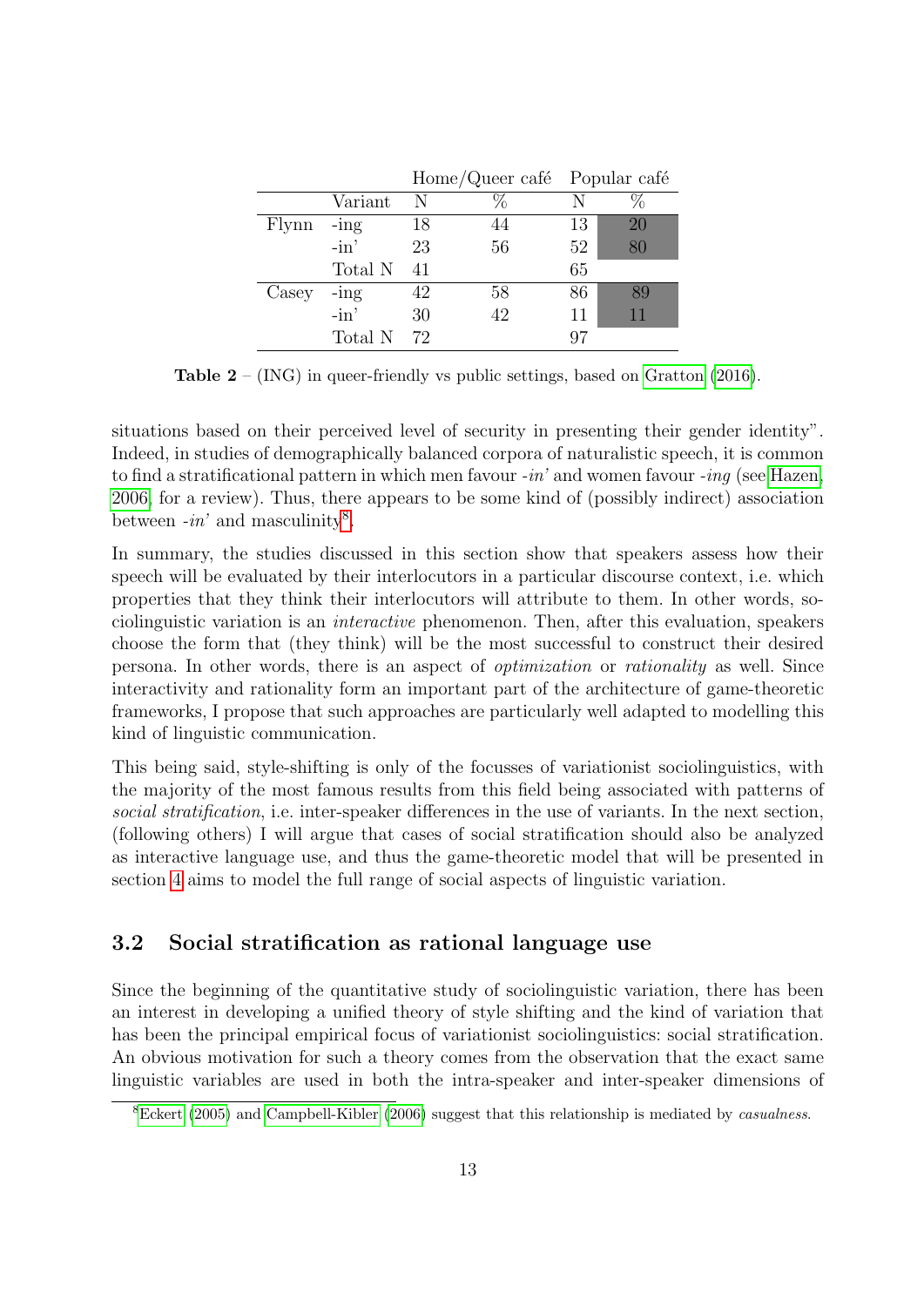<span id="page-12-0"></span>

|       |         |    | Home/Queer café Popular café |    |    |
|-------|---------|----|------------------------------|----|----|
|       | Variant | N  |                              |    |    |
| Flynn | $-$ ing | 18 | 44                           | 13 | 20 |
|       | $-in'$  | 23 | 56                           | 52 | 80 |
|       | Total N | 41 |                              | 65 |    |
| Casey | $-$ ing | 42 | 58                           | 86 | 89 |
|       | $-in'$  | 30 | 42                           | 11 | 11 |
|       | Total N | 72 |                              |    |    |

**Table 2** – (ING) in queer-friendly vs public settings, based on [Gratton](#page-39-8) [\(2016\)](#page-39-8).

situations based on their perceived level of security in presenting their gender identity". Indeed, in studies of demographically balanced corpora of naturalistic speech, it is common to find a stratificational pattern in which men favour  $-in'$  and women favour  $-inq$  (see [Hazen,](#page-40-10) [2006,](#page-40-10) for a review). Thus, there appears to be some kind of (possibly indirect) association between  $-in'$  and masculinity<sup>[8](#page-12-1)</sup>.

In summary, the studies discussed in this section show that speakers assess how their speech will be evaluated by their interlocutors in a particular discourse context, i.e. which properties that they think their interlocutors will attribute to them. In other words, sociolinguistic variation is an interactive phenomenon. Then, after this evaluation, speakers choose the form that (they think) will be the most successful to construct their desired persona. In other words, there is an aspect of optimization or rationality as well. Since interactivity and rationality form an important part of the architecture of game-theoretic frameworks, I propose that such approaches are particularly well adapted to modelling this kind of linguistic communication.

This being said, style-shifting is only of the focusses of variationist sociolinguistics, with the majority of the most famous results from this field being associated with patterns of social stratification, i.e. inter-speaker differences in the use of variants. In the next section, (following others) I will argue that cases of social stratification should also be analyzed as interactive language use, and thus the game-theoretic model that will be presented in section [4](#page-17-0) aims to model the full range of social aspects of linguistic variation.

### 3.2 Social stratification as rational language use

Since the beginning of the quantitative study of sociolinguistic variation, there has been an interest in developing a unified theory of style shifting and the kind of variation that has been the principal empirical focus of variationist sociolinguistics: social stratification. An obvious motivation for such a theory comes from the observation that the exact same linguistic variables are used in both the intra-speaker and inter-speaker dimensions of

<span id="page-12-1"></span><sup>&</sup>lt;sup>8</sup>[Eckert](#page-39-7) [\(2005\)](#page-39-7) and [Campbell-Kibler](#page-37-0) [\(2006\)](#page-37-0) suggest that this relationship is mediated by *casualness*.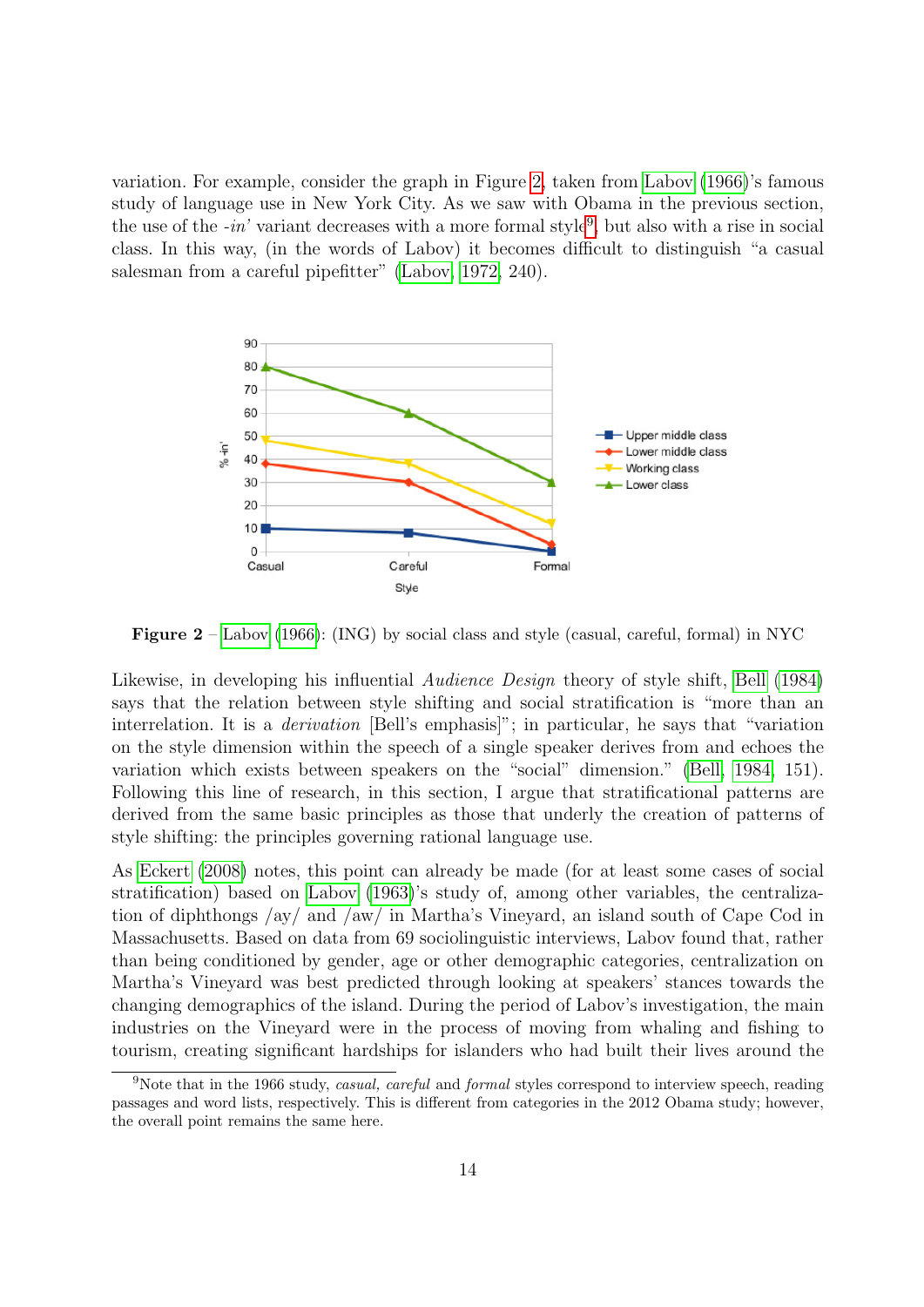variation. For example, consider the graph in Figure [2,](#page-13-0) taken from [Labov](#page-40-1) [\(1966\)](#page-40-1)'s famous study of language use in New York City. As we saw with Obama in the previous section, the use of the  $-in'$  variant decreases with a more formal style<sup>[9](#page-13-1)</sup>, but also with a rise in social class. In this way, (in the words of Labov) it becomes difficult to distinguish "a casual salesman from a careful pipefitter" [\(Labov, 1972,](#page-40-11) 240).

<span id="page-13-0"></span>

**Figure 2** – [Labov](#page-40-1) [\(1966\)](#page-40-1): (ING) by social class and style (casual, careful, formal) in NYC

Likewise, in developing his influential *Audience Design* theory of style shift, [Bell](#page-36-5) [\(1984\)](#page-36-5) says that the relation between style shifting and social stratification is "more than an interrelation. It is a derivation [Bell's emphasis]"; in particular, he says that "variation on the style dimension within the speech of a single speaker derives from and echoes the variation which exists between speakers on the "social" dimension." [\(Bell, 1984,](#page-36-5) 151). Following this line of research, in this section, I argue that stratificational patterns are derived from the same basic principles as those that underly the creation of patterns of style shifting: the principles governing rational language use.

As [Eckert](#page-39-6) [\(2008\)](#page-39-6) notes, this point can already be made (for at least some cases of social stratification) based on [Labov](#page-40-0) [\(1963\)](#page-40-0)'s study of, among other variables, the centralization of diphthongs /ay/ and /aw/ in Martha's Vineyard, an island south of Cape Cod in Massachusetts. Based on data from 69 sociolinguistic interviews, Labov found that, rather than being conditioned by gender, age or other demographic categories, centralization on Martha's Vineyard was best predicted through looking at speakers' stances towards the changing demographics of the island. During the period of Labov's investigation, the main industries on the Vineyard were in the process of moving from whaling and fishing to tourism, creating significant hardships for islanders who had built their lives around the

<span id="page-13-1"></span><sup>9</sup>Note that in the 1966 study, casual, careful and formal styles correspond to interview speech, reading passages and word lists, respectively. This is different from categories in the 2012 Obama study; however, the overall point remains the same here.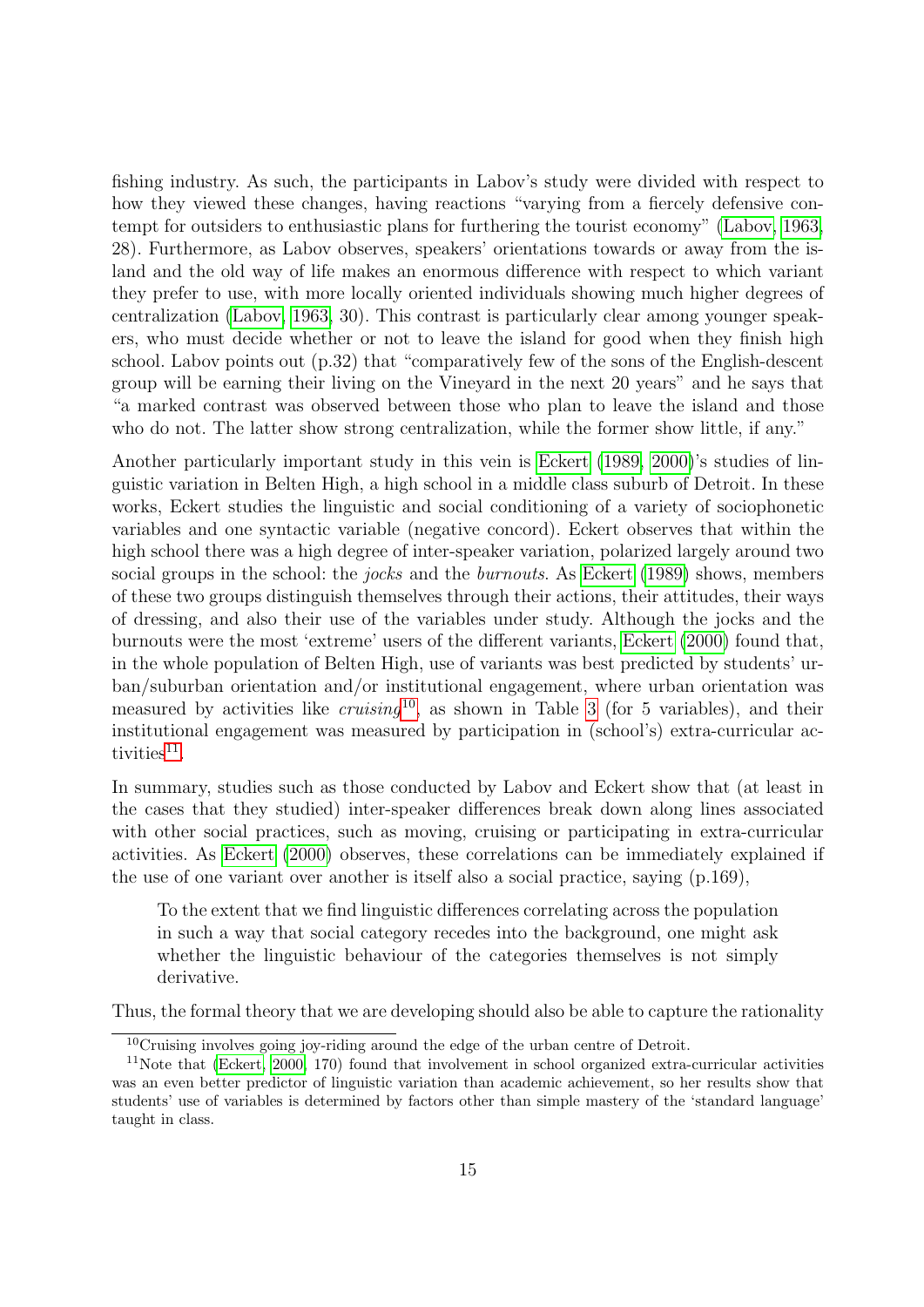fishing industry. As such, the participants in Labov's study were divided with respect to how they viewed these changes, having reactions "varying from a fiercely defensive contempt for outsiders to enthusiastic plans for furthering the tourist economy" [\(Labov, 1963,](#page-40-0) 28). Furthermore, as Labov observes, speakers' orientations towards or away from the island and the old way of life makes an enormous difference with respect to which variant they prefer to use, with more locally oriented individuals showing much higher degrees of centralization [\(Labov, 1963,](#page-40-0) 30). This contrast is particularly clear among younger speakers, who must decide whether or not to leave the island for good when they finish high school. Labov points out (p.32) that "comparatively few of the sons of the English-descent group will be earning their living on the Vineyard in the next 20 years" and he says that "a marked contrast was observed between those who plan to leave the island and those who do not. The latter show strong centralization, while the former show little, if any."

Another particularly important study in this vein is [Eckert](#page-39-9) [\(1989,](#page-39-9) [2000\)](#page-39-10)'s studies of linguistic variation in Belten High, a high school in a middle class suburb of Detroit. In these works, Eckert studies the linguistic and social conditioning of a variety of sociophonetic variables and one syntactic variable (negative concord). Eckert observes that within the high school there was a high degree of inter-speaker variation, polarized largely around two social groups in the school: the *jocks* and the *burnouts*. As [Eckert](#page-39-9) [\(1989\)](#page-39-9) shows, members of these two groups distinguish themselves through their actions, their attitudes, their ways of dressing, and also their use of the variables under study. Although the jocks and the burnouts were the most 'extreme' users of the different variants, [Eckert](#page-39-10) [\(2000\)](#page-39-10) found that, in the whole population of Belten High, use of variants was best predicted by students' urban/suburban orientation and/or institutional engagement, where urban orientation was measured by activities like  $cruising^{10}$  $cruising^{10}$  $cruising^{10}$ , as shown in Table [3](#page-15-0) (for 5 variables), and their institutional engagement was measured by participation in (school's) extra-curricular ac- $tivities<sup>11</sup>$  $tivities<sup>11</sup>$  $tivities<sup>11</sup>$ .

In summary, studies such as those conducted by Labov and Eckert show that (at least in the cases that they studied) inter-speaker differences break down along lines associated with other social practices, such as moving, cruising or participating in extra-curricular activities. As [Eckert](#page-39-10) [\(2000\)](#page-39-10) observes, these correlations can be immediately explained if the use of one variant over another is itself also a social practice, saying (p.169),

To the extent that we find linguistic differences correlating across the population in such a way that social category recedes into the background, one might ask whether the linguistic behaviour of the categories themselves is not simply derivative.

Thus, the formal theory that we are developing should also be able to capture the rationality

<span id="page-14-1"></span><span id="page-14-0"></span><sup>10</sup>Cruising involves going joy-riding around the edge of the urban centre of Detroit.

<sup>11</sup>Note that [\(Eckert, 2000,](#page-39-10) 170) found that involvement in school organized extra-curricular activities was an even better predictor of linguistic variation than academic achievement, so her results show that students' use of variables is determined by factors other than simple mastery of the 'standard language' taught in class.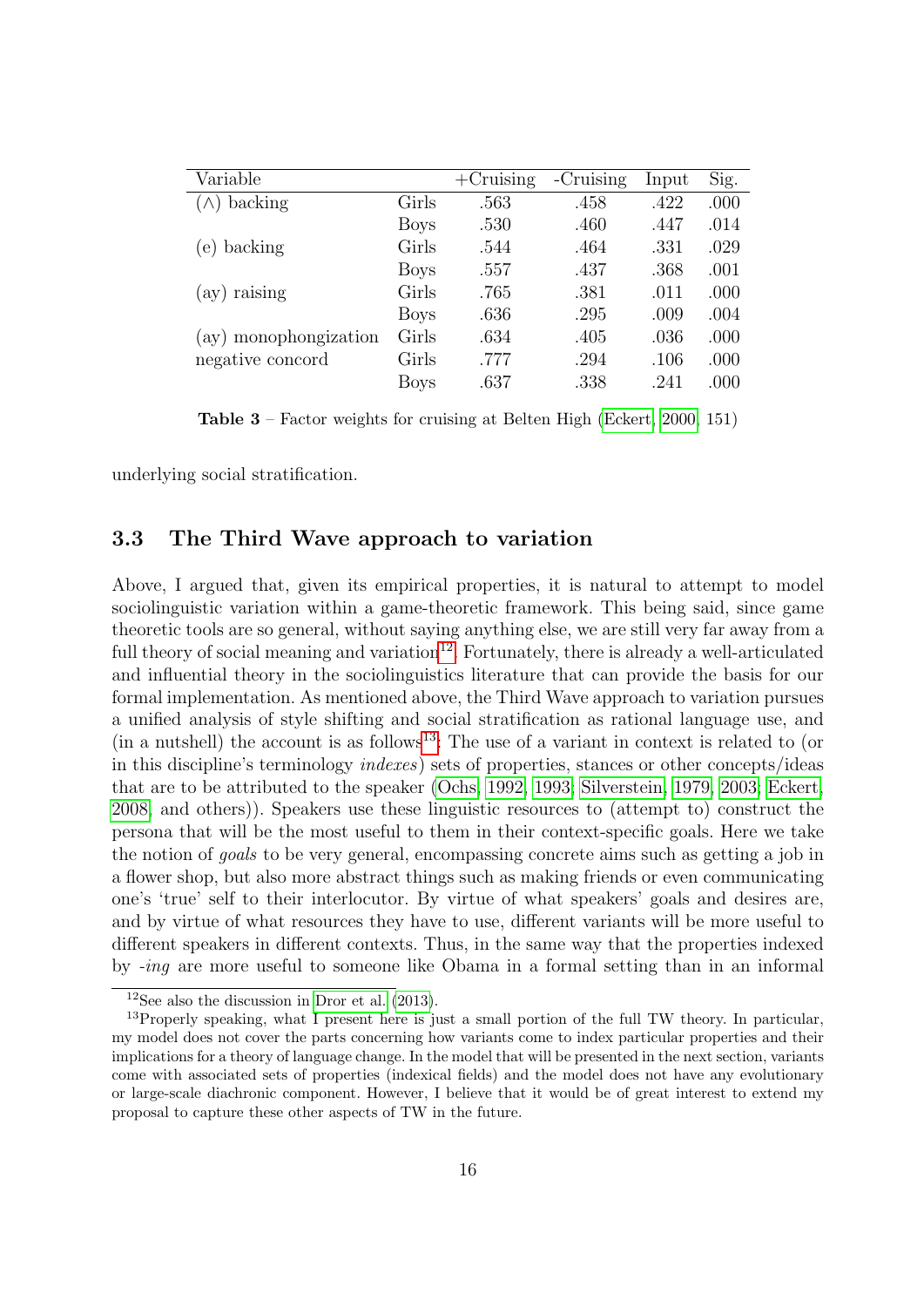<span id="page-15-0"></span>

| Variable              |             | $+$ Cruising | -Cruising | Input | Sig. |
|-----------------------|-------------|--------------|-----------|-------|------|
| backing               | Girls       | .563         | .458      | .422  | .000 |
|                       | <b>Boys</b> | .530         | .460      | .447  | .014 |
| (e) backing           | Girls       | .544         | .464      | .331  | .029 |
|                       | <b>Boys</b> | .557         | .437      | .368  | .001 |
| $(ay)$ raising        | Girls       | .765         | .381      | .011  | .000 |
|                       | <b>Boys</b> | .636         | .295      | .009  | .004 |
| (ay) monophongization | Girls       | .634         | .405      | .036  | .000 |
| negative concord      | Girls       | .777         | .294      | .106  | .000 |
|                       | <b>Boys</b> | .637         | .338      | .241  | .000 |

Table 3 – Factor weights for cruising at Belten High [\(Eckert, 2000,](#page-39-10) 151)

underlying social stratification.

### 3.3 The Third Wave approach to variation

Above, I argued that, given its empirical properties, it is natural to attempt to model sociolinguistic variation within a game-theoretic framework. This being said, since game theoretic tools are so general, without saying anything else, we are still very far away from a full theory of social meaning and variation $^{12}$  $^{12}$  $^{12}$ . Fortunately, there is already a well-articulated and influential theory in the sociolinguistics literature that can provide the basis for our formal implementation. As mentioned above, the Third Wave approach to variation pursues a unified analysis of style shifting and social stratification as rational language use, and  $\pi$  (in a nutshell) the account is as follows<sup>[13](#page-15-2)</sup>: The use of a variant in context is related to (or in this discipline's terminology indexes) sets of properties, stances or other concepts/ideas that are to be attributed to the speaker [\(Ochs, 1992,](#page-42-11) [1993;](#page-42-12) [Silverstein, 1979,](#page-43-5) [2003;](#page-43-6) [Eckert,](#page-39-6) [2008,](#page-39-6) and others)). Speakers use these linguistic resources to (attempt to) construct the persona that will be the most useful to them in their context-specific goals. Here we take the notion of goals to be very general, encompassing concrete aims such as getting a job in a flower shop, but also more abstract things such as making friends or even communicating one's 'true' self to their interlocutor. By virtue of what speakers' goals and desires are, and by virtue of what resources they have to use, different variants will be more useful to different speakers in different contexts. Thus, in the same way that the properties indexed by -ing are more useful to someone like Obama in a formal setting than in an informal

<span id="page-15-2"></span><span id="page-15-1"></span> $12$ See also the discussion in [Dror et al.](#page-38-0) [\(2013\)](#page-38-0).

<sup>&</sup>lt;sup>13</sup>Properly speaking, what I present here is just a small portion of the full TW theory. In particular, my model does not cover the parts concerning how variants come to index particular properties and their implications for a theory of language change. In the model that will be presented in the next section, variants come with associated sets of properties (indexical fields) and the model does not have any evolutionary or large-scale diachronic component. However, I believe that it would be of great interest to extend my proposal to capture these other aspects of TW in the future.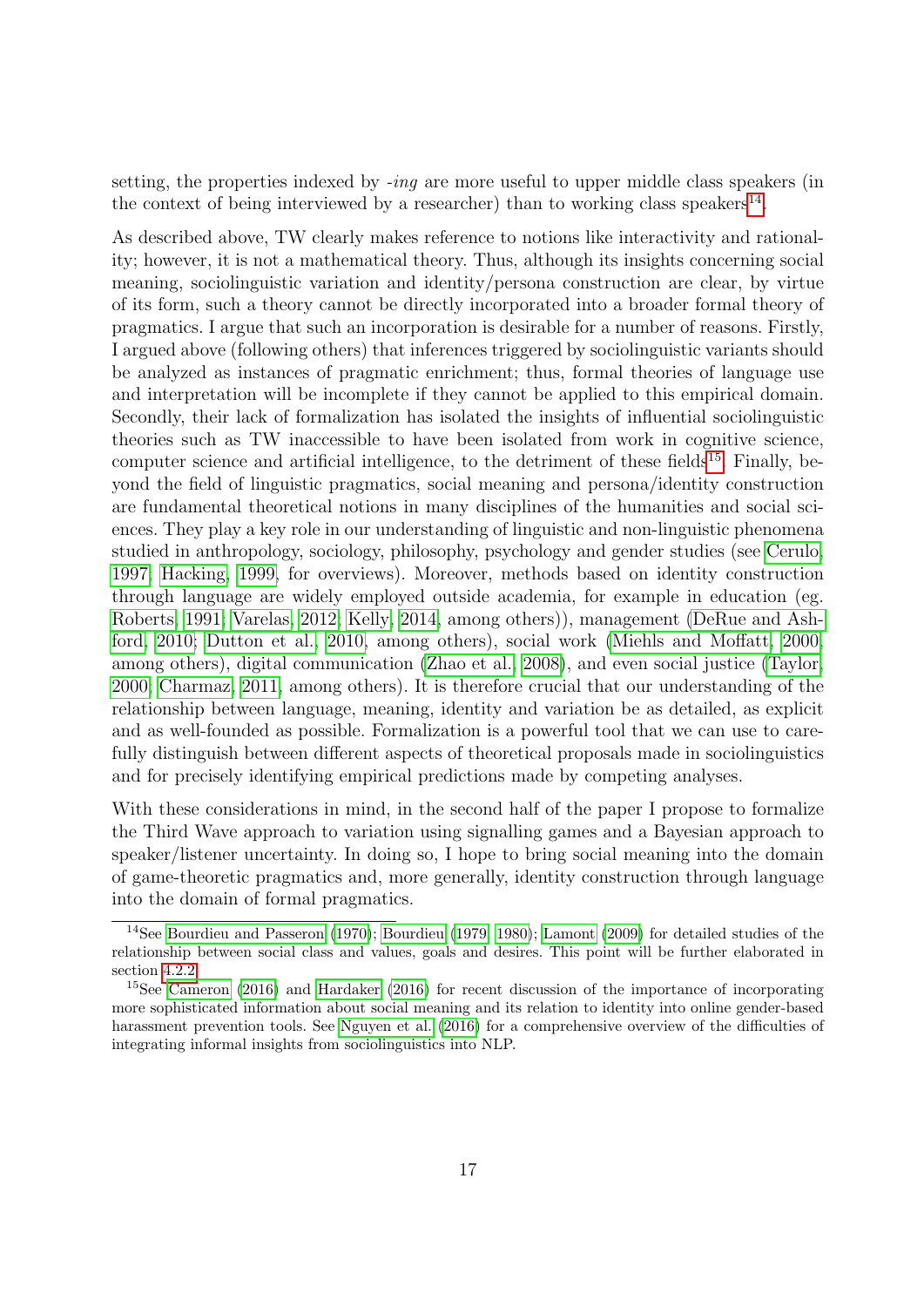setting, the properties indexed by *-ing* are more useful to upper middle class speakers (in the context of being interviewed by a researcher) than to working class speakers<sup>[14](#page-16-0)</sup>.

As described above, TW clearly makes reference to notions like interactivity and rationality; however, it is not a mathematical theory. Thus, although its insights concerning social meaning, sociolinguistic variation and identity/persona construction are clear, by virtue of its form, such a theory cannot be directly incorporated into a broader formal theory of pragmatics. I argue that such an incorporation is desirable for a number of reasons. Firstly, I argued above (following others) that inferences triggered by sociolinguistic variants should be analyzed as instances of pragmatic enrichment; thus, formal theories of language use and interpretation will be incomplete if they cannot be applied to this empirical domain. Secondly, their lack of formalization has isolated the insights of influential sociolinguistic theories such as TW inaccessible to have been isolated from work in cognitive science, computer science and artificial intelligence, to the detriment of these fields<sup>[15](#page-16-1)</sup>. Finally, beyond the field of linguistic pragmatics, social meaning and persona/identity construction are fundamental theoretical notions in many disciplines of the humanities and social sciences. They play a key role in our understanding of linguistic and non-linguistic phenomena studied in anthropology, sociology, philosophy, psychology and gender studies (see [Cerulo,](#page-37-8) [1997;](#page-37-8) [Hacking, 1999,](#page-40-12) for overviews). Moreover, methods based on identity construction through language are widely employed outside academia, for example in education (eg. [Roberts, 1991;](#page-43-7) [Varelas, 2012;](#page-44-5) [Kelly, 2014,](#page-40-13) among others)), management [\(DeRue and Ash](#page-38-7)[ford, 2010;](#page-38-7) [Dutton et al., 2010,](#page-38-8) among others), social work [\(Miehls and Moffatt, 2000,](#page-41-8) among others), digital communication [\(Zhao et al., 2008\)](#page-44-6), and even social justice [\(Taylor,](#page-43-8) [2000;](#page-43-8) [Charmaz, 2011,](#page-37-9) among others). It is therefore crucial that our understanding of the relationship between language, meaning, identity and variation be as detailed, as explicit and as well-founded as possible. Formalization is a powerful tool that we can use to carefully distinguish between different aspects of theoretical proposals made in sociolinguistics and for precisely identifying empirical predictions made by competing analyses.

With these considerations in mind, in the second half of the paper I propose to formalize the Third Wave approach to variation using signalling games and a Bayesian approach to speaker/listener uncertainty. In doing so, I hope to bring social meaning into the domain of game-theoretic pragmatics and, more generally, identity construction through language into the domain of formal pragmatics.

<span id="page-16-0"></span><sup>&</sup>lt;sup>14</sup>See [Bourdieu and Passeron](#page-36-6) [\(1970\)](#page-36-6); [Bourdieu](#page-36-7) [\(1979,](#page-36-7) [1980\)](#page-36-8); [Lamont](#page-41-9) [\(2009\)](#page-41-9) for detailed studies of the relationship between social class and values, goals and desires. This point will be further elaborated in section [4.2.2](#page-28-0)

<span id="page-16-1"></span><sup>15</sup>See [Cameron](#page-37-10) [\(2016\)](#page-37-10) and [Hardaker](#page-40-14) [\(2016\)](#page-40-14) for recent discussion of the importance of incorporating more sophisticated information about social meaning and its relation to identity into online gender-based harassment prevention tools. See [Nguyen et al.](#page-42-13) [\(2016\)](#page-42-13) for a comprehensive overview of the difficulties of integrating informal insights from sociolinguistics into NLP.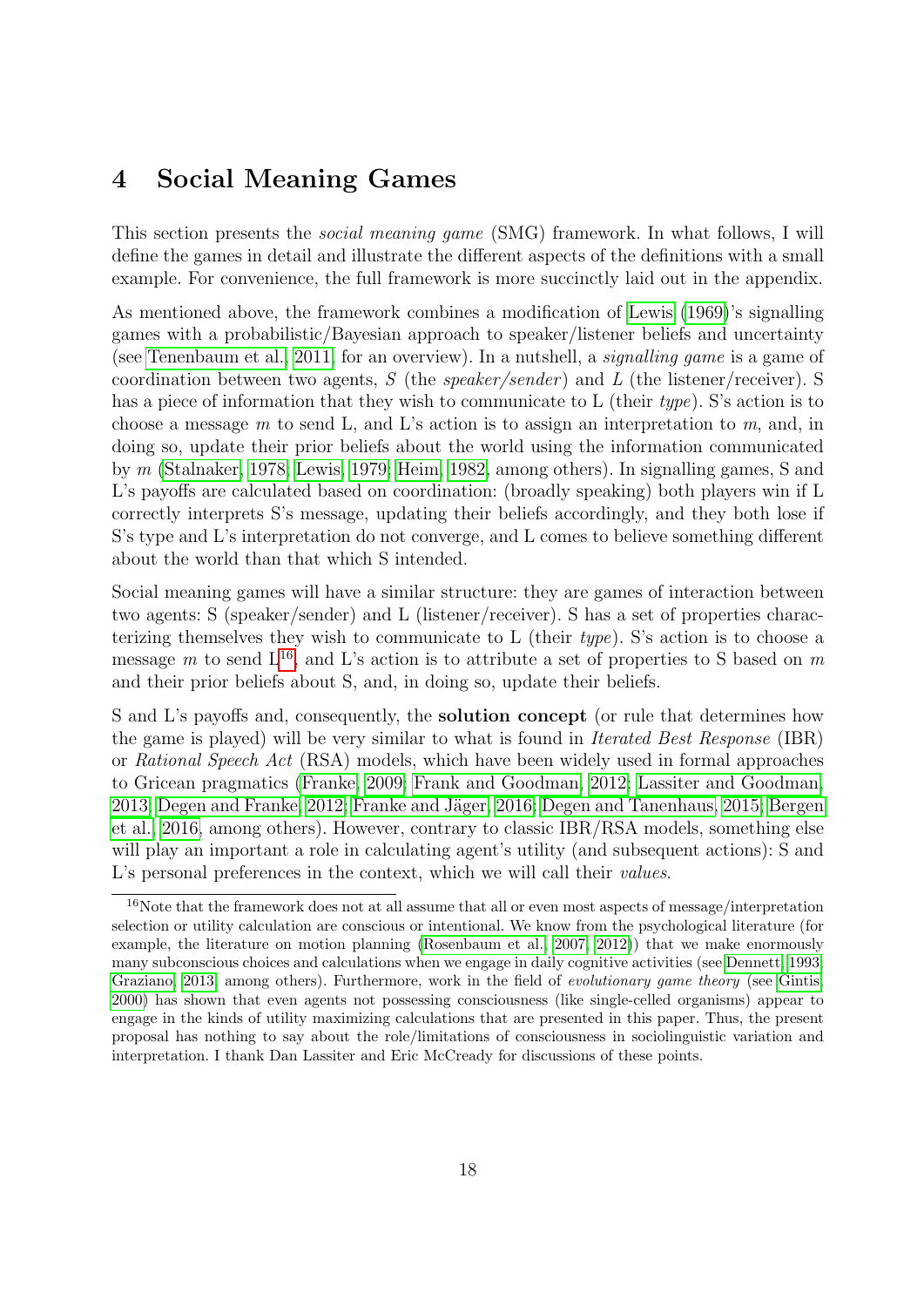# <span id="page-17-0"></span>4 Social Meaning Games

This section presents the social meaning game (SMG) framework. In what follows, I will define the games in detail and illustrate the different aspects of the definitions with a small example. For convenience, the full framework is more succinctly laid out in the appendix.

As mentioned above, the framework combines a modification of [Lewis](#page-41-0) [\(1969\)](#page-41-0)'s signalling games with a probabilistic/Bayesian approach to speaker/listener beliefs and uncertainty (see [Tenenbaum et al., 2011,](#page-44-7) for an overview). In a nutshell, a signalling game is a game of coordination between two agents,  $S$  (the speaker/sender) and  $L$  (the listener/receiver). S has a piece of information that they wish to communicate to L (their type). S's action is to choose a message  $m$  to send L, and L's action is to assign an interpretation to  $m$ , and, in doing so, update their prior beliefs about the world using the information communicated by m [\(Stalnaker, 1978;](#page-43-9) [Lewis, 1979;](#page-41-10) [Heim, 1982,](#page-40-15) among others). In signalling games, S and L's payoffs are calculated based on coordination: (broadly speaking) both players win if L correctly interprets S's message, updating their beliefs accordingly, and they both lose if S's type and L's interpretation do not converge, and L comes to believe something different about the world than that which S intended.

Social meaning games will have a similar structure: they are games of interaction between two agents: S (speaker/sender) and L (listener/receiver). S has a set of properties characterizing themselves they wish to communicate to L (their type). S's action is to choose a message m to send  $L^{16}$  $L^{16}$  $L^{16}$ , and L's action is to attribute a set of properties to S based on m and their prior beliefs about S, and, in doing so, update their beliefs.

S and L's payoffs and, consequently, the solution concept (or rule that determines how the game is played) will be very similar to what is found in Iterated Best Response (IBR) or Rational Speech Act (RSA) models, which have been widely used in formal approaches to Gricean pragmatics [\(Franke, 2009;](#page-39-11) [Frank and Goodman, 2012;](#page-39-12) [Lassiter and Goodman,](#page-41-11) [2013;](#page-41-11) [Degen and Franke, 2012;](#page-38-9) Franke and Jäger, 2016; [Degen and Tanenhaus, 2015;](#page-38-10) [Bergen](#page-36-9) [et al., 2016,](#page-36-9) among others). However, contrary to classic IBR/RSA models, something else will play an important a role in calculating agent's utility (and subsequent actions): S and L's personal preferences in the context, which we will call their *values*.

<span id="page-17-1"></span><sup>&</sup>lt;sup>16</sup>Note that the framework does not at all assume that all or even most aspects of message/interpretation selection or utility calculation are conscious or intentional. We know from the psychological literature (for example, the literature on motion planning [\(Rosenbaum et al., 2007,](#page-43-10) [2012\)](#page-43-11)) that we make enormously many subconscious choices and calculations when we engage in daily cognitive activities (see [Dennett, 1993;](#page-38-11) [Graziano, 2013,](#page-39-13) among others). Furthermore, work in the field of evolutionary game theory (see [Gintis,](#page-39-14) [2000\)](#page-39-14) has shown that even agents not possessing consciousness (like single-celled organisms) appear to engage in the kinds of utility maximizing calculations that are presented in this paper. Thus, the present proposal has nothing to say about the role/limitations of consciousness in sociolinguistic variation and interpretation. I thank Dan Lassiter and Eric McCready for discussions of these points.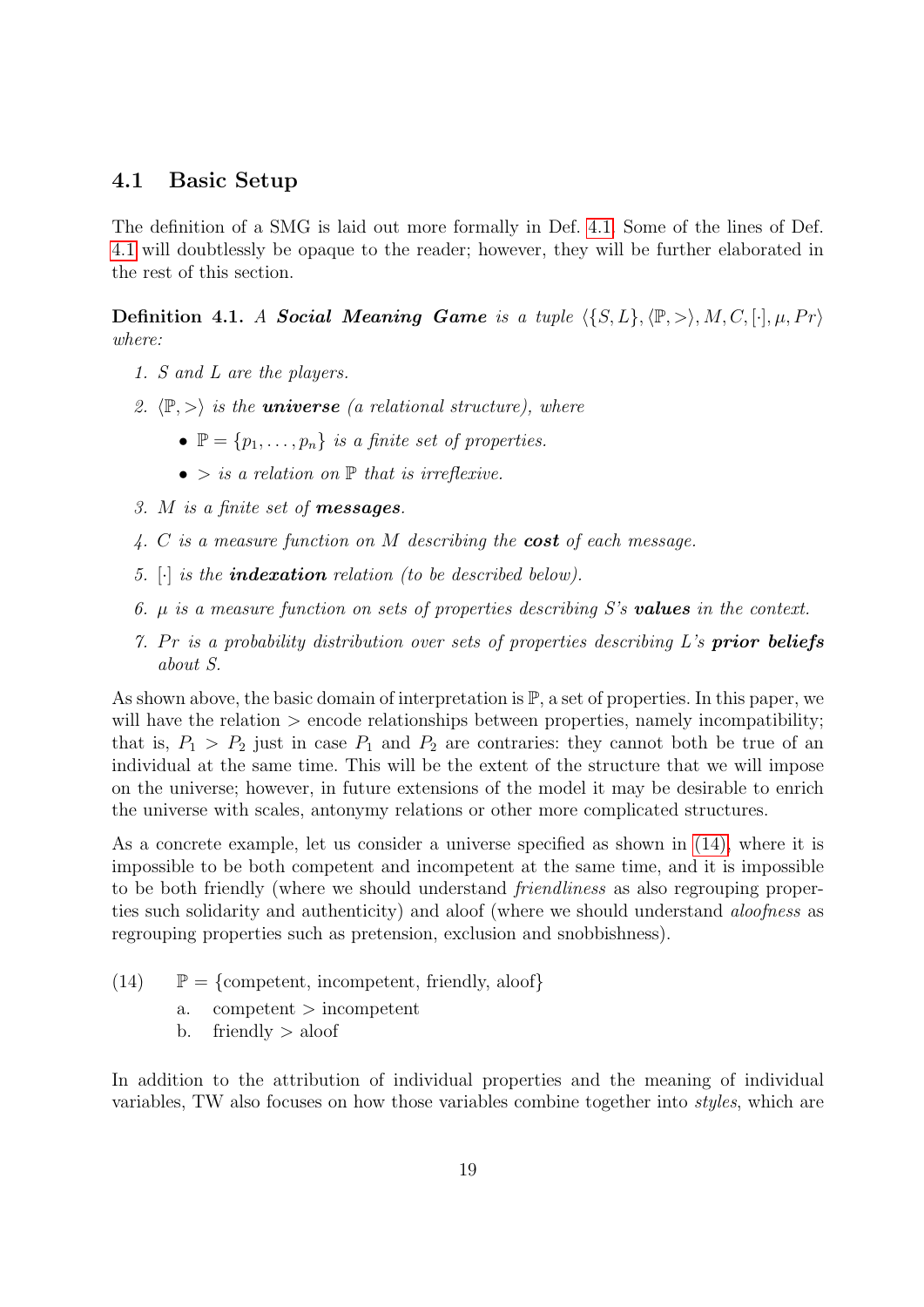### <span id="page-18-2"></span>4.1 Basic Setup

The definition of a SMG is laid out more formally in Def. [4.1.](#page-18-0) Some of the lines of Def. [4.1](#page-18-0) will doubtlessly be opaque to the reader; however, they will be further elaborated in the rest of this section.

<span id="page-18-0"></span>**Definition 4.1.** A Social Meaning Game is a tuple  $\{S, L\}, \langle \mathbb{P}, \rangle, M, C, [\cdot], \mu, Pr \rangle$ where:

- 1. S and L are the players.
- 2.  $\langle \mathbb{P}, \rangle$  is the **universe** (a relational structure), where
	- $\mathbb{P} = \{p_1, \ldots, p_n\}$  is a finite set of properties.
	- $\bullet$  > is a relation on  $\mathbb P$  that is irreflexive.
- 3. M is a finite set of messages.
- 4. C is a measure function on  $M$  describing the **cost** of each message.
- 5.  $\lceil \cdot \rceil$  is the **indexation** relation (to be described below).
- 6.  $\mu$  is a measure function on sets of properties describing S's **values** in the context.
- 7. Pr is a probability distribution over sets of properties describing  $L$ 's **prior beliefs** about S.

As shown above, the basic domain of interpretation is  $\mathbb{P}$ , a set of properties. In this paper, we will have the relation  $\geq$  encode relationships between properties, namely incompatibility; that is,  $P_1 > P_2$  just in case  $P_1$  and  $P_2$  are contraries: they cannot both be true of an individual at the same time. This will be the extent of the structure that we will impose on the universe; however, in future extensions of the model it may be desirable to enrich the universe with scales, antonymy relations or other more complicated structures.

As a concrete example, let us consider a universe specified as shown in [\(14\),](#page-18-1) where it is impossible to be both competent and incompetent at the same time, and it is impossible to be both friendly (where we should understand friendliness as also regrouping properties such solidarity and authenticity) and aloof (where we should understand *aloofness* as regrouping properties such as pretension, exclusion and snobbishness).

<span id="page-18-1"></span>(14)  $\mathbb{P} = \{\text{compact, incomplete, friendly, aloof}\}\$ 

- a. competent > incompetent
- b. friendly  $>$  aloof

In addition to the attribution of individual properties and the meaning of individual variables, TW also focuses on how those variables combine together into styles, which are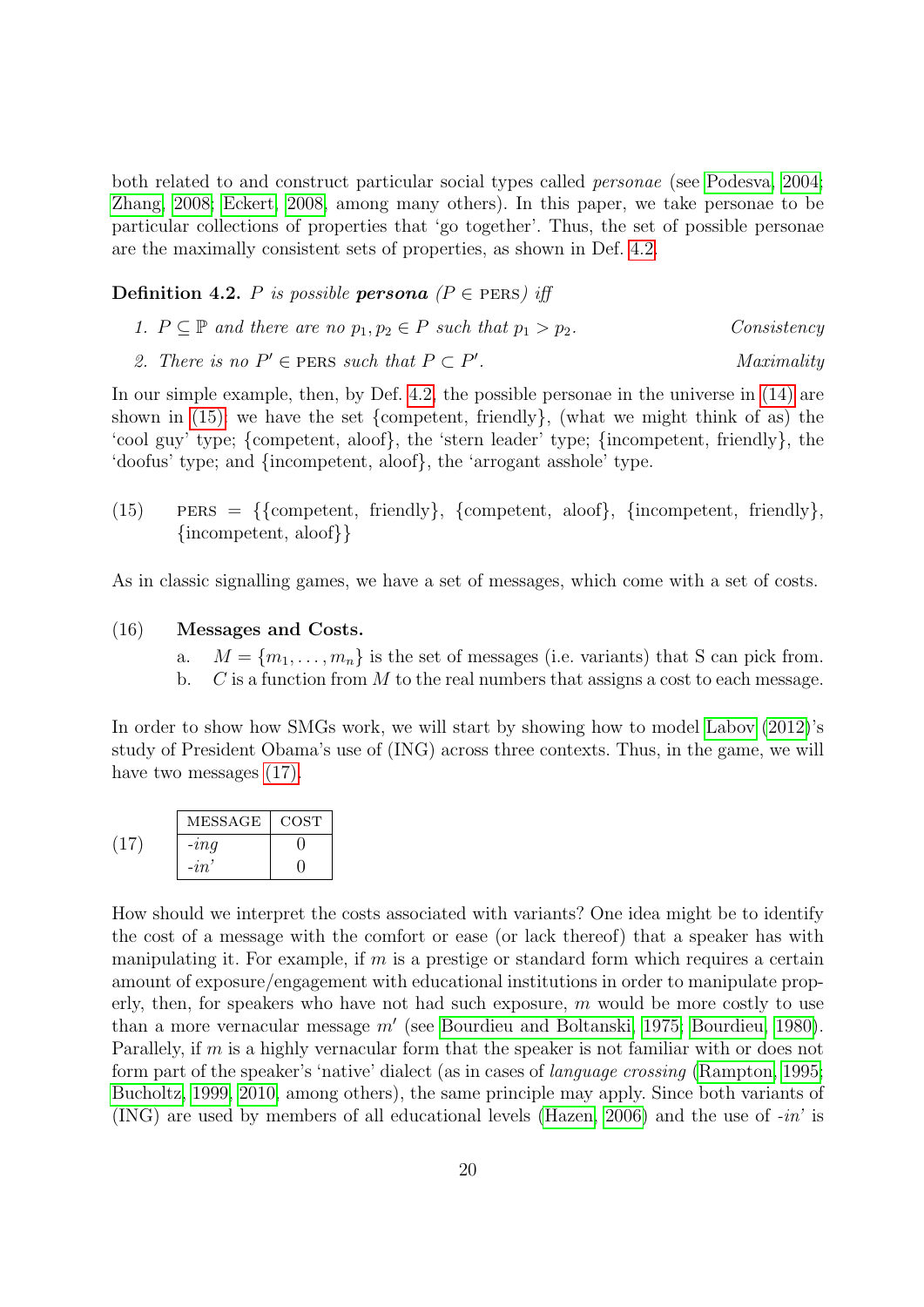both related to and construct particular social types called personae (see [Podesva, 2004;](#page-42-9) [Zhang, 2008;](#page-44-8) [Eckert, 2008,](#page-39-6) among many others). In this paper, we take personae to be particular collections of properties that 'go together'. Thus, the set of possible personae are the maximally consistent sets of properties, as shown in Def. [4.2.](#page-19-0)

<span id="page-19-0"></span>**Definition 4.2.** P is possible **persona**  $(P \in PERS)$  iff

1. 
$$
P \subseteq \mathbb{P}
$$
 and there are no  $p_1, p_2 \in P$  such that  $p_1 > p_2$ .  
Consistency

2. There is no  $P' \in$  PERS such that  $P \subset P'$ . Maximality

In our simple example, then, by Def. [4.2,](#page-19-0) the possible personae in the universe in [\(14\)](#page-18-1) are shown in  $(15)$ : we have the set {competent, friendly}, (what we might think of as) the 'cool guy' type; {competent, aloof}, the 'stern leader' type; {incompetent, friendly}, the 'doofus' type; and {incompetent, aloof}, the 'arrogant asshole' type.

<span id="page-19-1"></span>(15) PERS = {{competent, friendly}, {competent, aloof}, {incompetent, friendly}, {incompetent, aloof}}

As in classic signalling games, we have a set of messages, which come with a set of costs.

#### (16) Messages and Costs.

- a.  $M = \{m_1, \ldots, m_n\}$  is the set of messages (i.e. variants) that S can pick from.
- b.  $C$  is a function from M to the real numbers that assigns a cost to each message.

In order to show how SMGs work, we will start by showing how to model [Labov](#page-40-7) [\(2012\)](#page-40-7)'s study of President Obama's use of (ING) across three contexts. Thus, in the game, we will have two messages  $(17)$ .

<span id="page-19-2"></span>

| MESSAGE  | <b>COST</b> |
|----------|-------------|
| $-i n q$ |             |
| $-i\pi$  |             |

How should we interpret the costs associated with variants? One idea might be to identify the cost of a message with the comfort or ease (or lack thereof) that a speaker has with manipulating it. For example, if  $m$  is a prestige or standard form which requires a certain amount of exposure/engagement with educational institutions in order to manipulate properly, then, for speakers who have not had such exposure,  $m$  would be more costly to use than a more vernacular message  $m'$  (see [Bourdieu and Boltanski, 1975;](#page-36-10) [Bourdieu, 1980\)](#page-36-8). Parallely, if m is a highly vernacular form that the speaker is not familiar with or does not form part of the speaker's 'native' dialect (as in cases of language crossing [\(Rampton, 1995;](#page-42-14) [Bucholtz, 1999,](#page-36-11) [2010,](#page-36-12) among others), the same principle may apply. Since both variants of (ING) are used by members of all educational levels [\(Hazen, 2006\)](#page-40-10) and the use of -in' is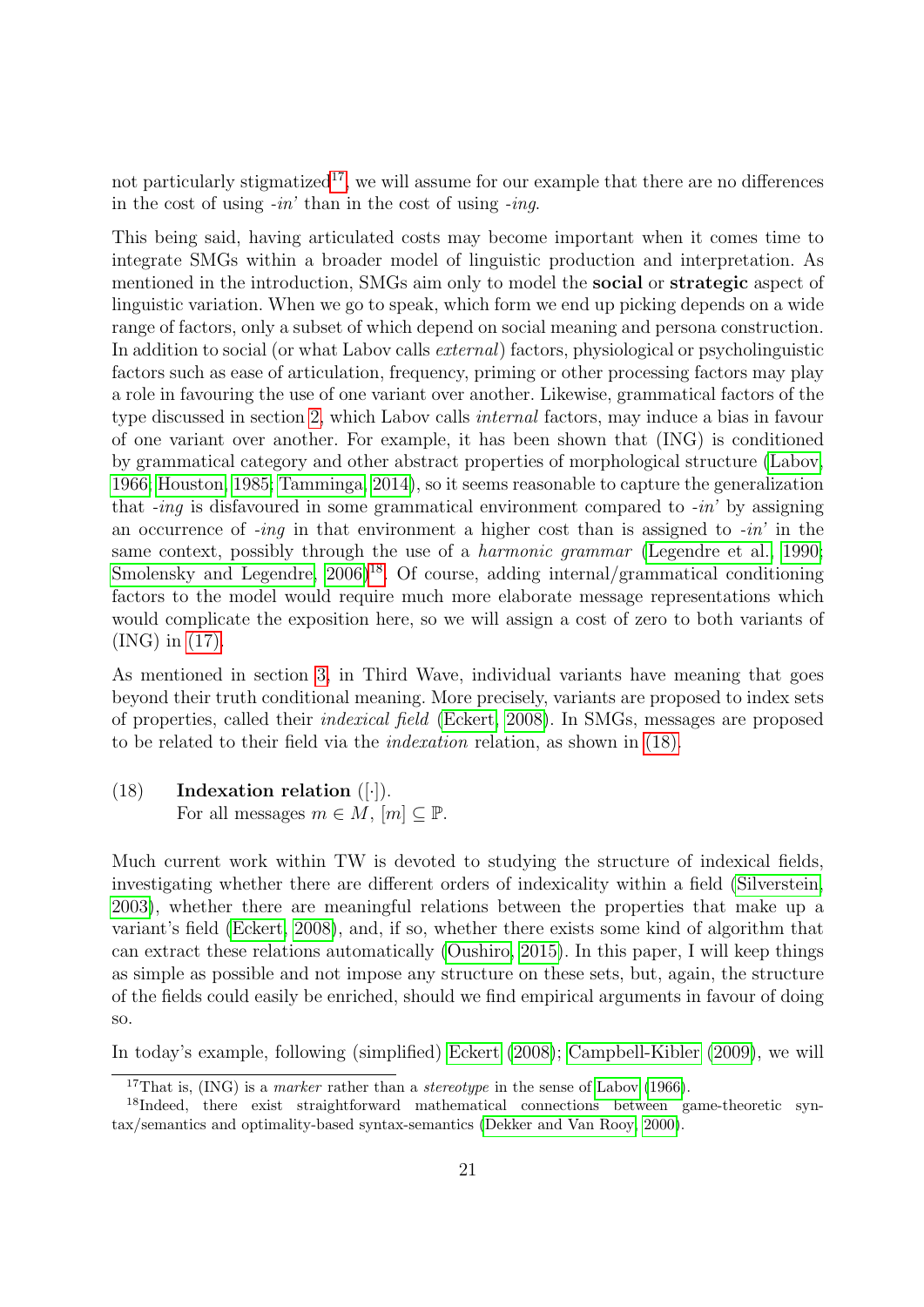not particularly stigmatized<sup>[17](#page-20-0)</sup>, we will assume for our example that there are no differences in the cost of using  $-in'$  than in the cost of using  $-inq$ .

This being said, having articulated costs may become important when it comes time to integrate SMGs within a broader model of linguistic production and interpretation. As mentioned in the introduction, SMGs aim only to model the **social** or **strategic** aspect of linguistic variation. When we go to speak, which form we end up picking depends on a wide range of factors, only a subset of which depend on social meaning and persona construction. In addition to social (or what Labov calls external) factors, physiological or psycholinguistic factors such as ease of articulation, frequency, priming or other processing factors may play a role in favouring the use of one variant over another. Likewise, grammatical factors of the type discussed in section [2,](#page-3-0) which Labov calls internal factors, may induce a bias in favour of one variant over another. For example, it has been shown that (ING) is conditioned by grammatical category and other abstract properties of morphological structure [\(Labov,](#page-40-1) [1966;](#page-40-1) [Houston, 1985;](#page-40-6) [Tamminga, 2014\)](#page-43-2), so it seems reasonable to capture the generalization that  $-i\eta$  is disfavoured in some grammatical environment compared to  $-i\eta$  by assigning an occurrence of  $-i\eta$  in that environment a higher cost than is assigned to  $-i\eta$  in the same context, possibly through the use of a *harmonic grammar* [\(Legendre et al., 1990;](#page-41-12) Smolensky and Legendre,  $2006$ <sup>[18](#page-20-1)</sup>. Of course, adding internal/grammatical conditioning factors to the model would require much more elaborate message representations which would complicate the exposition here, so we will assign a cost of zero to both variants of (ING) in [\(17\).](#page-19-2)

As mentioned in section [3,](#page-9-0) in Third Wave, individual variants have meaning that goes beyond their truth conditional meaning. More precisely, variants are proposed to index sets of properties, called their indexical field [\(Eckert, 2008\)](#page-39-6). In SMGs, messages are proposed to be related to their field via the indexation relation, as shown in [\(18\).](#page-20-2)

<span id="page-20-2"></span> $(18)$  Indexation relation  $([-])$ . For all messages  $m \in M$ ,  $[m] \subset \mathbb{P}$ .

Much current work within TW is devoted to studying the structure of indexical fields, investigating whether there are different orders of indexicality within a field [\(Silverstein,](#page-43-6) [2003\)](#page-43-6), whether there are meaningful relations between the properties that make up a variant's field [\(Eckert, 2008\)](#page-39-6), and, if so, whether there exists some kind of algorithm that can extract these relations automatically [\(Oushiro, 2015\)](#page-42-15). In this paper, I will keep things as simple as possible and not impose any structure on these sets, but, again, the structure of the fields could easily be enriched, should we find empirical arguments in favour of doing so.

In today's example, following (simplified) [Eckert](#page-39-6) [\(2008\)](#page-39-6); [Campbell-Kibler](#page-37-11) [\(2009\)](#page-37-11), we will

<span id="page-20-1"></span><span id="page-20-0"></span><sup>&</sup>lt;sup>17</sup>That is, (ING) is a *marker* rather than a *stereotype* in the sense of [Labov](#page-40-1) [\(1966\)](#page-40-1).

<sup>&</sup>lt;sup>18</sup>Indeed, there exist straightforward mathematical connections between game-theoretic syntax/semantics and optimality-based syntax-semantics [\(Dekker and Van Rooy, 2000\)](#page-38-12).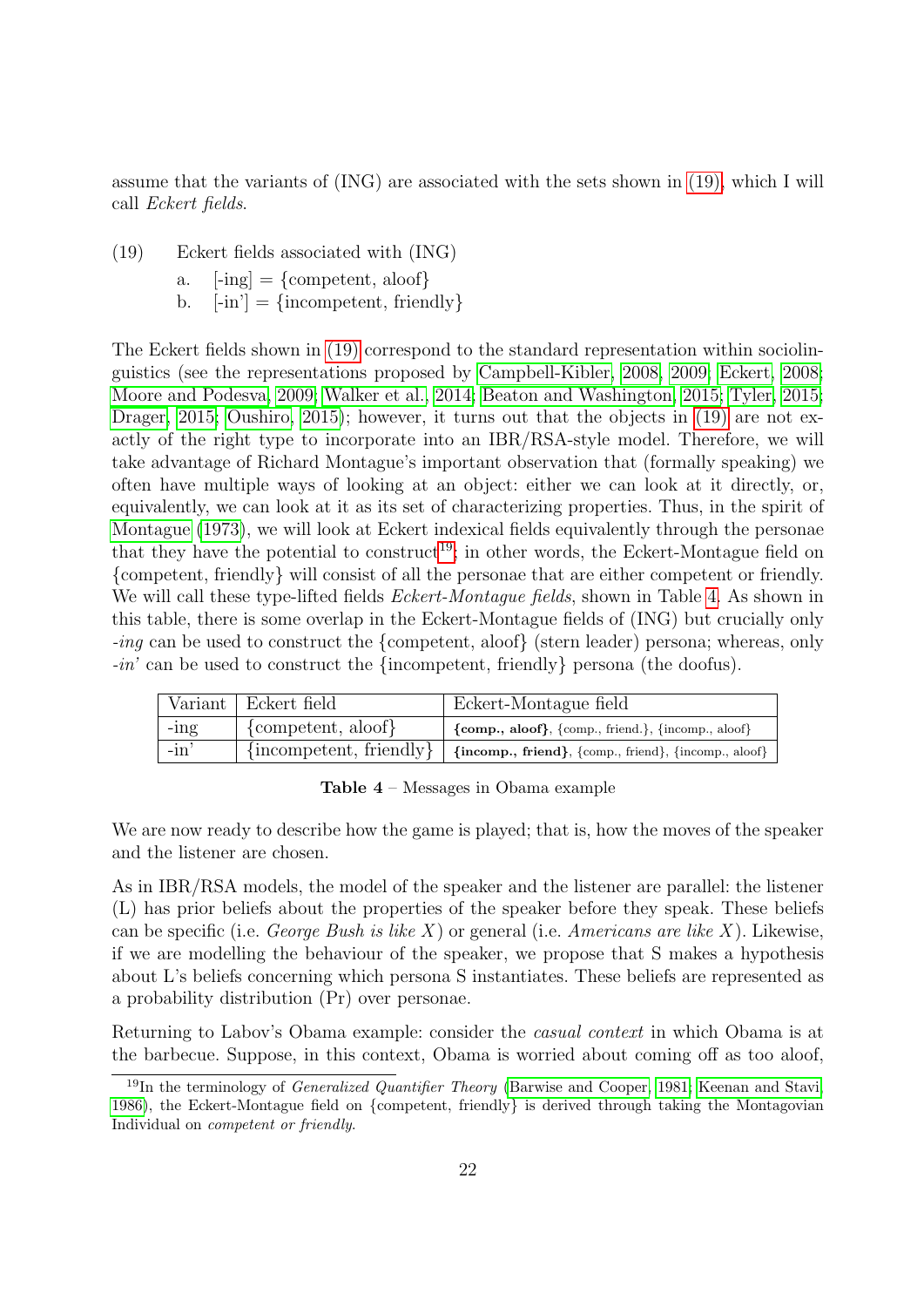assume that the variants of (ING) are associated with the sets shown in [\(19\),](#page-21-0) which I will call Eckert fields.

- <span id="page-21-0"></span>(19) Eckert fields associated with (ING)
	- a.  $[-ing] = \{ \text{compact}, \text{aloof} \}$
	- b.  $[-in'] = \{incompact, \text{ friendly}\}\$

The Eckert fields shown in [\(19\)](#page-21-0) correspond to the standard representation within sociolinguistics (see the representations proposed by [Campbell-Kibler, 2008,](#page-37-2) [2009;](#page-37-11) [Eckert, 2008;](#page-39-6) [Moore and Podesva, 2009;](#page-42-16) [Walker et al., 2014;](#page-44-9) [Beaton and Washington, 2015;](#page-36-13) [Tyler, 2015;](#page-44-10) [Drager, 2015;](#page-38-13) [Oushiro, 2015\)](#page-42-15); however, it turns out that the objects in [\(19\)](#page-21-0) are not exactly of the right type to incorporate into an IBR/RSA-style model. Therefore, we will take advantage of Richard Montague's important observation that (formally speaking) we often have multiple ways of looking at an object: either we can look at it directly, or, equivalently, we can look at it as its set of characterizing properties. Thus, in the spirit of [Montague](#page-41-13) [\(1973\)](#page-41-13), we will look at Eckert indexical fields equivalently through the personae that they have the potential to construct<sup>[19](#page-21-1)</sup>; in other words, the Eckert-Montague field on {competent, friendly} will consist of all the personae that are either competent or friendly. We will call these type-lifted fields *Eckert-Montague fields*, shown in Table [4.](#page-21-2) As shown in this table, there is some overlap in the Eckert-Montague fields of (ING) but crucially only -ing can be used to construct the {competent, aloof} (stern leader) persona; whereas, only -in' can be used to construct the {incompetent, friendly} persona (the doofus).

<span id="page-21-2"></span>

|         | Variant Eckert field                | Eckert-Montague field                                                                                                                                |
|---------|-------------------------------------|------------------------------------------------------------------------------------------------------------------------------------------------------|
| $-$ ing | $\{\text{compact}, \text{aloof}\}\$ | $\{comp., aloor\}, \{comp., friend.\}, \{incomp., aloor\}$                                                                                           |
| $-in'$  |                                     | $\{in\text{component}, \text{ friendly}\}\mid \{\text{incomp.}, \text{friend}\}, \{\text{comp.}, \text{friend}\}, \{\text{incomp.}, \text{aloof}\}\$ |

Table 4 – Messages in Obama example

We are now ready to describe how the game is played; that is, how the moves of the speaker and the listener are chosen.

As in IBR/RSA models, the model of the speaker and the listener are parallel: the listener (L) has prior beliefs about the properties of the speaker before they speak. These beliefs can be specific (i.e. *George Bush is like X*) or general (i.e. *Americans are like X*). Likewise, if we are modelling the behaviour of the speaker, we propose that S makes a hypothesis about L's beliefs concerning which persona S instantiates. These beliefs are represented as a probability distribution (Pr) over personae.

Returning to Labov's Obama example: consider the casual context in which Obama is at the barbecue. Suppose, in this context, Obama is worried about coming off as too aloof,

<span id="page-21-1"></span><sup>&</sup>lt;sup>19</sup>In the terminology of *Generalized Quantifier Theory* [\(Barwise and Cooper, 1981;](#page-36-14) [Keenan and Stavi,](#page-40-16) [1986\)](#page-40-16), the Eckert-Montague field on {competent, friendly} is derived through taking the Montagovian Individual on *competent or friendly*.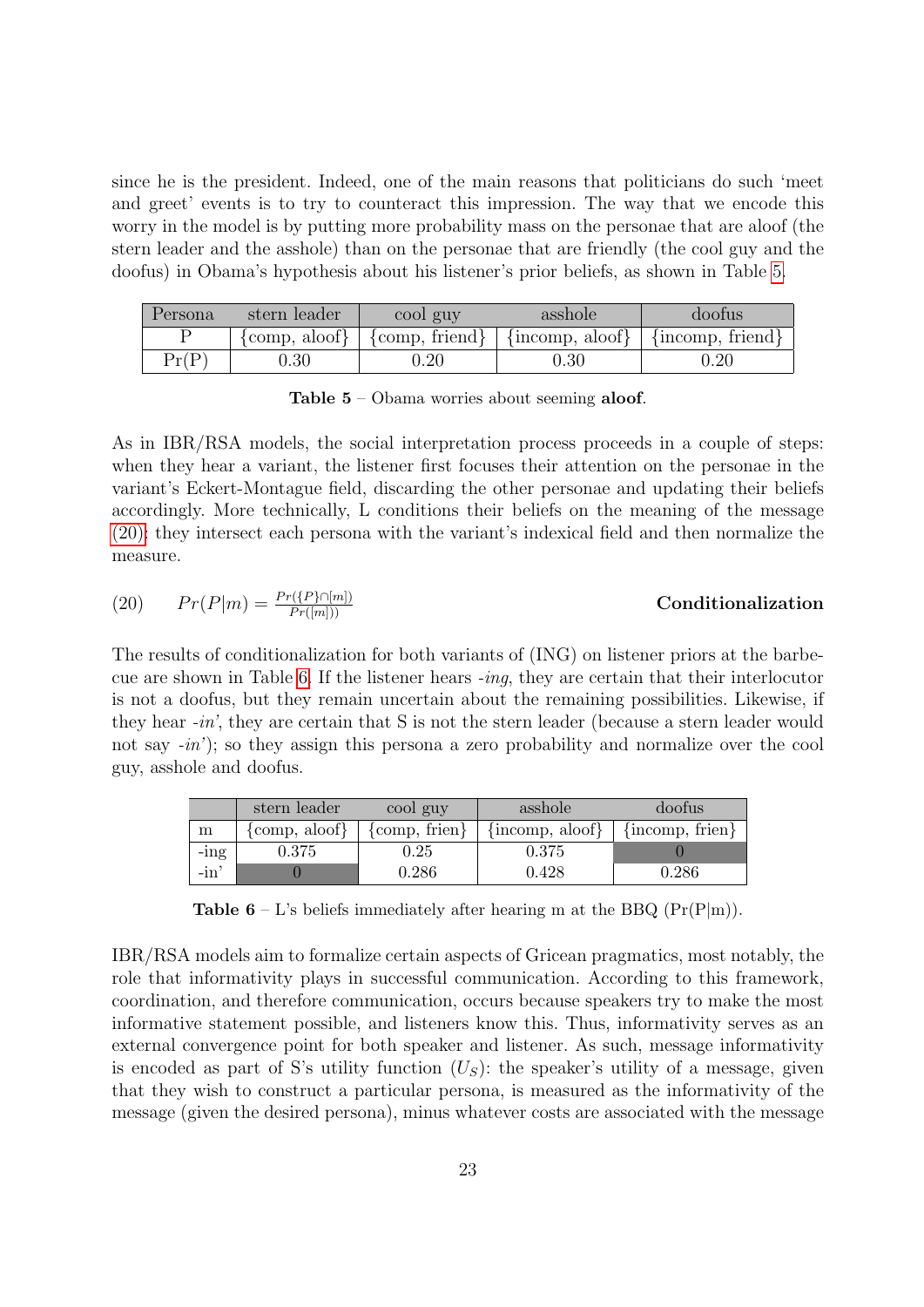since he is the president. Indeed, one of the main reasons that politicians do such 'meet and greet' events is to try to counteract this impression. The way that we encode this worry in the model is by putting more probability mass on the personae that are aloof (the stern leader and the asshole) than on the personae that are friendly (the cool guy and the doofus) in Obama's hypothesis about his listener's prior beliefs, as shown in Table [5.](#page-22-0)

<span id="page-22-0"></span>

| Persona | stern leader | cool guy | asshole                                                                                                                                   | doofus |
|---------|--------------|----------|-------------------------------------------------------------------------------------------------------------------------------------------|--------|
|         |              |          | $\{\text{comp}, \text{aloof}\}\$ $\{\text{comp}, \text{friend}\}\$ $\{\text{incomp}, \text{aloof}\}\$ $\{\text{incomp}, \text{friend}\}\$ |        |
| Pr(P)   | 0.30         | $0.20\,$ | $0.30\,$                                                                                                                                  | 0.20   |

Table 5 – Obama worries about seeming aloof.

As in IBR/RSA models, the social interpretation process proceeds in a couple of steps: when they hear a variant, the listener first focuses their attention on the personae in the variant's Eckert-Montague field, discarding the other personae and updating their beliefs accordingly. More technically, L conditions their beliefs on the meaning of the message [\(20\):](#page-22-1) they intersect each persona with the variant's indexical field and then normalize the measure.

<span id="page-22-1"></span>
$$
(20) \qquad Pr(P|m) = \frac{Pr(\{P\} \cap [m])}{Pr([m]))}
$$

### **Conditionalization**

The results of conditionalization for both variants of (ING) on listener priors at the barbe-cue are shown in Table [6.](#page-22-2) If the listener hears  $-ing$ , they are certain that their interlocutor is not a doofus, but they remain uncertain about the remaining possibilities. Likewise, if they hear -in', they are certain that S is not the stern leader (because a stern leader would not say  $-in'$ ; so they assign this persona a zero probability and normalize over the cool guy, asshole and doofus.

<span id="page-22-2"></span>

|         | stern leader                     | cool guy                          | asshole             | doofus              |
|---------|----------------------------------|-----------------------------------|---------------------|---------------------|
| m       | $\{\text{comp}, \text{aloof}\}\$ | $\{\text{comp}, \text{friend}\}\$ | $\{incomp, aloof\}$ | $\{incomp, firen\}$ |
| $-$ ing | $0.375\,$                        | $0.25\,$                          | 0.375               |                     |
| -in     |                                  | ${0.286}$                         | 0.428               | 0.286               |

**Table 6** – L's beliefs immediately after hearing m at the BBQ  $(Pr(P|m))$ .

IBR/RSA models aim to formalize certain aspects of Gricean pragmatics, most notably, the role that informativity plays in successful communication. According to this framework, coordination, and therefore communication, occurs because speakers try to make the most informative statement possible, and listeners know this. Thus, informativity serves as an external convergence point for both speaker and listener. As such, message informativity is encoded as part of S's utility function  $(U<sub>S</sub>)$ : the speaker's utility of a message, given that they wish to construct a particular persona, is measured as the informativity of the message (given the desired persona), minus whatever costs are associated with the message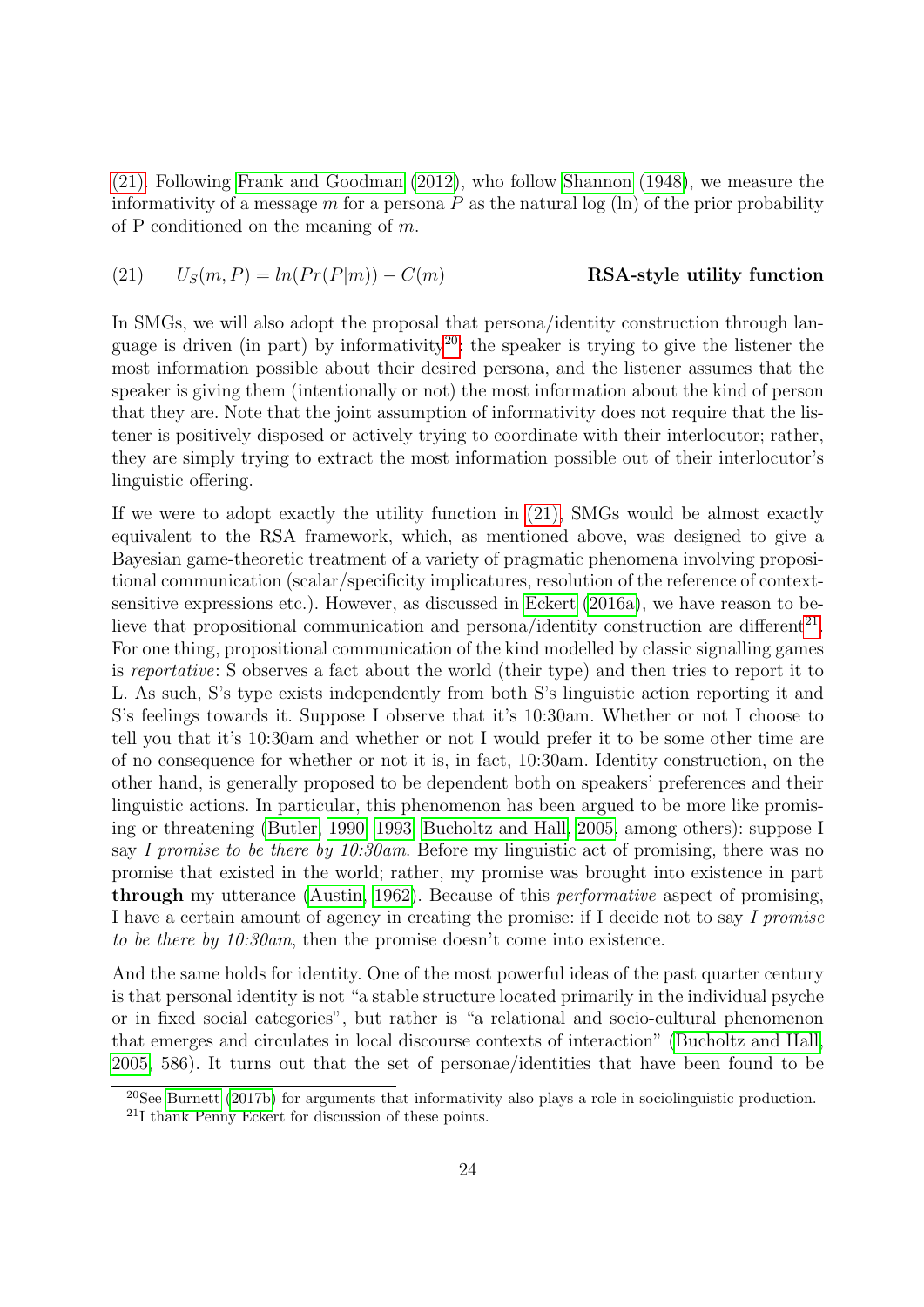[\(21\).](#page-23-0) Following [Frank and Goodman](#page-39-12) [\(2012\)](#page-39-12), who follow [Shannon](#page-43-13) [\(1948\)](#page-43-13), we measure the informativity of a message m for a persona  $P$  as the natural log (ln) of the prior probability of P conditioned on the meaning of  $m$ .

<span id="page-23-0"></span>(21) 
$$
U_S(m, P) = ln(Pr(P|m)) - C(m)
$$
 RSA-style utility function

In SMGs, we will also adopt the proposal that persona/identity construction through lan-guage is driven (in part) by informativity<sup>[20](#page-23-1)</sup>: the speaker is trying to give the listener the most information possible about their desired persona, and the listener assumes that the speaker is giving them (intentionally or not) the most information about the kind of person that they are. Note that the joint assumption of informativity does not require that the listener is positively disposed or actively trying to coordinate with their interlocutor; rather, they are simply trying to extract the most information possible out of their interlocutor's linguistic offering.

If we were to adopt exactly the utility function in [\(21\),](#page-23-0) SMGs would be almost exactly equivalent to the RSA framework, which, as mentioned above, was designed to give a Bayesian game-theoretic treatment of a variety of pragmatic phenomena involving propositional communication (scalar/specificity implicatures, resolution of the reference of contextsensitive expressions etc.). However, as discussed in [Eckert](#page-39-15) [\(2016a\)](#page-39-15), we have reason to be-lieve that propositional communication and persona/identity construction are different<sup>[21](#page-23-2)</sup>. For one thing, propositional communication of the kind modelled by classic signalling games is reportative: S observes a fact about the world (their type) and then tries to report it to L. As such, S's type exists independently from both S's linguistic action reporting it and S's feelings towards it. Suppose I observe that it's 10:30am. Whether or not I choose to tell you that it's 10:30am and whether or not I would prefer it to be some other time are of no consequence for whether or not it is, in fact, 10:30am. Identity construction, on the other hand, is generally proposed to be dependent both on speakers' preferences and their linguistic actions. In particular, this phenomenon has been argued to be more like promising or threatening [\(Butler, 1990,](#page-37-12) [1993;](#page-37-13) [Bucholtz and Hall, 2005,](#page-36-15) among others): suppose I say I promise to be there by 10:30am. Before my linguistic act of promising, there was no promise that existed in the world; rather, my promise was brought into existence in part through my utterance [\(Austin, 1962\)](#page-36-16). Because of this performative aspect of promising, I have a certain amount of agency in creating the promise: if I decide not to say I promise to be there by 10:30am, then the promise doesn't come into existence.

And the same holds for identity. One of the most powerful ideas of the past quarter century is that personal identity is not "a stable structure located primarily in the individual psyche or in fixed social categories", but rather is "a relational and socio-cultural phenomenon that emerges and circulates in local discourse contexts of interaction" [\(Bucholtz and Hall,](#page-36-15) [2005,](#page-36-15) 586). It turns out that the set of personae/identities that have been found to be

<span id="page-23-1"></span><sup>20</sup>See [Burnett](#page-37-14) [\(2017b\)](#page-37-14) for arguments that informativity also plays a role in sociolinguistic production.

<span id="page-23-2"></span><sup>21</sup>I thank Penny Eckert for discussion of these points.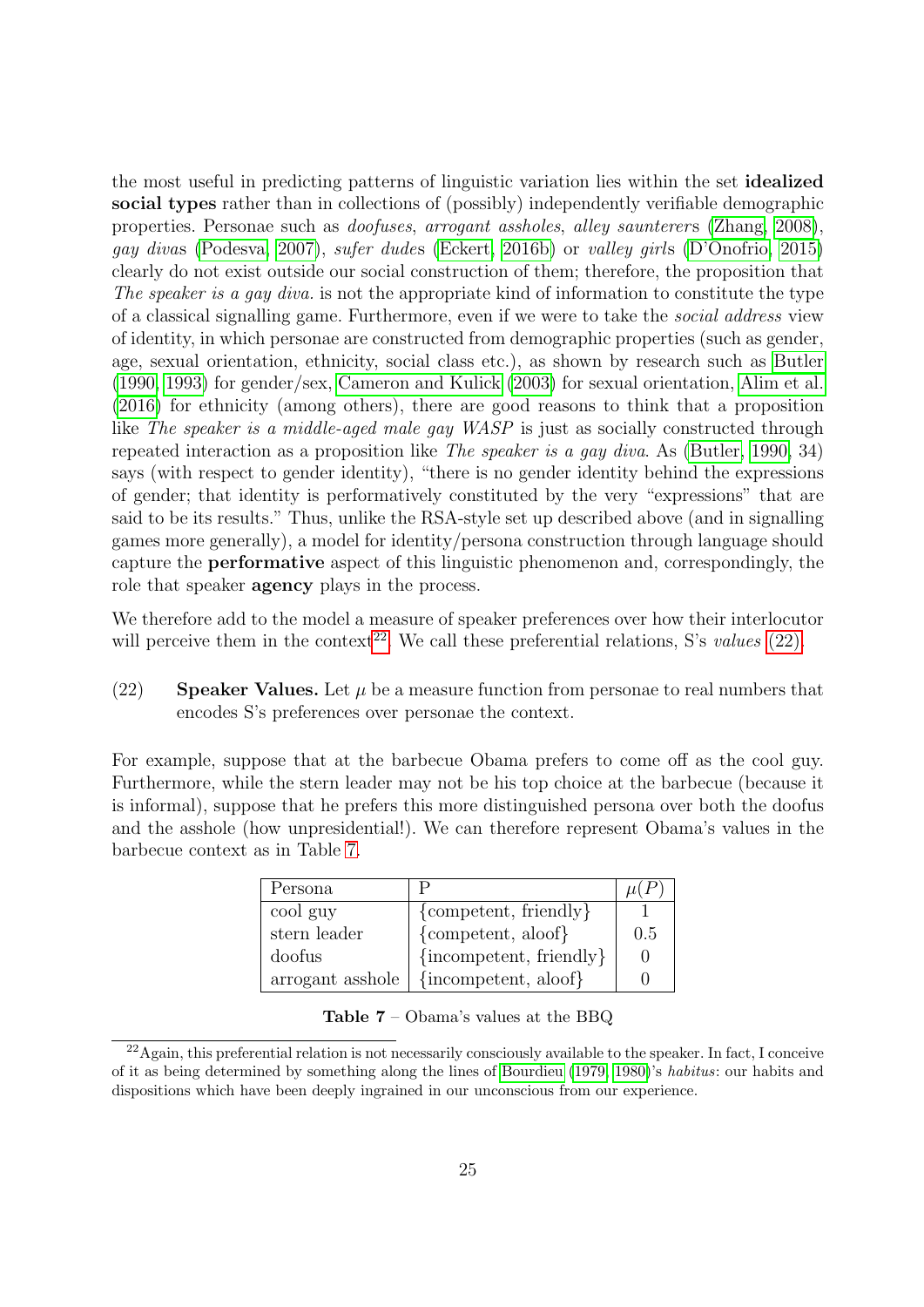the most useful in predicting patterns of linguistic variation lies within the set idealized social types rather than in collections of (possibly) independently verifiable demographic properties. Personae such as *doofuses*, arrogant assholes, alley saunterers [\(Zhang, 2008\)](#page-44-8), gay divas [\(Podesva, 2007\)](#page-42-10), sufer dudes [\(Eckert, 2016b\)](#page-39-16) or valley girls [\(D'Onofrio, 2015\)](#page-38-14) clearly do not exist outside our social construction of them; therefore, the proposition that The speaker is a gay diva. is not the appropriate kind of information to constitute the type of a classical signalling game. Furthermore, even if we were to take the social address view of identity, in which personae are constructed from demographic properties (such as gender, age, sexual orientation, ethnicity, social class etc.), as shown by research such as [Butler](#page-37-12) [\(1990,](#page-37-12) [1993\)](#page-37-13) for gender/sex, [Cameron and Kulick](#page-37-15) [\(2003\)](#page-37-15) for sexual orientation, [Alim et al.](#page-35-3) [\(2016\)](#page-35-3) for ethnicity (among others), there are good reasons to think that a proposition like The speaker is a middle-aged male gay WASP is just as socially constructed through repeated interaction as a proposition like The speaker is a gay diva. As [\(Butler, 1990,](#page-37-12) 34) says (with respect to gender identity), "there is no gender identity behind the expressions of gender; that identity is performatively constituted by the very "expressions" that are said to be its results." Thus, unlike the RSA-style set up described above (and in signalling games more generally), a model for identity/persona construction through language should capture the performative aspect of this linguistic phenomenon and, correspondingly, the role that speaker agency plays in the process.

We therefore add to the model a measure of speaker preferences over how their interlocutor will perceive them in the context<sup>[22](#page-24-0)</sup>. We call these preferential relations, S's values  $(22)$ .

<span id="page-24-1"></span>(22) Speaker Values. Let  $\mu$  be a measure function from personae to real numbers that encodes S's preferences over personae the context.

<span id="page-24-2"></span>For example, suppose that at the barbecue Obama prefers to come off as the cool guy. Furthermore, while the stern leader may not be his top choice at the barbecue (because it is informal), suppose that he prefers this more distinguished persona over both the doofus and the asshole (how unpresidential!). We can therefore represent Obama's values in the barbecue context as in Table [7.](#page-24-2)

| Persona          |                           |     |
|------------------|---------------------------|-----|
| cool guy         | ${competent, friendly}$   |     |
| stern leader     | ${competent, a$ loof $}$  | 0.5 |
| doofus           | $\{incompact, friendly\}$ |     |
| arrogant asshole | {incompetent, aloof}      |     |

Table 7 – Obama's values at the BBQ

<span id="page-24-0"></span> $^{22}$ Again, this preferential relation is not necessarily consciously available to the speaker. In fact, I conceive of it as being determined by something along the lines of [Bourdieu](#page-36-7) [\(1979,](#page-36-7) [1980\)](#page-36-8)'s habitus: our habits and dispositions which have been deeply ingrained in our unconscious from our experience.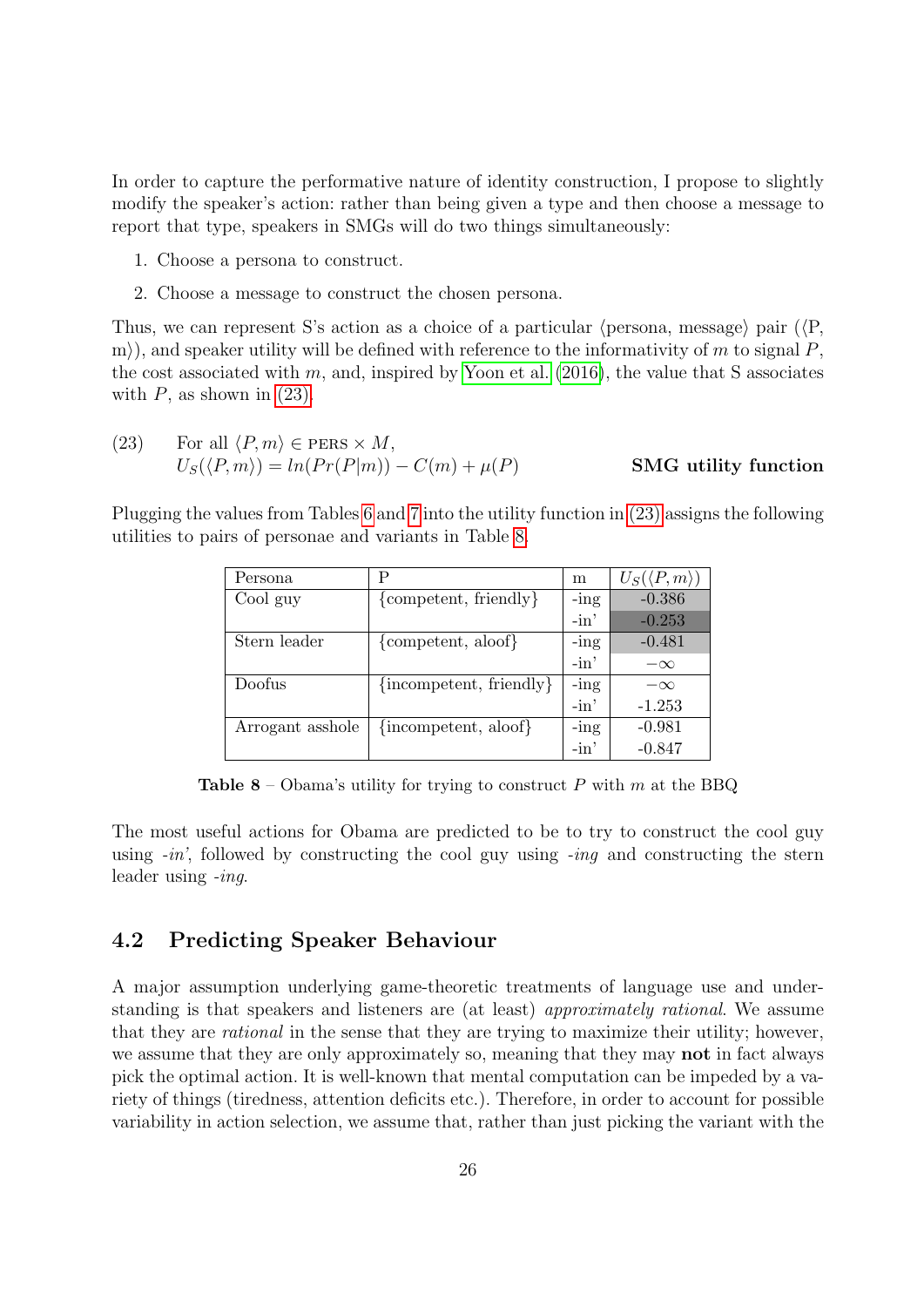In order to capture the performative nature of identity construction, I propose to slightly modify the speaker's action: rather than being given a type and then choose a message to report that type, speakers in SMGs will do two things simultaneously:

- 1. Choose a persona to construct.
- 2. Choose a message to construct the chosen persona.

Thus, we can represent S's action as a choice of a particular (persona, message) pair ( $\langle P$ , m), and speaker utility will be defined with reference to the informativity of m to signal  $P$ , the cost associated with m, and, inspired by [Yoon et al.](#page-44-11)  $(2016)$ , the value that S associates with  $P$ , as shown in  $(23)$ .

<span id="page-25-0"></span>

| (23) | For all $\langle P,m \rangle \in PERS \times M$ , |                      |
|------|---------------------------------------------------|----------------------|
|      | $U_S(\langle P,m\rangle)=ln(Pr(P m))-C(m)+\mu(P)$ | SMG utility function |

<span id="page-25-1"></span>Plugging the values from Tables [6](#page-22-2) and [7](#page-24-2) into the utility function in [\(23\)](#page-25-0) assigns the following utilities to pairs of personae and variants in Table [8.](#page-25-1)

| Persona          | Р                                          | m       | $U_S(\langle P,m \rangle)$ |
|------------------|--------------------------------------------|---------|----------------------------|
| Cool guy         | ${competent, friendly}$                    | $-$ ing | $-0.386$                   |
|                  |                                            | $-in'$  | $-0.253$                   |
| Stern leader     | {competent, aloof}                         | $-$ ing | $-0.481$                   |
|                  |                                            | $-in'$  | $-\infty$                  |
| Doofus           | $\{in\text{component}, \text{ friendly}\}$ | $-$ ing | $-\infty$                  |
|                  |                                            | $-in'$  | $-1.253$                   |
| Arrogant asshole | {incompetent, aloof}                       | $-$ ing | $-0.981$                   |
|                  |                                            | $-in'$  | $-0.847$                   |

**Table 8** – Obama's utility for trying to construct P with m at the BBQ

The most useful actions for Obama are predicted to be to try to construct the cool guy using  $-in'$ , followed by constructing the cool guy using  $-inq$  and constructing the stern leader using -inq.

### 4.2 Predicting Speaker Behaviour

A major assumption underlying game-theoretic treatments of language use and understanding is that speakers and listeners are (at least) approximately rational. We assume that they are *rational* in the sense that they are trying to maximize their utility; however, we assume that they are only approximately so, meaning that they may **not** in fact always pick the optimal action. It is well-known that mental computation can be impeded by a variety of things (tiredness, attention deficits etc.). Therefore, in order to account for possible variability in action selection, we assume that, rather than just picking the variant with the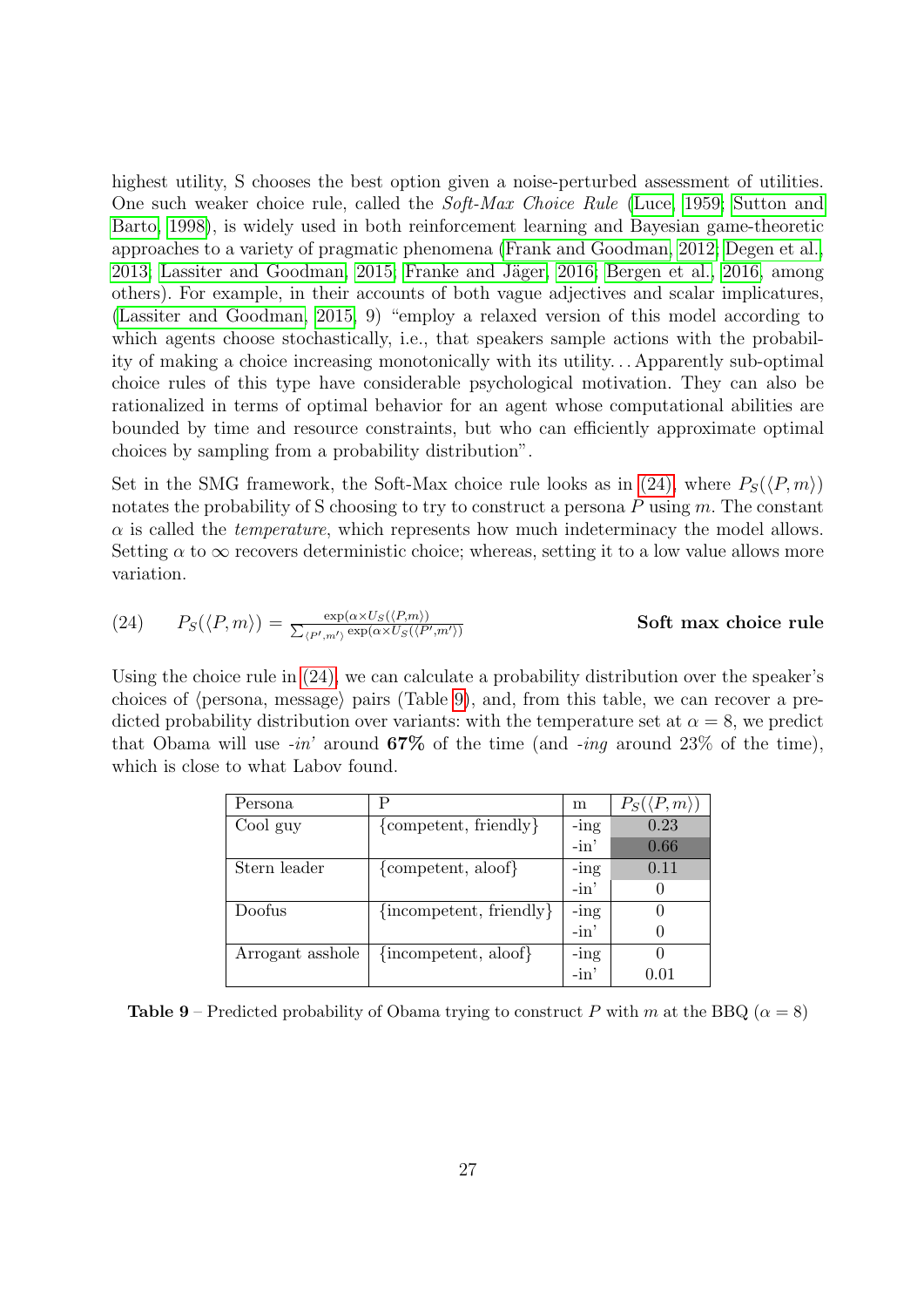highest utility, S chooses the best option given a noise-perturbed assessment of utilities. One such weaker choice rule, called the Soft-Max Choice Rule [\(Luce, 1959;](#page-41-14) [Sutton and](#page-43-14) [Barto, 1998\)](#page-43-14), is widely used in both reinforcement learning and Bayesian game-theoretic approaches to a variety of pragmatic phenomena [\(Frank and Goodman, 2012;](#page-39-12) [Degen et al.,](#page-38-15) [2013;](#page-38-15) [Lassiter and Goodman, 2015;](#page-41-15) Franke and Jäger, 2016; [Bergen et al., 2016,](#page-36-9) among others). For example, in their accounts of both vague adjectives and scalar implicatures, [\(Lassiter and Goodman, 2015,](#page-41-15) 9) "employ a relaxed version of this model according to which agents choose stochastically, i.e., that speakers sample actions with the probability of making a choice increasing monotonically with its utility. . . Apparently sub-optimal choice rules of this type have considerable psychological motivation. They can also be rationalized in terms of optimal behavior for an agent whose computational abilities are bounded by time and resource constraints, but who can efficiently approximate optimal choices by sampling from a probability distribution".

Set in the SMG framework, the Soft-Max choice rule looks as in [\(24\),](#page-26-0) where  $P_S(\langle P, m \rangle)$ notates the probability of S choosing to try to construct a persona  $P$  using  $m$ . The constant  $\alpha$  is called the *temperature*, which represents how much indeterminacy the model allows. Setting  $\alpha$  to  $\infty$  recovers deterministic choice; whereas, setting it to a low value allows more variation.

<span id="page-26-0"></span>(24) 
$$
P_S(\langle P,m\rangle) = \frac{\exp(\alpha \times U_S(\langle P,m\rangle))}{\sum_{\langle P',m'\rangle} \exp(\alpha \times U_S(\langle P',m'\rangle))}
$$
 Soft max choice rule

Using the choice rule in [\(24\),](#page-26-0) we can calculate a probability distribution over the speaker's choices of  $\langle$  persona, message $\rangle$  pairs (Table [9\)](#page-26-1), and, from this table, we can recover a predicted probability distribution over variants: with the temperature set at  $\alpha = 8$ , we predict that Obama will use  $-in'$  around 67% of the time (and  $-inq$  around 23% of the time), which is close to what Labov found.

<span id="page-26-1"></span>

| Persona          | Р                                          | m       | $P_S(\langle P,m \rangle)$ |
|------------------|--------------------------------------------|---------|----------------------------|
| Cool guy         | ${competent, friendly}$                    | $-$ ing | 0.23                       |
|                  |                                            | $-in'$  | 0.66                       |
| Stern leader     | ${competent, a$ loof $}$                   | $-$ ing | 0.11                       |
|                  |                                            | $-in'$  |                            |
| Doofus           | $\{in\text{component}, \text{ friendly}\}$ | $-$ ing |                            |
|                  |                                            | $-in'$  |                            |
| Arrogant asshole | {incompetent, aloof}                       | $-$ ing |                            |
|                  |                                            | $-in'$  | 101                        |

**Table 9** – Predicted probability of Obama trying to construct P with m at the BBQ ( $\alpha = 8$ )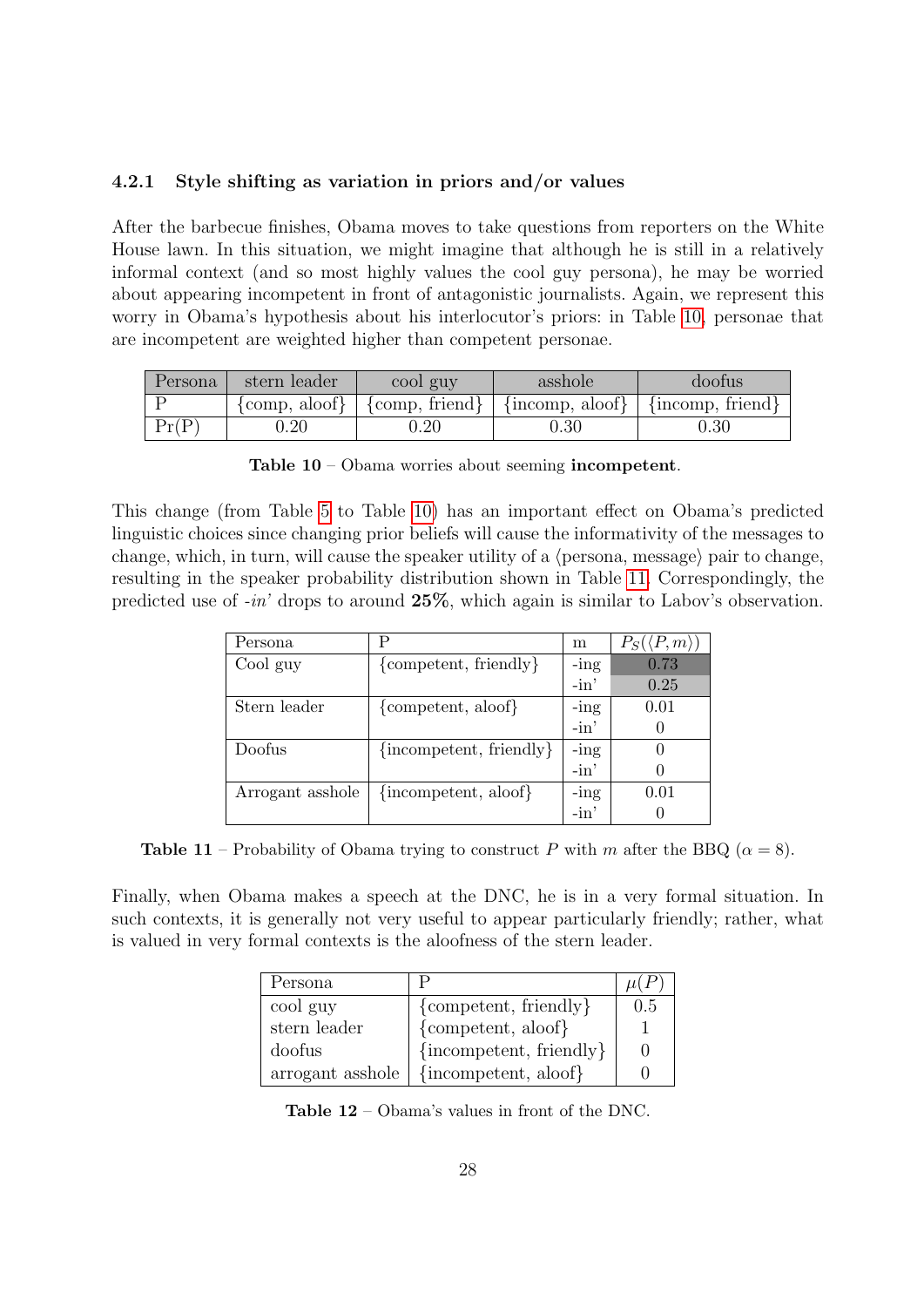#### 4.2.1 Style shifting as variation in priors and/or values

After the barbecue finishes, Obama moves to take questions from reporters on the White House lawn. In this situation, we might imagine that although he is still in a relatively informal context (and so most highly values the cool guy persona), he may be worried about appearing incompetent in front of antagonistic journalists. Again, we represent this worry in Obama's hypothesis about his interlocutor's priors: in Table [10,](#page-27-0) personae that are incompetent are weighted higher than competent personae.

<span id="page-27-0"></span>

| Persona | stern leader                      | cool guy                                     | asshole                                     | doofus                   |
|---------|-----------------------------------|----------------------------------------------|---------------------------------------------|--------------------------|
|         | $\{\text{comp}, \text{aloof}\}\;$ | $\langle \text{comp}, \text{friend} \rangle$ | $\frac{1}{2}$ {incomp, aloof} $\frac{1}{2}$ | $\vert$ {incomp, friend} |
| Pr(P)   | 0.20                              | 0.20                                         | ${).}30$                                    | $0.30\,$                 |

Table 10 – Obama worries about seeming incompetent.

This change (from Table [5](#page-22-0) to Table [10\)](#page-27-0) has an important effect on Obama's predicted linguistic choices since changing prior beliefs will cause the informativity of the messages to change, which, in turn, will cause the speaker utility of a  $\langle$  persona, message $\rangle$  pair to change, resulting in the speaker probability distribution shown in Table [11.](#page-27-1) Correspondingly, the predicted use of -in' drops to around 25%, which again is similar to Labov's observation.

<span id="page-27-1"></span>

| Persona          | Р                                          | m       | $P_S(\langle P,m \rangle)$ |
|------------------|--------------------------------------------|---------|----------------------------|
| Cool guy         | {competent, friendly}                      | $-$ ing | 0.73                       |
|                  |                                            | $-in'$  | 0.25                       |
| Stern leader     | {competent, aloof}                         | $-$ ing | 0.01                       |
|                  |                                            | $-in'$  |                            |
| Doofus           | $\{in\text{component}, \text{ friendly}\}$ | -ing    |                            |
|                  |                                            | $-in'$  |                            |
| Arrogant asshole | $\{in\text{component}, \text{aloof}\}\$    | $-$ ing | 0.01                       |
|                  |                                            | $-in'$  |                            |

**Table 11** – Probability of Obama trying to construct P with m after the BBQ ( $\alpha = 8$ ).

<span id="page-27-2"></span>Finally, when Obama makes a speech at the DNC, he is in a very formal situation. In such contexts, it is generally not very useful to appear particularly friendly; rather, what is valued in very formal contexts is the aloofness of the stern leader.

| Persona          |                                            |     |
|------------------|--------------------------------------------|-----|
| cool guy         | ${competent, friendly}$                    | 0.5 |
| stern leader     | ${competent, a$ loof $}$                   |     |
| doofus           | $\{in\text{component}, \text{ friendly}\}$ |     |
| arrogant asshole | {incompetent, aloof}                       |     |

Table 12 – Obama's values in front of the DNC.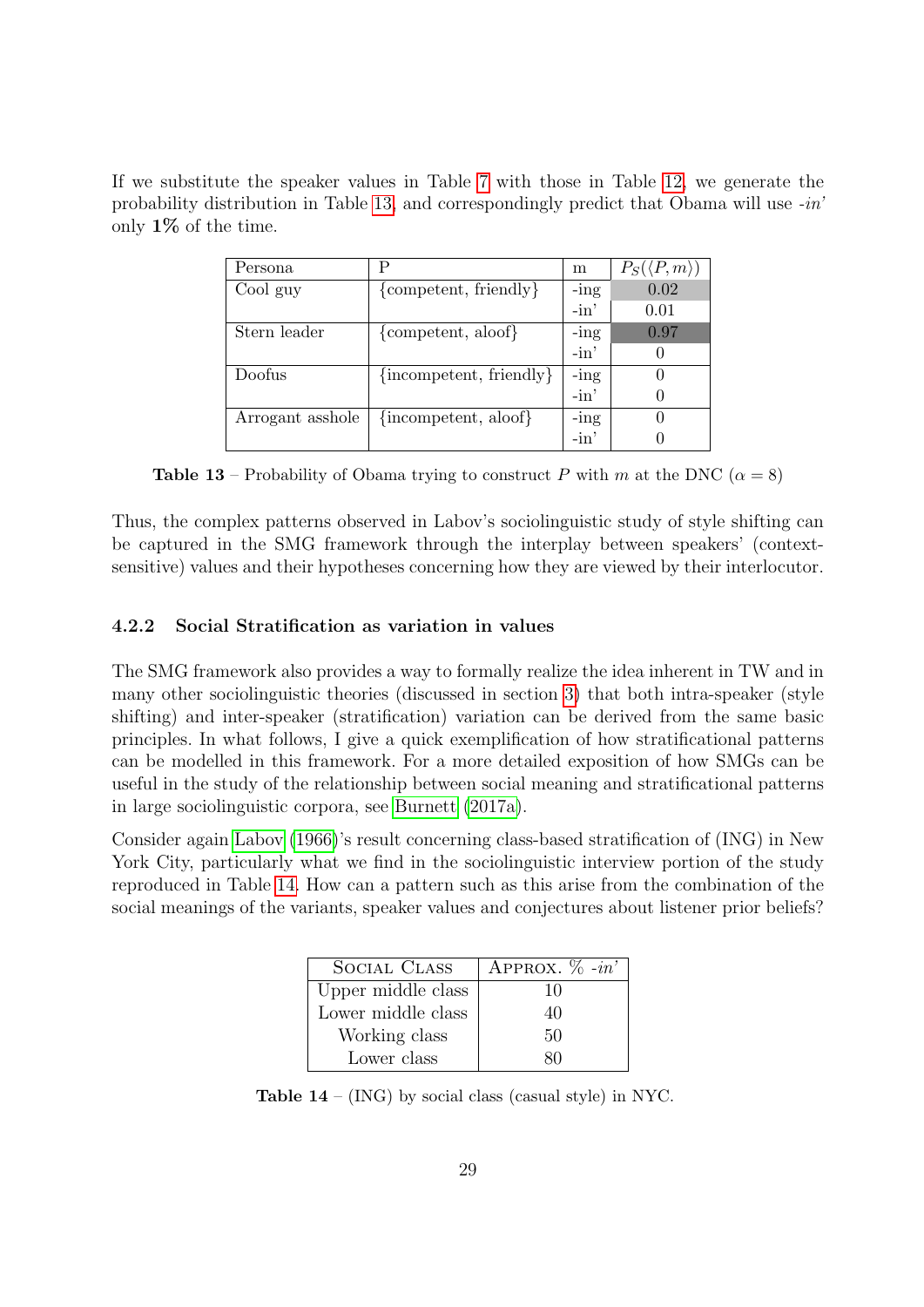<span id="page-28-1"></span>If we substitute the speaker values in Table [7](#page-24-2) with those in Table [12,](#page-27-2) we generate the probability distribution in Table [13,](#page-28-1) and correspondingly predict that Obama will use  $\text{-}in'$ only 1% of the time.

| Persona          | Р                                          | m       | $P_S(\langle P,m \rangle)$ |
|------------------|--------------------------------------------|---------|----------------------------|
| Cool guy         | ${competent, friendly}$                    | $-$ ing | 0.02                       |
|                  |                                            | $-in'$  | 0.01                       |
| Stern leader     | ${competent, a$ loof $}$                   | $-$ ing | 0.97                       |
|                  |                                            | $-in'$  |                            |
| Doofus           | $\{in\text{component}, \text{ friendly}\}$ | $-$ ing |                            |
|                  |                                            | $-in'$  |                            |
| Arrogant asshole | $\{in\text{component}, \text{aloof}\}\$    | $-$ ing |                            |
|                  |                                            | $-in'$  |                            |

**Table 13** – Probability of Obama trying to construct P with m at the DNC ( $\alpha = 8$ )

Thus, the complex patterns observed in Labov's sociolinguistic study of style shifting can be captured in the SMG framework through the interplay between speakers' (contextsensitive) values and their hypotheses concerning how they are viewed by their interlocutor.

#### <span id="page-28-0"></span>4.2.2 Social Stratification as variation in values

The SMG framework also provides a way to formally realize the idea inherent in TW and in many other sociolinguistic theories (discussed in section [3\)](#page-9-0) that both intra-speaker (style shifting) and inter-speaker (stratification) variation can be derived from the same basic principles. In what follows, I give a quick exemplification of how stratificational patterns can be modelled in this framework. For a more detailed exposition of how SMGs can be useful in the study of the relationship between social meaning and stratificational patterns in large sociolinguistic corpora, see [Burnett](#page-37-16) [\(2017a\)](#page-37-16).

<span id="page-28-2"></span>Consider again [Labov](#page-40-1) [\(1966\)](#page-40-1)'s result concerning class-based stratification of (ING) in New York City, particularly what we find in the sociolinguistic interview portion of the study reproduced in Table [14.](#page-28-2) How can a pattern such as this arise from the combination of the social meanings of the variants, speaker values and conjectures about listener prior beliefs?

| <b>SOCIAL CLASS</b> | APPROX. $\%$ -in' |
|---------------------|-------------------|
| Upper middle class  | 10                |
| Lower middle class  | 40                |
| Working class       | 50                |
| Lower class         |                   |

**Table 14** – (ING) by social class (casual style) in NYC.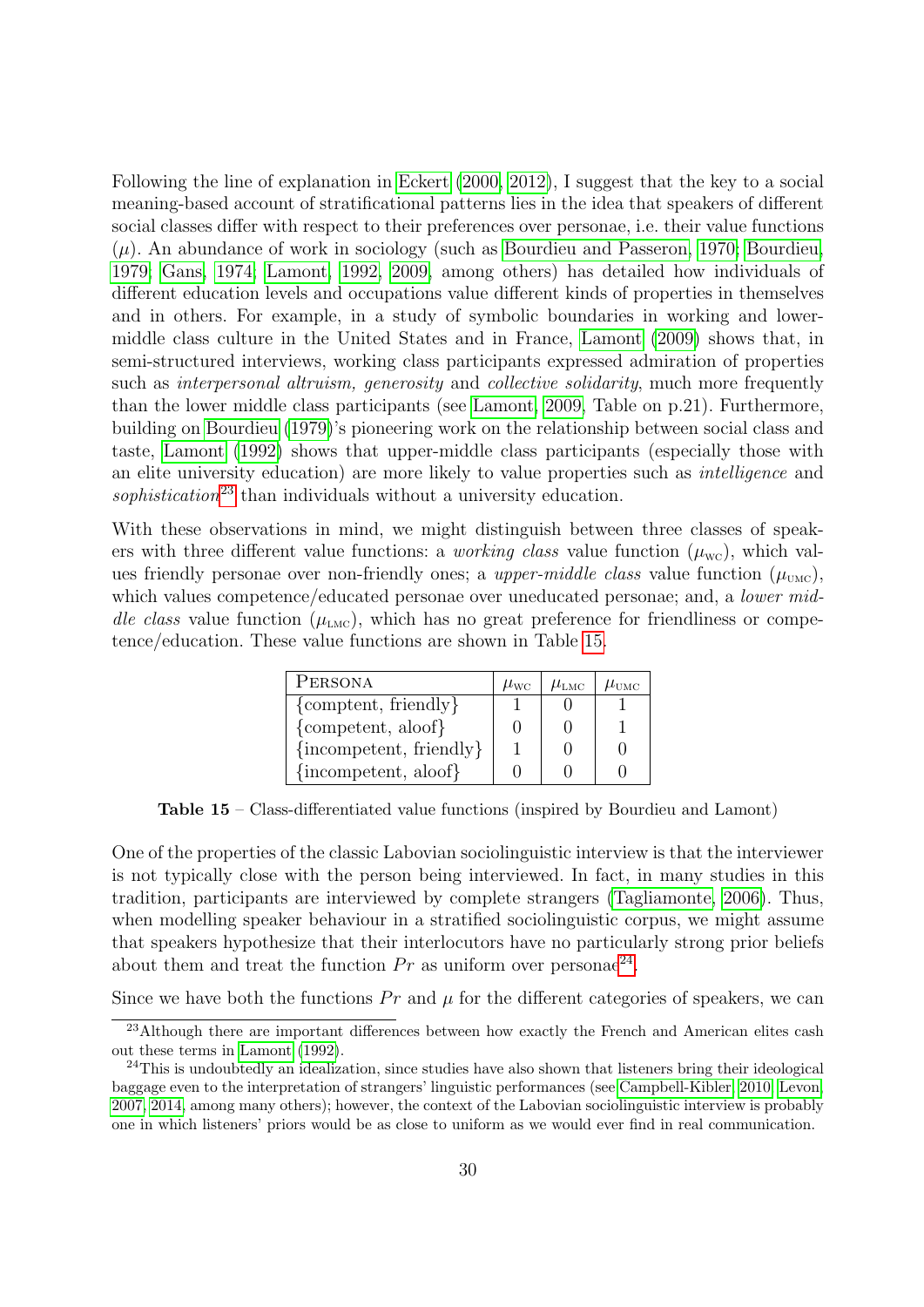Following the line of explanation in [Eckert](#page-39-10) [\(2000,](#page-39-10) [2012\)](#page-39-3), I suggest that the key to a social meaning-based account of stratificational patterns lies in the idea that speakers of different social classes differ with respect to their preferences over personae, i.e. their value functions  $(\mu)$ . An abundance of work in sociology (such as [Bourdieu and Passeron, 1970;](#page-36-6) [Bourdieu,](#page-36-7) [1979;](#page-36-7) [Gans, 1974;](#page-39-17) [Lamont, 1992,](#page-40-17) [2009,](#page-41-9) among others) has detailed how individuals of different education levels and occupations value different kinds of properties in themselves and in others. For example, in a study of symbolic boundaries in working and lowermiddle class culture in the United States and in France, [Lamont](#page-41-9) [\(2009\)](#page-41-9) shows that, in semi-structured interviews, working class participants expressed admiration of properties such as interpersonal altruism, generosity and collective solidarity, much more frequently than the lower middle class participants (see [Lamont, 2009,](#page-41-9) Table on p.21). Furthermore, building on [Bourdieu](#page-36-7) [\(1979\)](#page-36-7)'s pioneering work on the relationship between social class and taste, [Lamont](#page-40-17) [\(1992\)](#page-40-17) shows that upper-middle class participants (especially those with an elite university education) are more likely to value properties such as intelligence and sophistication<sup>[23](#page-29-0)</sup> than individuals without a university education.

<span id="page-29-1"></span>With these observations in mind, we might distinguish between three classes of speakers with three different value functions: a *working class* value function  $(\mu_{\rm wc})$ , which values friendly personae over non-friendly ones; a *upper-middle class* value function  $(\mu_{\text{unc}})$ , which values competence/educated personae over uneducated personae; and, a *lower mid*dle class value function  $(\mu_{LMC})$ , which has no great preference for friendliness or competence/education. These value functions are shown in Table [15.](#page-29-1)

| PERSONA                                    | $\mu_{\text{wc}}$ | $\mu_{\text{\tiny LMC}}$ | $\mu_{\text{\tiny UMC}}$ |
|--------------------------------------------|-------------------|--------------------------|--------------------------|
| ${comptent, friendly}$                     |                   |                          |                          |
| ${competent, aloor}$                       |                   |                          |                          |
| $\{in\text{component}, \text{ friendly}\}$ |                   |                          |                          |
| {incompetent, aloof}                       |                   |                          |                          |

Table 15 – Class-differentiated value functions (inspired by Bourdieu and Lamont)

One of the properties of the classic Labovian sociolinguistic interview is that the interviewer is not typically close with the person being interviewed. In fact, in many studies in this tradition, participants are interviewed by complete strangers [\(Tagliamonte, 2006\)](#page-43-15). Thus, when modelling speaker behaviour in a stratified sociolinguistic corpus, we might assume that speakers hypothesize that their interlocutors have no particularly strong prior beliefs about them and treat the function  $Pr$  as uniform over personae<sup>[24](#page-29-2)</sup>.

Since we have both the functions  $Pr$  and  $\mu$  for the different categories of speakers, we can

<span id="page-29-0"></span><sup>&</sup>lt;sup>23</sup>Although there are important differences between how exactly the French and American elites cash out these terms in [Lamont](#page-40-17) [\(1992\)](#page-40-17).

<span id="page-29-2"></span><sup>&</sup>lt;sup>24</sup>This is undoubtedly an idealization, since studies have also shown that listeners bring their ideological baggage even to the interpretation of strangers' linguistic performances (see [Campbell-Kibler, 2010;](#page-37-17) [Levon,](#page-41-16) [2007,](#page-41-16) [2014,](#page-41-17) among many others); however, the context of the Labovian sociolinguistic interview is probably one in which listeners' priors would be as close to uniform as we would ever find in real communication.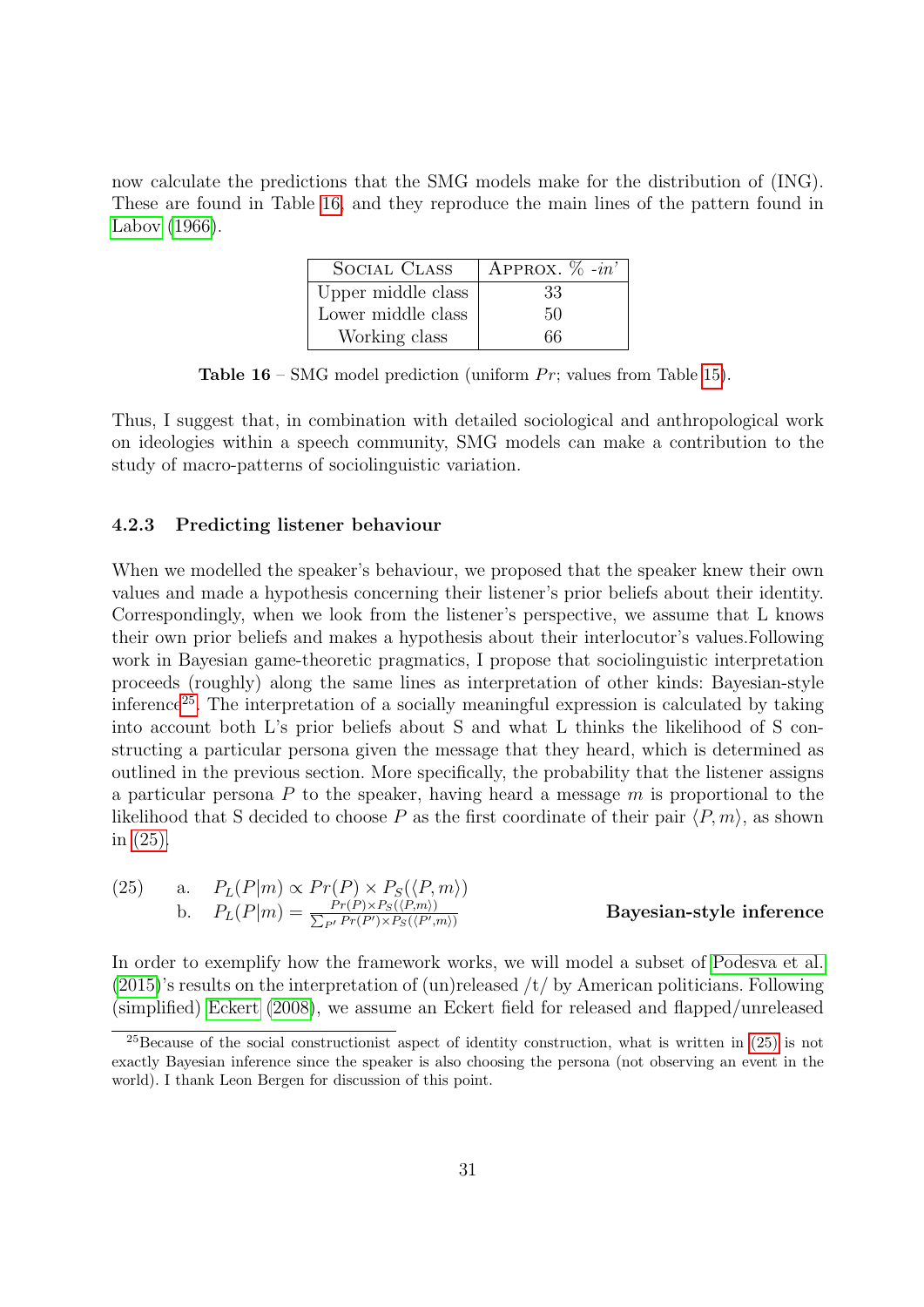<span id="page-30-0"></span>now calculate the predictions that the SMG models make for the distribution of (ING). These are found in Table [16,](#page-30-0) and they reproduce the main lines of the pattern found in [Labov](#page-40-1) [\(1966\)](#page-40-1).

| <b>SOCIAL CLASS</b> | APPROX. $\%$ -in' |
|---------------------|-------------------|
| Upper middle class  | 33                |
| Lower middle class  | 50                |
| Working class       | 66                |

**Table 16** – SMG model prediction (uniform  $Pr$ ; values from Table [15\)](#page-29-1).

Thus, I suggest that, in combination with detailed sociological and anthropological work on ideologies within a speech community, SMG models can make a contribution to the study of macro-patterns of sociolinguistic variation.

#### 4.2.3 Predicting listener behaviour

When we modelled the speaker's behaviour, we proposed that the speaker knew their own values and made a hypothesis concerning their listener's prior beliefs about their identity. Correspondingly, when we look from the listener's perspective, we assume that L knows their own prior beliefs and makes a hypothesis about their interlocutor's values.Following work in Bayesian game-theoretic pragmatics, I propose that sociolinguistic interpretation proceeds (roughly) along the same lines as interpretation of other kinds: Bayesian-style inference[25](#page-30-1). The interpretation of a socially meaningful expression is calculated by taking into account both L's prior beliefs about S and what L thinks the likelihood of S constructing a particular persona given the message that they heard, which is determined as outlined in the previous section. More specifically, the probability that the listener assigns a particular persona  $P$  to the speaker, having heard a message  $m$  is proportional to the likelihood that S decided to choose P as the first coordinate of their pair  $\langle P, m \rangle$ , as shown in [\(25\).](#page-30-2)

<span id="page-30-2"></span>(25) a. 
$$
P_L(P|m) \propto Pr(P) \times P_S(\langle P,m \rangle)
$$
  
b.  $P_L(P|m) = \frac{Pr(P) \times P_S(\langle P,m \rangle)}{\sum_{P'} Pr(P') \times P_S(\langle P',m \rangle)}$  Bayesian-style inference

In order to exemplify how the framework works, we will model a subset of [Podesva et al.](#page-42-4)  $(2015)$ 's results on the interpretation of (un)released /t/ by American politicians. Following (simplified) [Eckert](#page-39-6) [\(2008\)](#page-39-6), we assume an Eckert field for released and flapped/unreleased

<span id="page-30-1"></span> $^{25}$ Because of the social constructionist aspect of identity construction, what is written in [\(25\)](#page-30-2) is not exactly Bayesian inference since the speaker is also choosing the persona (not observing an event in the world). I thank Leon Bergen for discussion of this point.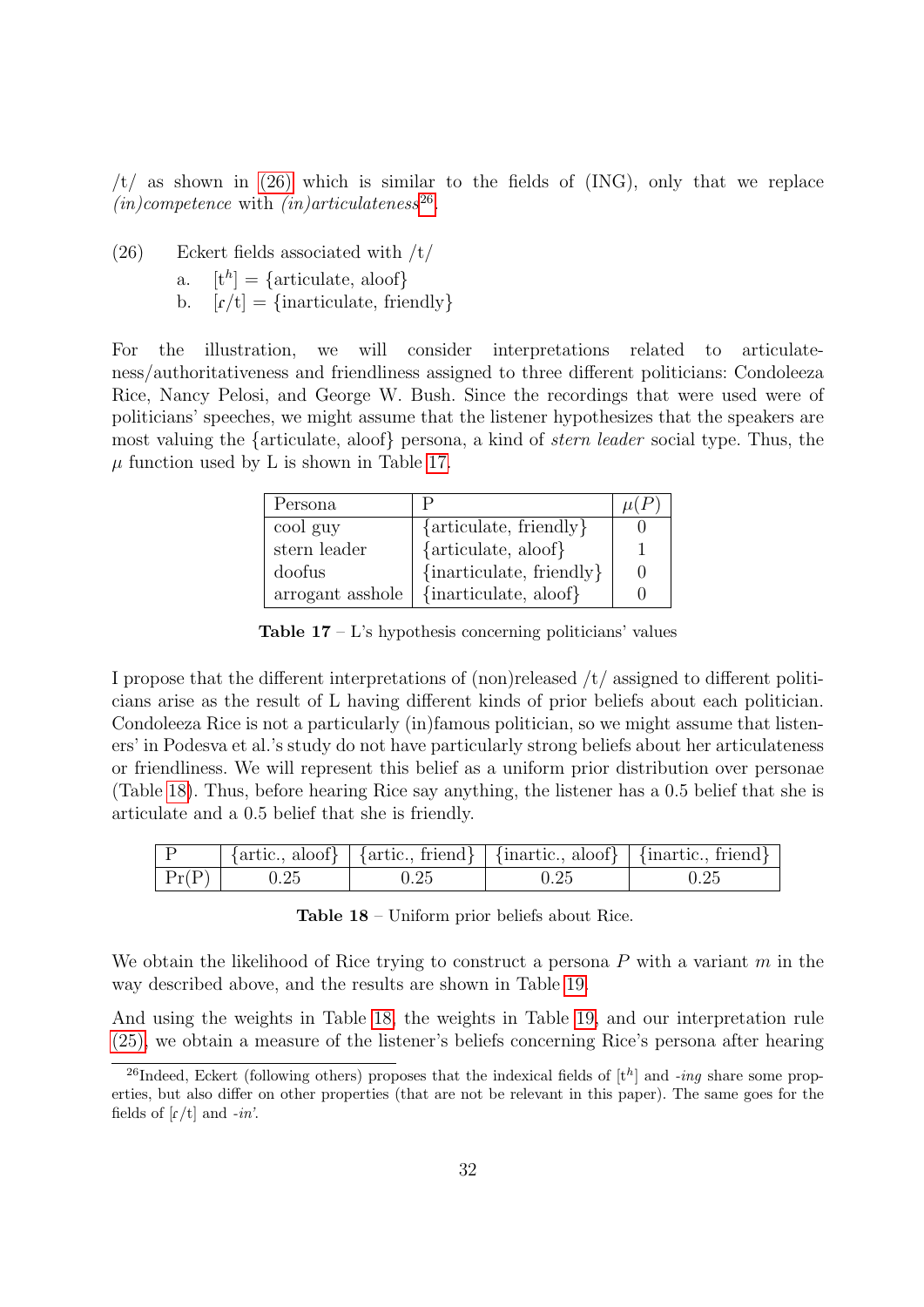$/t/$  as shown in [\(26\)](#page-31-0) which is similar to the fields of (ING), only that we replace  $(in) competence$  with  $(in)articulates<sup>26</sup>$  $(in)articulates<sup>26</sup>$  $(in)articulates<sup>26</sup>$ .

<span id="page-31-0"></span> $(26)$  Eckert fields associated with  $/t/$ a.  $[t^h] = \{$ articulate, aloof $\}$ b.  $[r/t] = \{inarticular, friendly\}$ 

<span id="page-31-2"></span>For the illustration, we will consider interpretations related to articulateness/authoritativeness and friendliness assigned to three different politicians: Condoleeza Rice, Nancy Pelosi, and George W. Bush. Since the recordings that were used were of politicians' speeches, we might assume that the listener hypothesizes that the speakers are most valuing the {articulate, aloof} persona, a kind of stern leader social type. Thus, the  $\mu$  function used by L is shown in Table [17.](#page-31-2)

| Persona          |                                |  |
|------------------|--------------------------------|--|
| cool guy         | $\{$ articulate, friendly $\}$ |  |
| stern leader     | {articulate, aloof}            |  |
| doofus           | $\{inarticular, friendly\}$    |  |
| arrogant asshole | {inarticulate, aloof}          |  |

**Table 17** – L's hypothesis concerning politicians' values

I propose that the different interpretations of (non)released  $/t/$  assigned to different politicians arise as the result of L having different kinds of prior beliefs about each politician. Condoleeza Rice is not a particularly (in)famous politician, so we might assume that listeners' in Podesva et al.'s study do not have particularly strong beliefs about her articulateness or friendliness. We will represent this belief as a uniform prior distribution over personae (Table [18\)](#page-31-3). Thus, before hearing Rice say anything, the listener has a 0.5 belief that she is articulate and a 0.5 belief that she is friendly.

<span id="page-31-3"></span>

|                 |      |      |      | $\vert$ {artic., aloof} $\vert$ {artic., friend} $\vert$ {inartic., aloof} $\vert$ {inartic., friend} $\vert$ |
|-----------------|------|------|------|---------------------------------------------------------------------------------------------------------------|
| $ {\rm Pr}(P) $ | 0.25 | 0.25 | 0.25 |                                                                                                               |

Table 18 – Uniform prior beliefs about Rice.

We obtain the likelihood of Rice trying to construct a persona  $P$  with a variant  $m$  in the way described above, and the results are shown in Table [19.](#page-32-0)

And using the weights in Table [18,](#page-31-3) the weights in Table [19,](#page-32-0) and our interpretation rule [\(25\),](#page-30-2) we obtain a measure of the listener's beliefs concerning Rice's persona after hearing

<span id="page-31-1"></span><sup>&</sup>lt;sup>26</sup>Indeed, Eckert (following others) proposes that the indexical fields of  $[t^h]$  and -ing share some properties, but also differ on other properties (that are not be relevant in this paper). The same goes for the fields of  $\lceil r/t \rceil$  and  $-in'$ .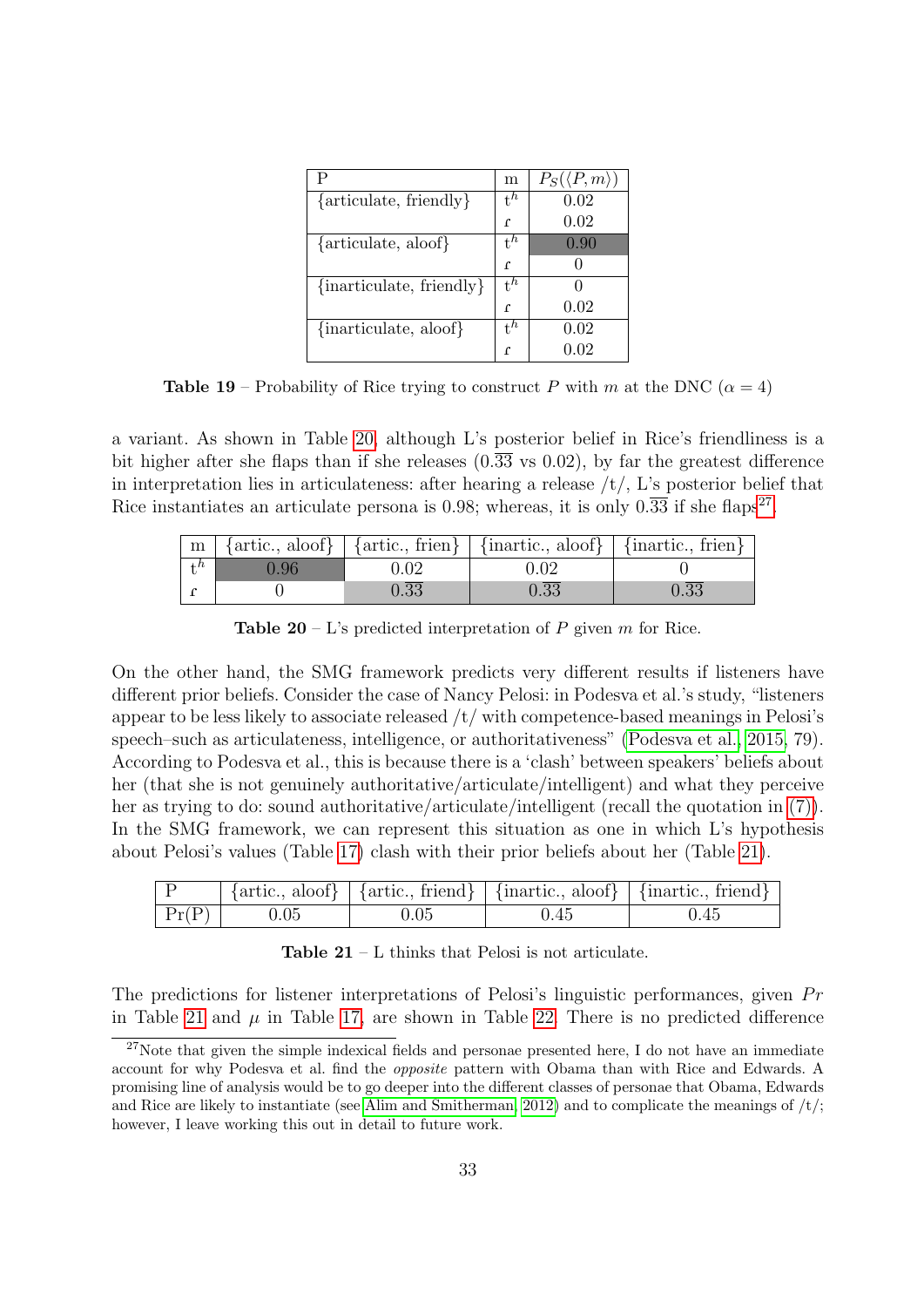<span id="page-32-0"></span>

| Р                              | m              | $P_S(\langle P,m \rangle)$ |
|--------------------------------|----------------|----------------------------|
| $\{$ articulate, friendly $\}$ | $t^h$          | 0.02                       |
|                                | ſ              | 0.02                       |
| $\{$ articulate, aloof $\}$    | $t^h$          | 0.90                       |
|                                | ſ              |                            |
| $\{inarticular, friendly\}$    | $t^h$          |                            |
|                                | ſ              | 0.02                       |
| {inarticulate, aloof}          | $\mathbf{t}^h$ | 0.02                       |
|                                |                |                            |

**Table 19** – Probability of Rice trying to construct P with m at the DNC ( $\alpha = 4$ )

a variant. As shown in Table [20,](#page-32-1) although L's posterior belief in Rice's friendliness is a bit higher after she flaps than if she releases  $(0.\overline{33} \text{ vs } 0.02)$ , by far the greatest difference in interpretation lies in articulateness: after hearing a release  $/t$ , L's posterior belief that Rice instantiates an articulate persona is 0.98; whereas, it is only  $0.\overline{33}$  if she flaps<sup>[27](#page-32-2)</sup>.

<span id="page-32-1"></span>

|      |      | $\mid m \mid$ {artic., aloof} $\mid$ {artic., frien} $\mid$ {inartic., aloof} $\mid$ {inartic., frien} |                   |
|------|------|--------------------------------------------------------------------------------------------------------|-------------------|
| 0.96 | 0.02 |                                                                                                        |                   |
|      | 0.33 | 0.33                                                                                                   | $0.\overline{33}$ |

**Table 20** – L's predicted interpretation of  $P$  given  $m$  for Rice.

On the other hand, the SMG framework predicts very different results if listeners have different prior beliefs. Consider the case of Nancy Pelosi: in Podesva et al.'s study, "listeners appear to be less likely to associate released  $/t$  with competence-based meanings in Pelosi's speech–such as articulateness, intelligence, or authoritativeness" [\(Podesva et al., 2015,](#page-42-4) 79). According to Podesva et al., this is because there is a 'clash' between speakers' beliefs about her (that she is not genuinely authoritative/articulate/intelligent) and what they perceive her as trying to do: sound authoritative/articulate/intelligent (recall the quotation in [\(7\)\)](#page-5-2). In the SMG framework, we can represent this situation as one in which L's hypothesis about Pelosi's values (Table [17\)](#page-31-2) clash with their prior beliefs about her (Table [21\)](#page-32-3).

<span id="page-32-3"></span>

|       |      |          |      | $\{ \text{artic., a} \} \mid \{ \text{artic., friend} \} \mid \{ \text{inartic., a} \} \mid \{ \text{inartic., friend} \}$ |
|-------|------|----------|------|----------------------------------------------------------------------------------------------------------------------------|
| Pr(P) | 0.05 | $0.05\,$ | 0.45 | 0.45                                                                                                                       |

Table 21 – L thinks that Pelosi is not articulate.

The predictions for listener interpretations of Pelosi's linguistic performances, given  $Pr$ in Table [21](#page-32-3) and  $\mu$  in Table [17,](#page-31-2) are shown in Table [22.](#page-33-0) There is no predicted difference

<span id="page-32-2"></span><sup>&</sup>lt;sup>27</sup>Note that given the simple indexical fields and personae presented here, I do not have an immediate account for why Podesva et al. find the opposite pattern with Obama than with Rice and Edwards. A promising line of analysis would be to go deeper into the different classes of personae that Obama, Edwards and Rice are likely to instantiate (see [Alim and Smitherman, 2012\)](#page-35-4) and to complicate the meanings of  $/t$ ; however, I leave working this out in detail to future work.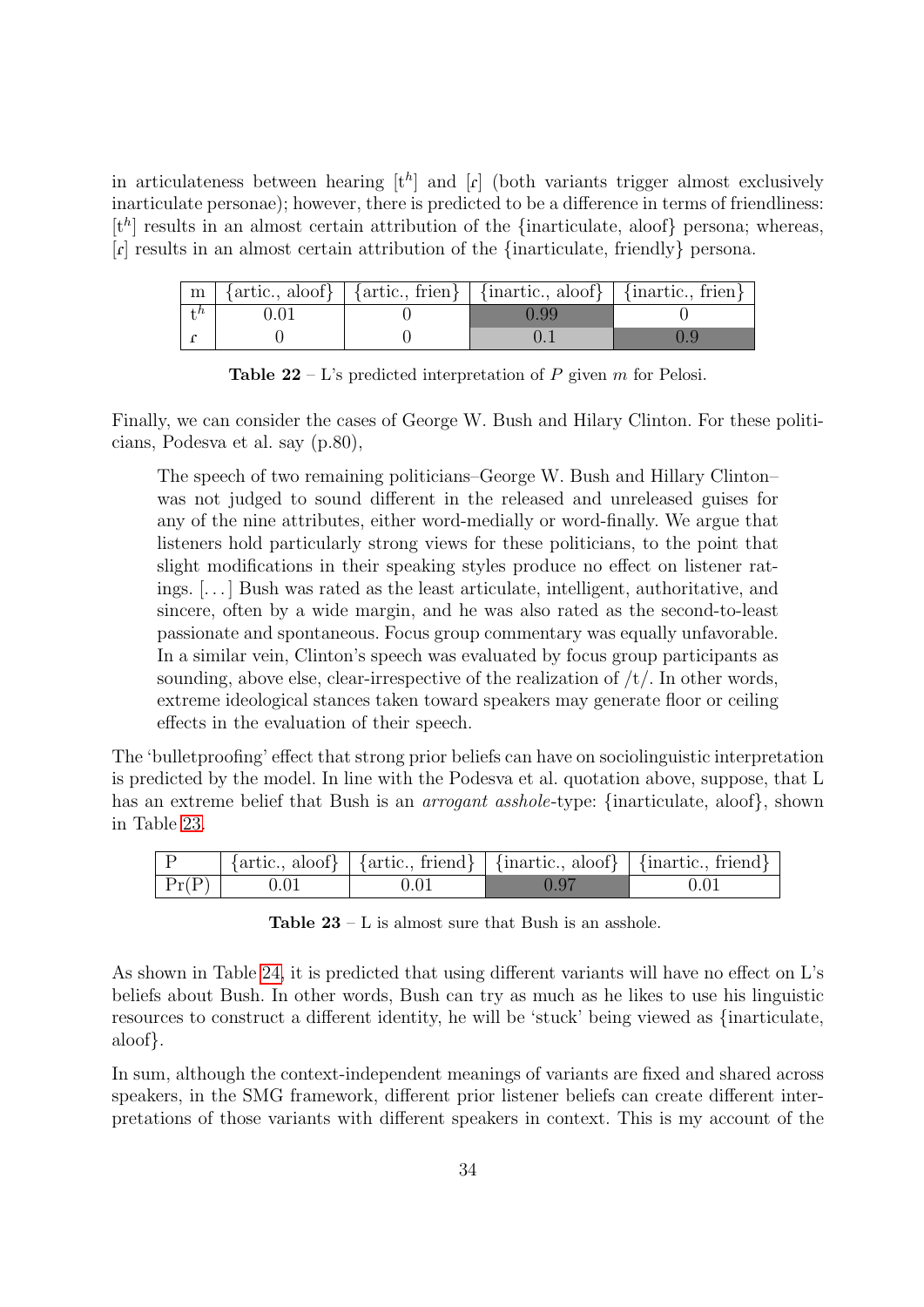in articulateness between hearing  $[t^h]$  and  $[r]$  (both variants trigger almost exclusively inarticulate personae); however, there is predicted to be a difference in terms of friendliness:  $[t<sup>h</sup>]$  results in an almost certain attribution of the {inarticulate, aloof} persona; whereas, [f] results in an almost certain attribution of the {inarticulate, friendly} persona.

<span id="page-33-0"></span>

|                  |  | $\mid m \mid$ {artic., aloof} $\mid$ {artic., frien} $\mid$ {inartic., aloof} $\mid$ {inartic., frien} $\mid$ |  |
|------------------|--|---------------------------------------------------------------------------------------------------------------|--|
| $+$ <sup>h</sup> |  | 0.99                                                                                                          |  |
|                  |  |                                                                                                               |  |

**Table 22** – L's predicted interpretation of P given m for Pelosi.

Finally, we can consider the cases of George W. Bush and Hilary Clinton. For these politicians, Podesva et al. say (p.80),

The speech of two remaining politicians–George W. Bush and Hillary Clinton– was not judged to sound different in the released and unreleased guises for any of the nine attributes, either word-medially or word-finally. We argue that listeners hold particularly strong views for these politicians, to the point that slight modifications in their speaking styles produce no effect on listener ratings. [. . . ] Bush was rated as the least articulate, intelligent, authoritative, and sincere, often by a wide margin, and he was also rated as the second-to-least passionate and spontaneous. Focus group commentary was equally unfavorable. In a similar vein, Clinton's speech was evaluated by focus group participants as sounding, above else, clear-irrespective of the realization of  $/t/$ . In other words, extreme ideological stances taken toward speakers may generate floor or ceiling effects in the evaluation of their speech.

The 'bulletproofing' effect that strong prior beliefs can have on sociolinguistic interpretation is predicted by the model. In line with the Podesva et al. quotation above, suppose, that L has an extreme belief that Bush is an *arrogant asshole*-type: {inarticulate, aloof}, shown in Table [23.](#page-33-1)

<span id="page-33-1"></span>

|                 |      |       | $\vert$ {artic., aloof} $\vert$ {artic., friend} $\vert$ {inartic., aloof} $\vert$ {inartic., friend} $\vert$ |
|-----------------|------|-------|---------------------------------------------------------------------------------------------------------------|
| $ {\rm Pr}(P) $ | 0.01 | -0.97 | 0.01                                                                                                          |

**Table 23** –  $L$  is almost sure that Bush is an asshole.

As shown in Table [24,](#page-34-1) it is predicted that using different variants will have no effect on L's beliefs about Bush. In other words, Bush can try as much as he likes to use his linguistic resources to construct a different identity, he will be 'stuck' being viewed as {inarticulate, aloof}.

In sum, although the context-independent meanings of variants are fixed and shared across speakers, in the SMG framework, different prior listener beliefs can create different interpretations of those variants with different speakers in context. This is my account of the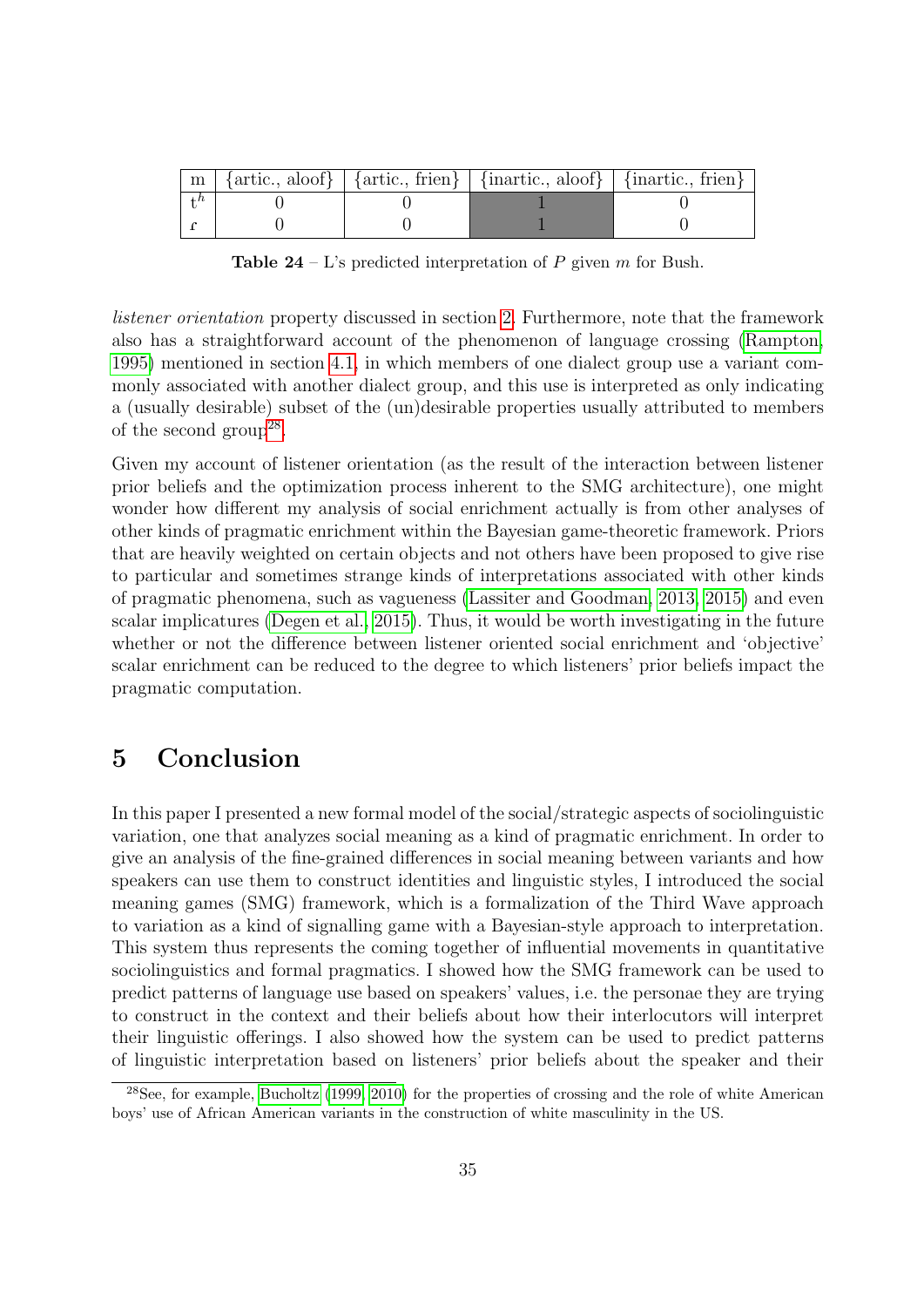<span id="page-34-1"></span>

|  | $\mid m \mid$ {artic., aloof} $\mid$ {artic., frien} $\mid$ {inartic., aloof} $\mid$ {inartic., frien} $\mid$ |  |
|--|---------------------------------------------------------------------------------------------------------------|--|
|  |                                                                                                               |  |
|  |                                                                                                               |  |

**Table 24** – L's predicted interpretation of P given m for Bush.

listener orientation property discussed in section [2.](#page-3-0) Furthermore, note that the framework also has a straightforward account of the phenomenon of language crossing [\(Rampton,](#page-42-14) [1995\)](#page-42-14) mentioned in section [4.1,](#page-18-2) in which members of one dialect group use a variant commonly associated with another dialect group, and this use is interpreted as only indicating a (usually desirable) subset of the (un)desirable properties usually attributed to members of the second group<sup>[28](#page-34-2)</sup>.

Given my account of listener orientation (as the result of the interaction between listener prior beliefs and the optimization process inherent to the SMG architecture), one might wonder how different my analysis of social enrichment actually is from other analyses of other kinds of pragmatic enrichment within the Bayesian game-theoretic framework. Priors that are heavily weighted on certain objects and not others have been proposed to give rise to particular and sometimes strange kinds of interpretations associated with other kinds of pragmatic phenomena, such as vagueness [\(Lassiter and Goodman, 2013,](#page-41-11) [2015\)](#page-41-15) and even scalar implicatures [\(Degen et al., 2015\)](#page-38-16). Thus, it would be worth investigating in the future whether or not the difference between listener oriented social enrichment and 'objective' scalar enrichment can be reduced to the degree to which listeners' prior beliefs impact the pragmatic computation.

# <span id="page-34-0"></span>5 Conclusion

In this paper I presented a new formal model of the social/strategic aspects of sociolinguistic variation, one that analyzes social meaning as a kind of pragmatic enrichment. In order to give an analysis of the fine-grained differences in social meaning between variants and how speakers can use them to construct identities and linguistic styles, I introduced the social meaning games (SMG) framework, which is a formalization of the Third Wave approach to variation as a kind of signalling game with a Bayesian-style approach to interpretation. This system thus represents the coming together of influential movements in quantitative sociolinguistics and formal pragmatics. I showed how the SMG framework can be used to predict patterns of language use based on speakers' values, i.e. the personae they are trying to construct in the context and their beliefs about how their interlocutors will interpret their linguistic offerings. I also showed how the system can be used to predict patterns of linguistic interpretation based on listeners' prior beliefs about the speaker and their

<span id="page-34-2"></span><sup>28</sup>See, for example, [Bucholtz](#page-36-11) [\(1999,](#page-36-11) [2010\)](#page-36-12) for the properties of crossing and the role of white American boys' use of African American variants in the construction of white masculinity in the US.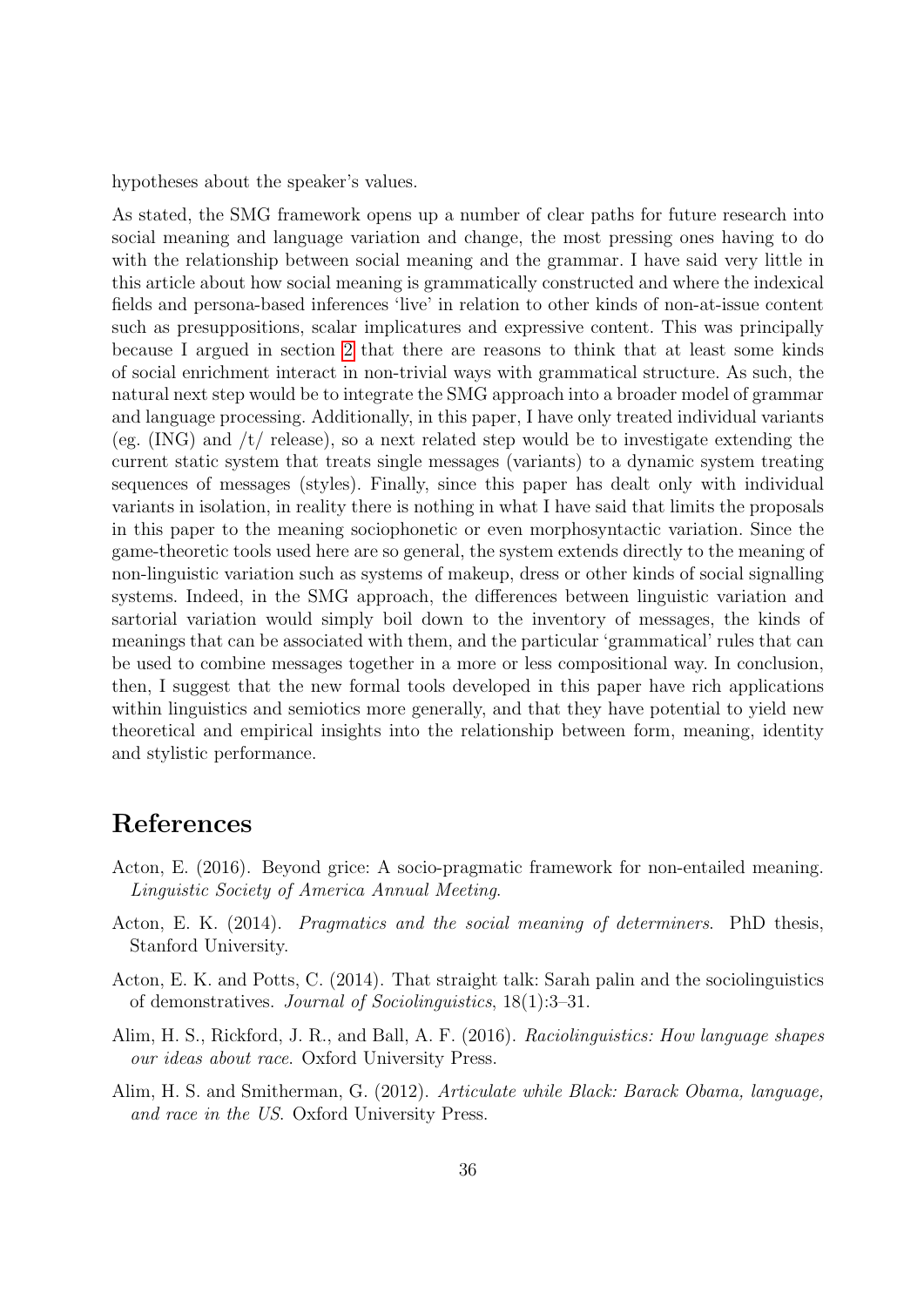hypotheses about the speaker's values.

As stated, the SMG framework opens up a number of clear paths for future research into social meaning and language variation and change, the most pressing ones having to do with the relationship between social meaning and the grammar. I have said very little in this article about how social meaning is grammatically constructed and where the indexical fields and persona-based inferences 'live' in relation to other kinds of non-at-issue content such as presuppositions, scalar implicatures and expressive content. This was principally because I argued in section [2](#page-3-0) that there are reasons to think that at least some kinds of social enrichment interact in non-trivial ways with grammatical structure. As such, the natural next step would be to integrate the SMG approach into a broader model of grammar and language processing. Additionally, in this paper, I have only treated individual variants (eg.  $(ING)$ ) and  $/t/$  release), so a next related step would be to investigate extending the current static system that treats single messages (variants) to a dynamic system treating sequences of messages (styles). Finally, since this paper has dealt only with individual variants in isolation, in reality there is nothing in what I have said that limits the proposals in this paper to the meaning sociophonetic or even morphosyntactic variation. Since the game-theoretic tools used here are so general, the system extends directly to the meaning of non-linguistic variation such as systems of makeup, dress or other kinds of social signalling systems. Indeed, in the SMG approach, the differences between linguistic variation and sartorial variation would simply boil down to the inventory of messages, the kinds of meanings that can be associated with them, and the particular 'grammatical' rules that can be used to combine messages together in a more or less compositional way. In conclusion, then, I suggest that the new formal tools developed in this paper have rich applications within linguistics and semiotics more generally, and that they have potential to yield new theoretical and empirical insights into the relationship between form, meaning, identity and stylistic performance.

# References

- <span id="page-35-2"></span>Acton, E. (2016). Beyond grice: A socio-pragmatic framework for non-entailed meaning. Linguistic Society of America Annual Meeting.
- <span id="page-35-0"></span>Acton, E. K. (2014). Pragmatics and the social meaning of determiners. PhD thesis, Stanford University.
- <span id="page-35-1"></span>Acton, E. K. and Potts, C. (2014). That straight talk: Sarah palin and the sociolinguistics of demonstratives. Journal of Sociolinguistics, 18(1):3–31.
- <span id="page-35-3"></span>Alim, H. S., Rickford, J. R., and Ball, A. F. (2016). Raciolinguistics: How language shapes our ideas about race. Oxford University Press.
- <span id="page-35-4"></span>Alim, H. S. and Smitherman, G. (2012). Articulate while Black: Barack Obama, language, and race in the US. Oxford University Press.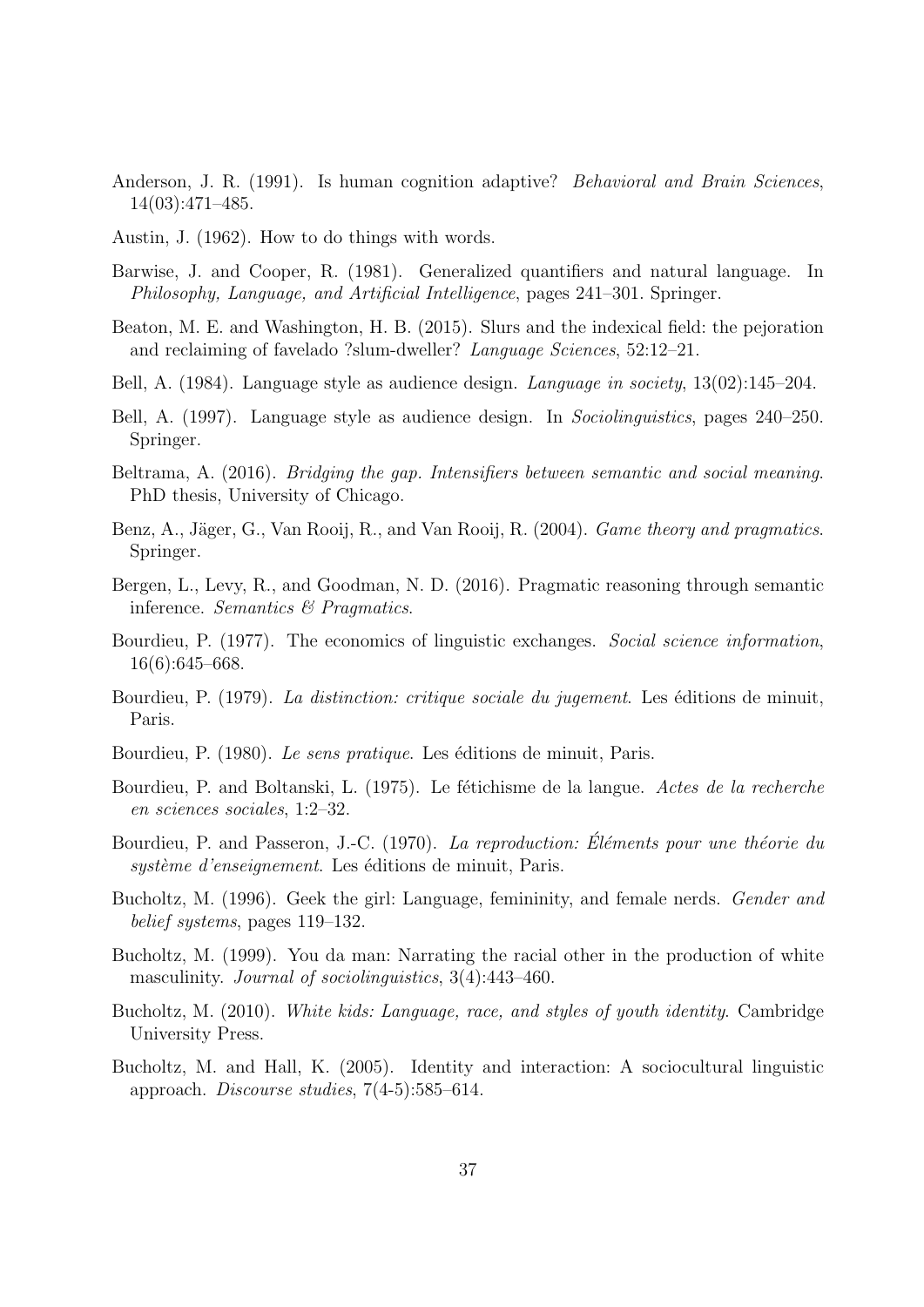- <span id="page-36-4"></span>Anderson, J. R. (1991). Is human cognition adaptive? *Behavioral and Brain Sciences*, 14(03):471–485.
- <span id="page-36-16"></span>Austin, J. (1962). How to do things with words.
- <span id="page-36-14"></span>Barwise, J. and Cooper, R. (1981). Generalized quantifiers and natural language. In Philosophy, Language, and Artificial Intelligence, pages 241–301. Springer.
- <span id="page-36-13"></span>Beaton, M. E. and Washington, H. B. (2015). Slurs and the indexical field: the pejoration and reclaiming of favelado ?slum-dweller? Language Sciences, 52:12–21.
- <span id="page-36-5"></span>Bell, A. (1984). Language style as audience design. Language in society, 13(02):145–204.
- Bell, A. (1997). Language style as audience design. In Sociolinguistics, pages 240–250. Springer.
- <span id="page-36-2"></span>Beltrama, A. (2016). Bridging the gap. Intensifiers between semantic and social meaning. PhD thesis, University of Chicago.
- <span id="page-36-1"></span>Benz, A., Jäger, G., Van Rooij, R., and Van Rooij, R. (2004). *Game theory and pragmatics*. Springer.
- <span id="page-36-9"></span>Bergen, L., Levy, R., and Goodman, N. D. (2016). Pragmatic reasoning through semantic inference. Semantics & Pragmatics.
- <span id="page-36-0"></span>Bourdieu, P. (1977). The economics of linguistic exchanges. Social science information, 16(6):645–668.
- <span id="page-36-7"></span>Bourdieu, P. (1979). La distinction: critique sociale du jugement. Les éditions de minuit, Paris.
- <span id="page-36-8"></span>Bourdieu, P. (1980). Le sens pratique. Les éditions de minuit, Paris.
- <span id="page-36-10"></span>Bourdieu, P. and Boltanski, L. (1975). Le fétichisme de la langue. Actes de la recherche en sciences sociales, 1:2–32.
- <span id="page-36-6"></span>Bourdieu, P. and Passeron, J.-C. (1970). La reproduction: Éléments pour une théorie du système d'enseignement. Les éditions de minuit, Paris.
- <span id="page-36-3"></span>Bucholtz, M. (1996). Geek the girl: Language, femininity, and female nerds. *Gender and* belief systems, pages 119–132.
- <span id="page-36-11"></span>Bucholtz, M. (1999). You da man: Narrating the racial other in the production of white masculinity. *Journal of sociolinguistics*, 3(4):443-460.
- <span id="page-36-12"></span>Bucholtz, M. (2010). White kids: Language, race, and styles of youth identity. Cambridge University Press.
- <span id="page-36-15"></span>Bucholtz, M. and Hall, K. (2005). Identity and interaction: A sociocultural linguistic approach. Discourse studies, 7(4-5):585–614.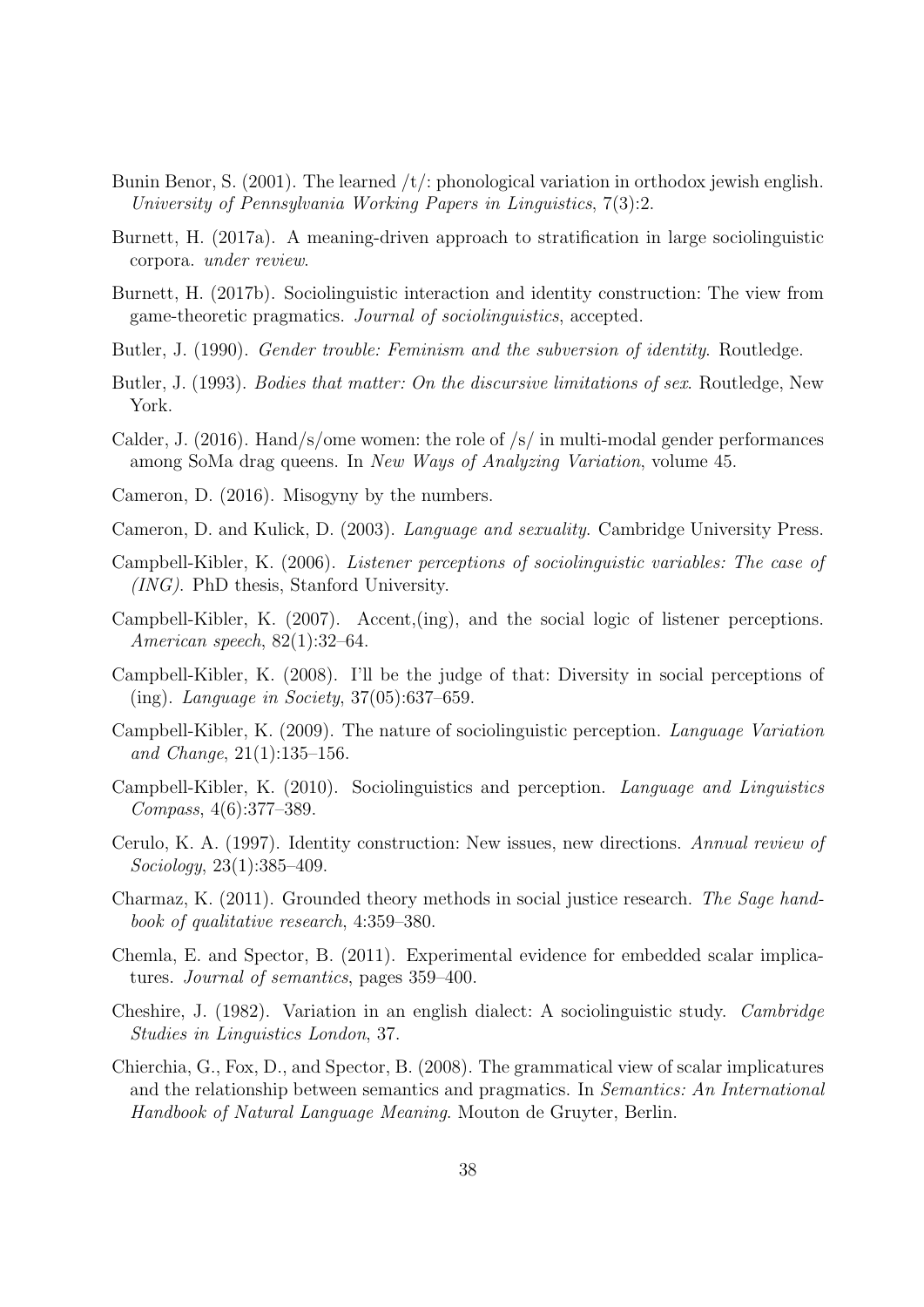- <span id="page-37-3"></span>Bunin Benor, S. (2001). The learned  $/t$ : phonological variation in orthodox jewish english. University of Pennsylvania Working Papers in Linguistics, 7(3):2.
- <span id="page-37-16"></span>Burnett, H. (2017a). A meaning-driven approach to stratification in large sociolinguistic corpora. under review.
- <span id="page-37-14"></span>Burnett, H. (2017b). Sociolinguistic interaction and identity construction: The view from game-theoretic pragmatics. Journal of sociolinguistics, accepted.
- <span id="page-37-12"></span>Butler, J. (1990). *Gender trouble: Feminism and the subversion of identity*. Routledge.
- <span id="page-37-13"></span>Butler, J. (1993). Bodies that matter: On the discursive limitations of sex. Routledge, New York.
- <span id="page-37-7"></span>Calder, J. (2016). Hand/s/ome women: the role of  $/s/$  in multi-modal gender performances among SoMa drag queens. In New Ways of Analyzing Variation, volume 45.
- <span id="page-37-10"></span>Cameron, D. (2016). Misogyny by the numbers.
- <span id="page-37-15"></span>Cameron, D. and Kulick, D. (2003). Language and sexuality. Cambridge University Press.
- <span id="page-37-0"></span>Campbell-Kibler, K. (2006). Listener perceptions of sociolinguistic variables: The case of (ING). PhD thesis, Stanford University.
- <span id="page-37-1"></span>Campbell-Kibler, K. (2007). Accent,(ing), and the social logic of listener perceptions. American speech, 82(1):32–64.
- <span id="page-37-2"></span>Campbell-Kibler, K. (2008). I'll be the judge of that: Diversity in social perceptions of (ing). Language in Society, 37(05):637–659.
- <span id="page-37-11"></span>Campbell-Kibler, K. (2009). The nature of sociolinguistic perception. Language Variation and Change, 21(1):135–156.
- <span id="page-37-17"></span>Campbell-Kibler, K. (2010). Sociolinguistics and perception. Language and Linguistics Compass, 4(6):377–389.
- <span id="page-37-8"></span>Cerulo, K. A. (1997). Identity construction: New issues, new directions. Annual review of Sociology, 23(1):385–409.
- <span id="page-37-9"></span>Charmaz, K. (2011). Grounded theory methods in social justice research. The Sage handbook of qualitative research, 4:359–380.
- <span id="page-37-5"></span>Chemla, E. and Spector, B. (2011). Experimental evidence for embedded scalar implicatures. Journal of semantics, pages 359–400.
- <span id="page-37-6"></span>Cheshire, J. (1982). Variation in an english dialect: A sociolinguistic study. Cambridge Studies in Linguistics London, 37.
- <span id="page-37-4"></span>Chierchia, G., Fox, D., and Spector, B. (2008). The grammatical view of scalar implicatures and the relationship between semantics and pragmatics. In Semantics: An International Handbook of Natural Language Meaning. Mouton de Gruyter, Berlin.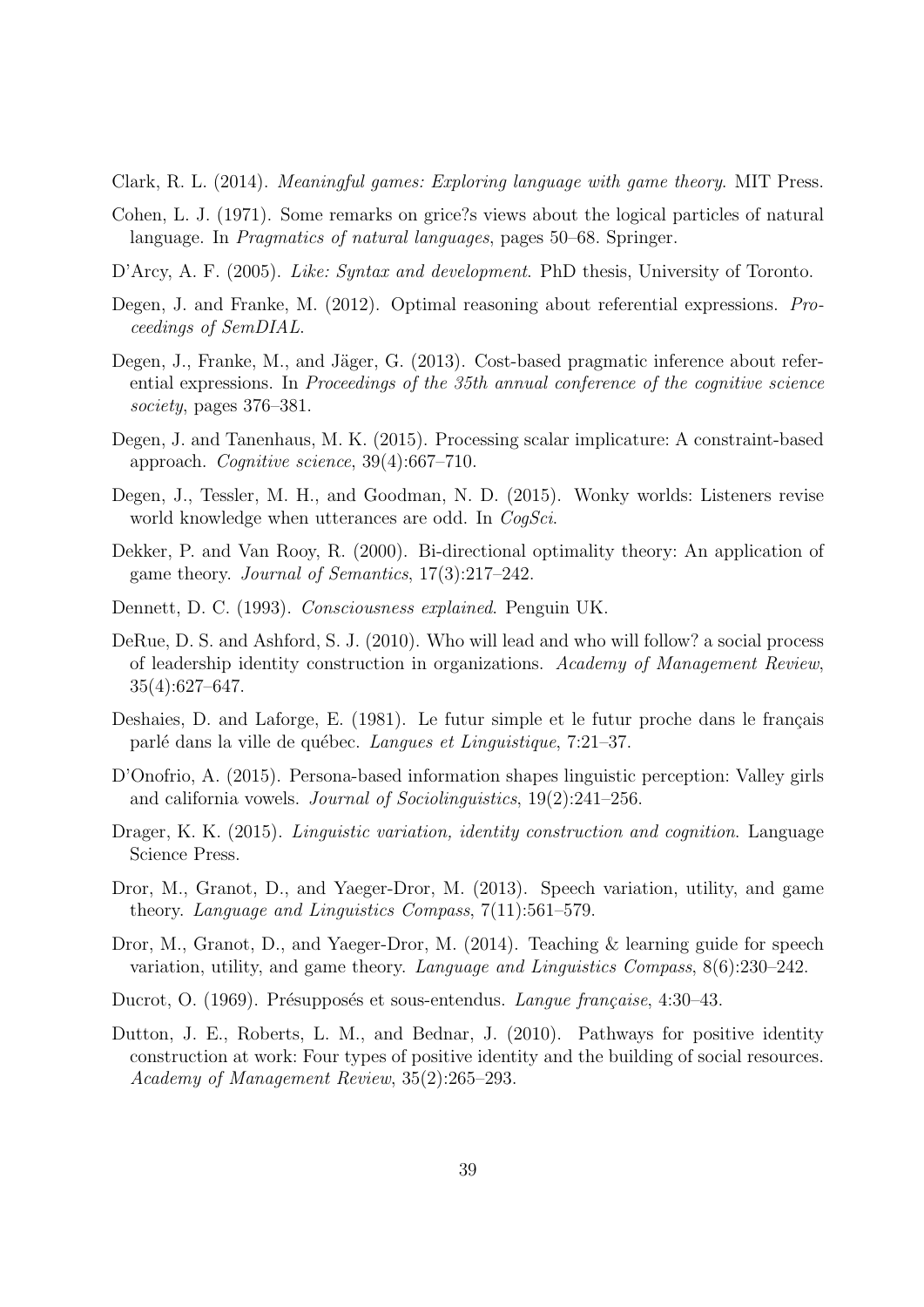<span id="page-38-2"></span>Clark, R. L. (2014). Meaningful games: Exploring language with game theory. MIT Press.

- <span id="page-38-6"></span>Cohen, L. J. (1971). Some remarks on grice?s views about the logical particles of natural language. In *Pragmatics of natural languages*, pages 50–68. Springer.
- <span id="page-38-3"></span>D'Arcy, A. F. (2005). Like: Syntax and development. PhD thesis, University of Toronto.
- <span id="page-38-9"></span>Degen, J. and Franke, M. (2012). Optimal reasoning about referential expressions. Proceedings of SemDIAL.
- <span id="page-38-15"></span>Degen, J., Franke, M., and Jäger, G. (2013). Cost-based pragmatic inference about referential expressions. In Proceedings of the 35th annual conference of the cognitive science society, pages 376–381.
- <span id="page-38-10"></span>Degen, J. and Tanenhaus, M. K. (2015). Processing scalar implicature: A constraint-based approach. Cognitive science, 39(4):667–710.
- <span id="page-38-16"></span>Degen, J., Tessler, M. H., and Goodman, N. D. (2015). Wonky worlds: Listeners revise world knowledge when utterances are odd. In *CogSci*.
- <span id="page-38-12"></span>Dekker, P. and Van Rooy, R. (2000). Bi-directional optimality theory: An application of game theory. Journal of Semantics, 17(3):217–242.
- <span id="page-38-11"></span>Dennett, D. C. (1993). Consciousness explained. Penguin UK.
- <span id="page-38-7"></span>DeRue, D. S. and Ashford, S. J. (2010). Who will lead and who will follow? a social process of leadership identity construction in organizations. Academy of Management Review, 35(4):627–647.
- <span id="page-38-4"></span>Deshaies, D. and Laforge, E. (1981). Le futur simple et le futur proche dans le français parlé dans la ville de québec. Langues et Linguistique, 7:21–37.
- <span id="page-38-14"></span>D'Onofrio, A. (2015). Persona-based information shapes linguistic perception: Valley girls and california vowels. Journal of Sociolinguistics, 19(2):241–256.
- <span id="page-38-13"></span>Drager, K. K. (2015). *Linguistic variation, identity construction and cognition*. Language Science Press.
- <span id="page-38-0"></span>Dror, M., Granot, D., and Yaeger-Dror, M. (2013). Speech variation, utility, and game theory. Language and Linguistics Compass, 7(11):561–579.
- <span id="page-38-1"></span>Dror, M., Granot, D., and Yaeger-Dror, M. (2014). Teaching & learning guide for speech variation, utility, and game theory. Language and Linguistics Compass, 8(6):230–242.
- <span id="page-38-5"></span>Ducrot, O. (1969). Présupposés et sous-entendus. Langue française, 4:30–43.
- <span id="page-38-8"></span>Dutton, J. E., Roberts, L. M., and Bednar, J. (2010). Pathways for positive identity construction at work: Four types of positive identity and the building of social resources. Academy of Management Review, 35(2):265–293.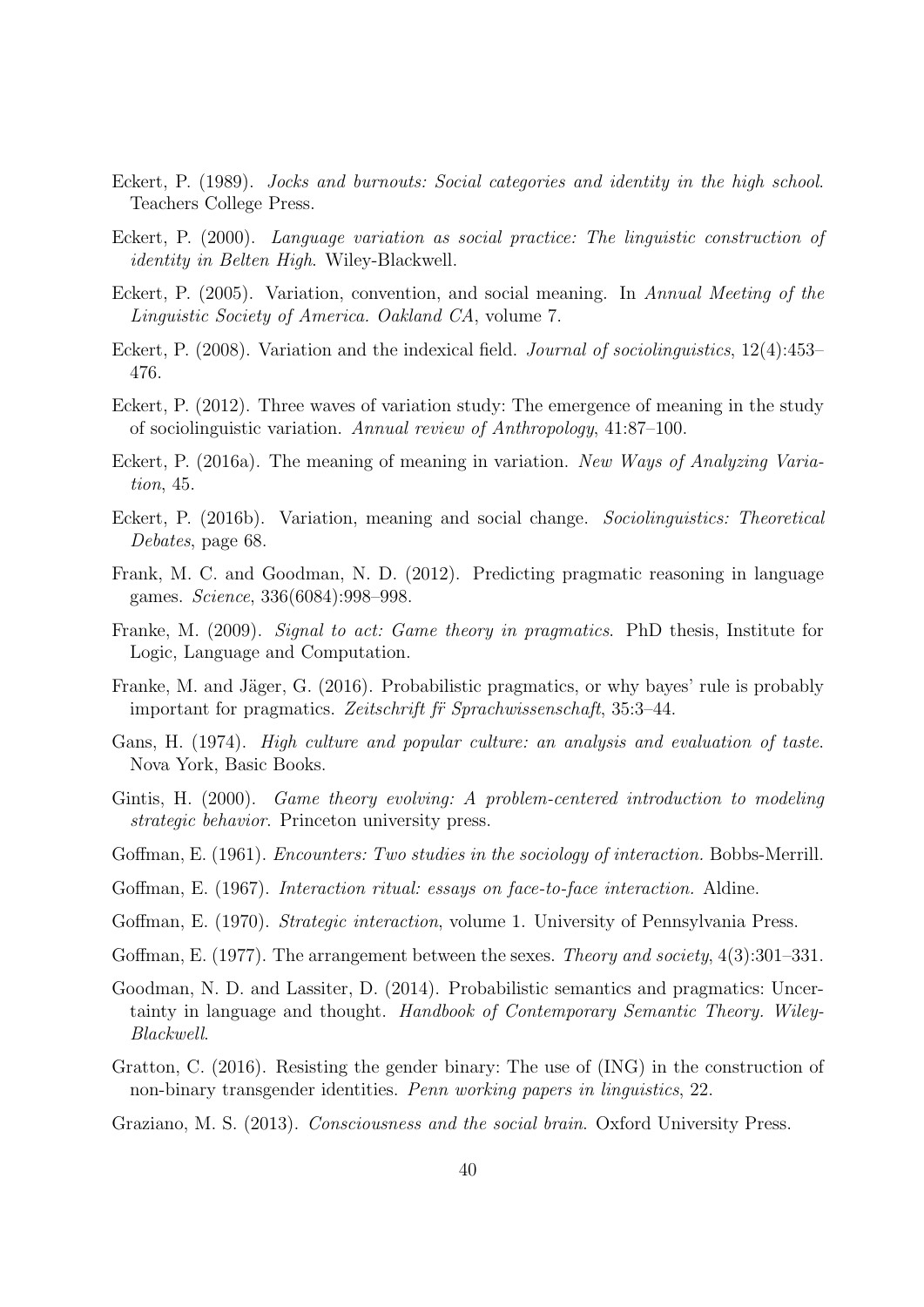- <span id="page-39-9"></span>Eckert, P. (1989). Jocks and burnouts: Social categories and identity in the high school. Teachers College Press.
- <span id="page-39-10"></span>Eckert, P. (2000). Language variation as social practice: The linguistic construction of identity in Belten High. Wiley-Blackwell.
- <span id="page-39-7"></span>Eckert, P. (2005). Variation, convention, and social meaning. In Annual Meeting of the Linguistic Society of America. Oakland CA, volume 7.
- <span id="page-39-6"></span>Eckert, P. (2008). Variation and the indexical field. Journal of sociolinguistics, 12(4):453– 476.
- <span id="page-39-3"></span>Eckert, P. (2012). Three waves of variation study: The emergence of meaning in the study of sociolinguistic variation. Annual review of Anthropology, 41:87–100.
- <span id="page-39-15"></span>Eckert, P. (2016a). The meaning of meaning in variation. New Ways of Analyzing Variation, 45.
- <span id="page-39-16"></span>Eckert, P. (2016b). Variation, meaning and social change. Sociolinguistics: Theoretical Debates, page 68.
- <span id="page-39-12"></span>Frank, M. C. and Goodman, N. D. (2012). Predicting pragmatic reasoning in language games. Science, 336(6084):998–998.
- <span id="page-39-11"></span>Franke, M. (2009). Signal to act: Game theory in pragmatics. PhD thesis, Institute for Logic, Language and Computation.
- <span id="page-39-5"></span>Franke, M. and Jäger, G. (2016). Probabilistic pragmatics, or why bayes' rule is probably important for pragmatics. Zeitschrift fr Sprachwissenschaft, 35:3–44.
- <span id="page-39-17"></span>Gans, H. (1974). High culture and popular culture: an analysis and evaluation of taste. Nova York, Basic Books.
- <span id="page-39-14"></span>Gintis, H. (2000). Game theory evolving: A problem-centered introduction to modeling strategic behavior. Princeton university press.
- <span id="page-39-0"></span>Goffman, E. (1961). Encounters: Two studies in the sociology of interaction. Bobbs-Merrill.
- <span id="page-39-1"></span>Goffman, E. (1967). Interaction ritual: essays on face-to-face interaction. Aldine.
- <span id="page-39-2"></span>Goffman, E. (1970). Strategic interaction, volume 1. University of Pennsylvania Press.
- Goffman, E. (1977). The arrangement between the sexes. *Theory and society*, 4(3):301–331.
- <span id="page-39-4"></span>Goodman, N. D. and Lassiter, D. (2014). Probabilistic semantics and pragmatics: Uncertainty in language and thought. Handbook of Contemporary Semantic Theory. Wiley-Blackwell.
- <span id="page-39-8"></span>Gratton, C. (2016). Resisting the gender binary: The use of (ING) in the construction of non-binary transgender identities. Penn working papers in linguistics, 22.
- <span id="page-39-13"></span>Graziano, M. S. (2013). Consciousness and the social brain. Oxford University Press.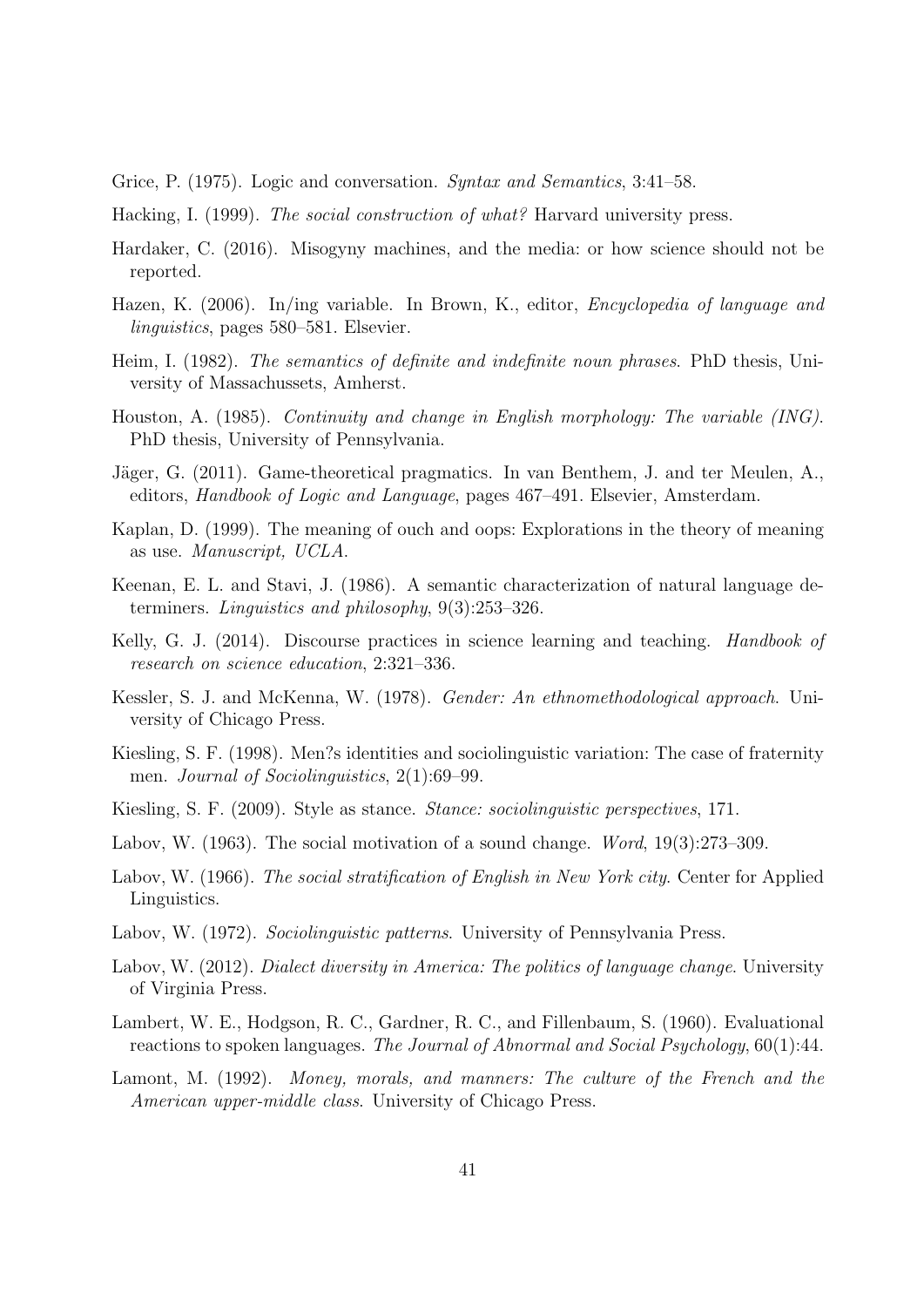<span id="page-40-5"></span>Grice, P. (1975). Logic and conversation. Syntax and Semantics, 3:41–58.

- <span id="page-40-12"></span>Hacking, I. (1999). The social construction of what? Harvard university press.
- <span id="page-40-14"></span>Hardaker, C. (2016). Misogyny machines, and the media: or how science should not be reported.
- <span id="page-40-10"></span>Hazen, K. (2006). In/ing variable. In Brown, K., editor, Encyclopedia of language and linguistics, pages 580–581. Elsevier.
- <span id="page-40-15"></span>Heim, I. (1982). The semantics of definite and indefinite noun phrases. PhD thesis, University of Massachussets, Amherst.
- <span id="page-40-6"></span>Houston, A. (1985). Continuity and change in English morphology: The variable (ING). PhD thesis, University of Pennsylvania.
- <span id="page-40-2"></span>Jäger, G. (2011). Game-theoretical pragmatics. In van Benthem, J. and ter Meulen, A., editors, Handbook of Logic and Language, pages 467–491. Elsevier, Amsterdam.
- <span id="page-40-4"></span>Kaplan, D. (1999). The meaning of ouch and oops: Explorations in the theory of meaning as use. Manuscript, UCLA.
- <span id="page-40-16"></span>Keenan, E. L. and Stavi, J. (1986). A semantic characterization of natural language determiners. Linguistics and philosophy, 9(3):253–326.
- <span id="page-40-13"></span>Kelly, G. J. (2014). Discourse practices in science learning and teaching. *Handbook of* research on science education, 2:321–336.
- Kessler, S. J. and McKenna, W. (1978). Gender: An ethnomethodological approach. University of Chicago Press.
- <span id="page-40-8"></span>Kiesling, S. F. (1998). Men?s identities and sociolinguistic variation: The case of fraternity men. Journal of Sociolinguistics, 2(1):69–99.
- <span id="page-40-9"></span>Kiesling, S. F. (2009). Style as stance. Stance: sociolinguistic perspectives, 171.
- <span id="page-40-0"></span>Labov, W. (1963). The social motivation of a sound change. *Word*, 19(3):273–309.
- <span id="page-40-1"></span>Labov, W. (1966). The social stratification of English in New York city. Center for Applied Linguistics.
- <span id="page-40-11"></span>Labov, W. (1972). Sociolinguistic patterns. University of Pennsylvania Press.
- <span id="page-40-7"></span>Labov, W. (2012). Dialect diversity in America: The politics of language change. University of Virginia Press.
- <span id="page-40-3"></span>Lambert, W. E., Hodgson, R. C., Gardner, R. C., and Fillenbaum, S. (1960). Evaluational reactions to spoken languages. The Journal of Abnormal and Social Psychology, 60(1):44.
- <span id="page-40-17"></span>Lamont, M. (1992). Money, morals, and manners: The culture of the French and the American upper-middle class. University of Chicago Press.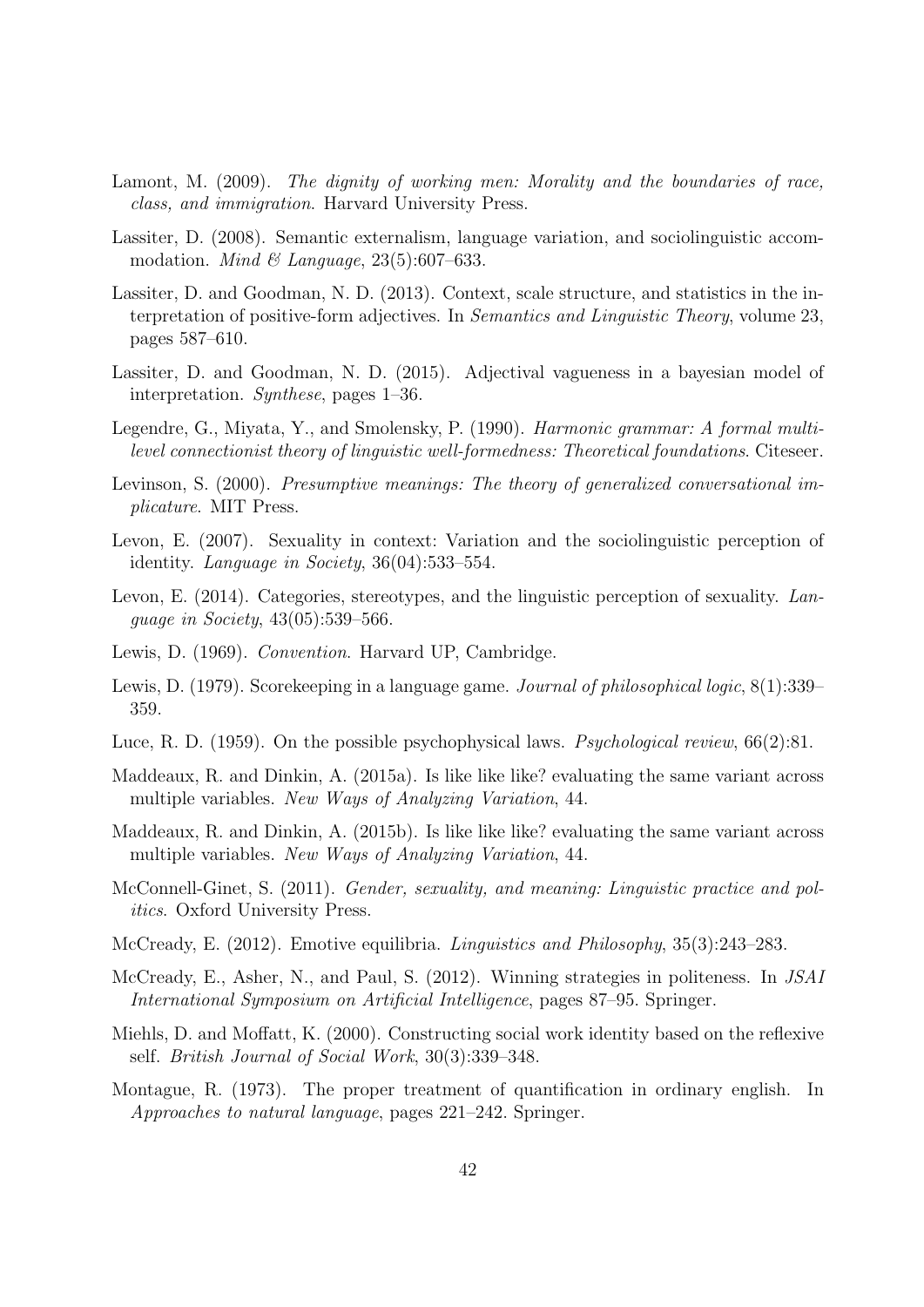- <span id="page-41-9"></span>Lamont, M. (2009). The dignity of working men: Morality and the boundaries of race, class, and immigration. Harvard University Press.
- <span id="page-41-3"></span>Lassiter, D. (2008). Semantic externalism, language variation, and sociolinguistic accommodation. *Mind & Language*,  $23(5):607-633$ .
- <span id="page-41-11"></span>Lassiter, D. and Goodman, N. D. (2013). Context, scale structure, and statistics in the interpretation of positive-form adjectives. In Semantics and Linguistic Theory, volume 23, pages 587–610.
- <span id="page-41-15"></span>Lassiter, D. and Goodman, N. D. (2015). Adjectival vagueness in a bayesian model of interpretation. Synthese, pages 1–36.
- <span id="page-41-12"></span>Legendre, G., Miyata, Y., and Smolensky, P. (1990). Harmonic grammar: A formal multilevel connectionist theory of linguistic well-formedness: Theoretical foundations. Citeseer.
- <span id="page-41-7"></span>Levinson, S. (2000). Presumptive meanings: The theory of generalized conversational implicature. MIT Press.
- <span id="page-41-16"></span>Levon, E. (2007). Sexuality in context: Variation and the sociolinguistic perception of identity. Language in Society, 36(04):533–554.
- <span id="page-41-17"></span>Levon, E. (2014). Categories, stereotypes, and the linguistic perception of sexuality. Language in Society, 43(05):539–566.
- <span id="page-41-0"></span>Lewis, D. (1969). Convention. Harvard UP, Cambridge.
- <span id="page-41-10"></span>Lewis, D. (1979). Scorekeeping in a language game. *Journal of philosophical logic*,  $8(1):339-$ 359.
- <span id="page-41-14"></span>Luce, R. D. (1959). On the possible psychophysical laws. Psychological review, 66(2):81.
- <span id="page-41-4"></span>Maddeaux, R. and Dinkin, A. (2015a). Is like like like? evaluating the same variant across multiple variables. New Ways of Analyzing Variation, 44.
- <span id="page-41-6"></span>Maddeaux, R. and Dinkin, A. (2015b). Is like like like? evaluating the same variant across multiple variables. New Ways of Analyzing Variation, 44.
- <span id="page-41-5"></span>McConnell-Ginet, S. (2011). Gender, sexuality, and meaning: Linguistic practice and politics. Oxford University Press.
- <span id="page-41-1"></span>McCready, E. (2012). Emotive equilibria. Linguistics and Philosophy, 35(3):243–283.
- <span id="page-41-2"></span>McCready, E., Asher, N., and Paul, S. (2012). Winning strategies in politeness. In JSAI International Symposium on Artificial Intelligence, pages 87–95. Springer.
- <span id="page-41-8"></span>Miehls, D. and Moffatt, K. (2000). Constructing social work identity based on the reflexive self. British Journal of Social Work, 30(3):339–348.
- <span id="page-41-13"></span>Montague, R. (1973). The proper treatment of quantification in ordinary english. In Approaches to natural language, pages 221–242. Springer.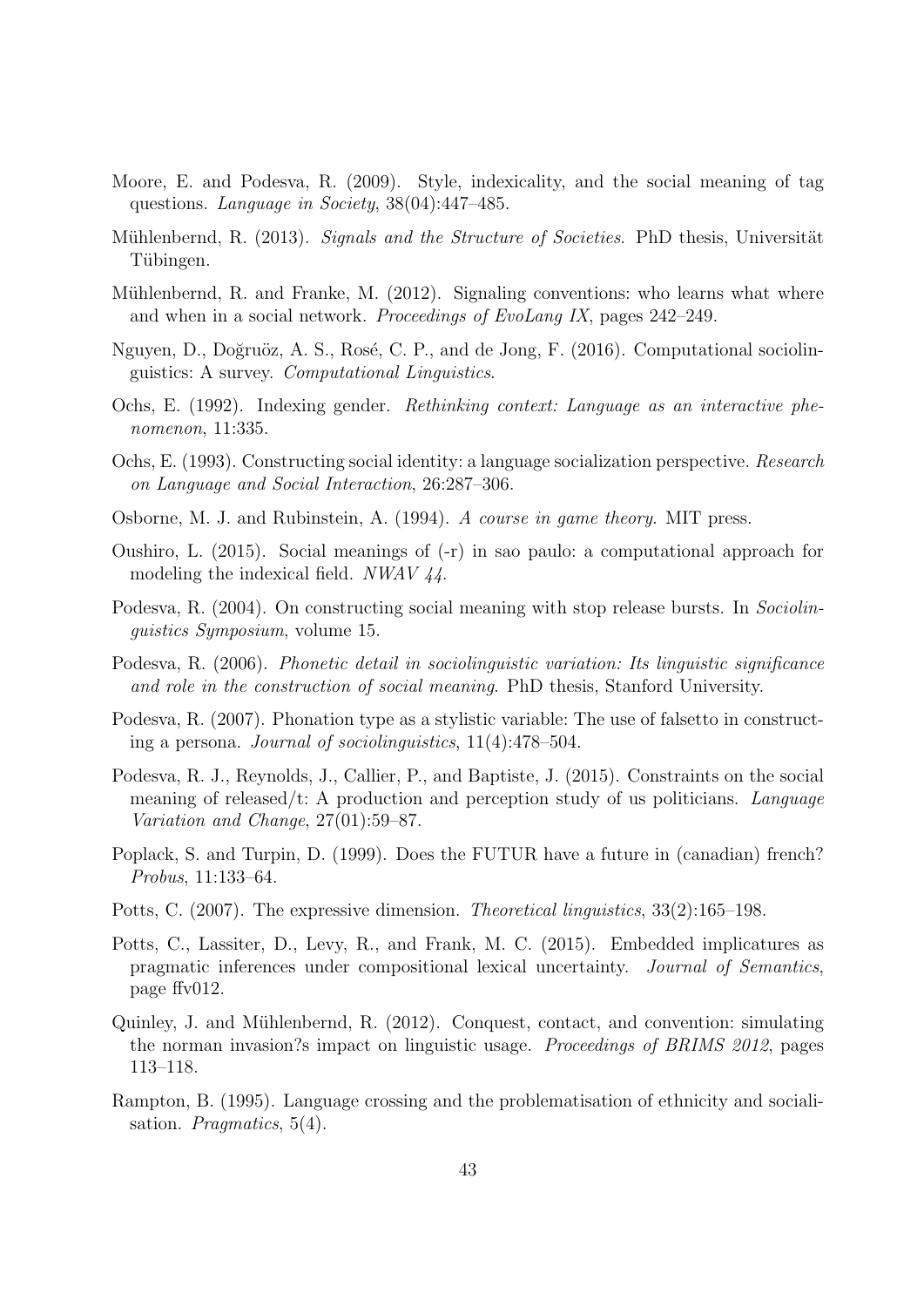- <span id="page-42-16"></span>Moore, E. and Podesva, R. (2009). Style, indexicality, and the social meaning of tag questions. Language in Society, 38(04):447–485.
- <span id="page-42-1"></span>Mühlenbernd, R. (2013). Signals and the Structure of Societies. PhD thesis, Universität Tübingen.
- <span id="page-42-0"></span>Mühlenbernd, R. and Franke, M. (2012). Signaling conventions: who learns what where and when in a social network. Proceedings of EvoLang IX, pages 242–249.
- <span id="page-42-13"></span>Nguyen, D., Doğruöz, A. S., Rosé, C. P., and de Jong, F. (2016). Computational sociolinguistics: A survey. Computational Linguistics.
- <span id="page-42-11"></span>Ochs, E. (1992). Indexing gender. Rethinking context: Language as an interactive phenomenon, 11:335.
- <span id="page-42-12"></span>Ochs, E. (1993). Constructing social identity: a language socialization perspective. Research on Language and Social Interaction, 26:287–306.
- <span id="page-42-3"></span>Osborne, M. J. and Rubinstein, A. (1994). A course in game theory. MIT press.
- <span id="page-42-15"></span>Oushiro, L. (2015). Social meanings of (-r) in sao paulo: a computational approach for modeling the indexical field. NWAV 44.
- <span id="page-42-9"></span>Podesva, R. (2004). On constructing social meaning with stop release bursts. In Sociolinguistics Symposium, volume 15.
- <span id="page-42-5"></span>Podesva, R. (2006). Phonetic detail in sociolinguistic variation: Its linguistic significance and role in the construction of social meaning. PhD thesis, Stanford University.
- <span id="page-42-10"></span>Podesva, R. (2007). Phonation type as a stylistic variable: The use of falsetto in constructing a persona. Journal of sociolinguistics, 11(4):478–504.
- <span id="page-42-4"></span>Podesva, R. J., Reynolds, J., Callier, P., and Baptiste, J. (2015). Constraints on the social meaning of released/t: A production and perception study of us politicians. Language Variation and Change, 27(01):59–87.
- <span id="page-42-7"></span>Poplack, S. and Turpin, D. (1999). Does the FUTUR have a future in (canadian) french? Probus, 11:133–64.
- <span id="page-42-6"></span>Potts, C. (2007). The expressive dimension. Theoretical linguistics, 33(2):165–198.
- <span id="page-42-8"></span>Potts, C., Lassiter, D., Levy, R., and Frank, M. C. (2015). Embedded implicatures as pragmatic inferences under compositional lexical uncertainty. Journal of Semantics, page ffv012.
- <span id="page-42-2"></span>Quinley, J. and Mühlenbernd, R.  $(2012)$ . Conquest, contact, and convention: simulating the norman invasion?s impact on linguistic usage. Proceedings of BRIMS 2012, pages 113–118.
- <span id="page-42-14"></span>Rampton, B. (1995). Language crossing and the problematisation of ethnicity and socialisation. *Pragmatics*, 5(4).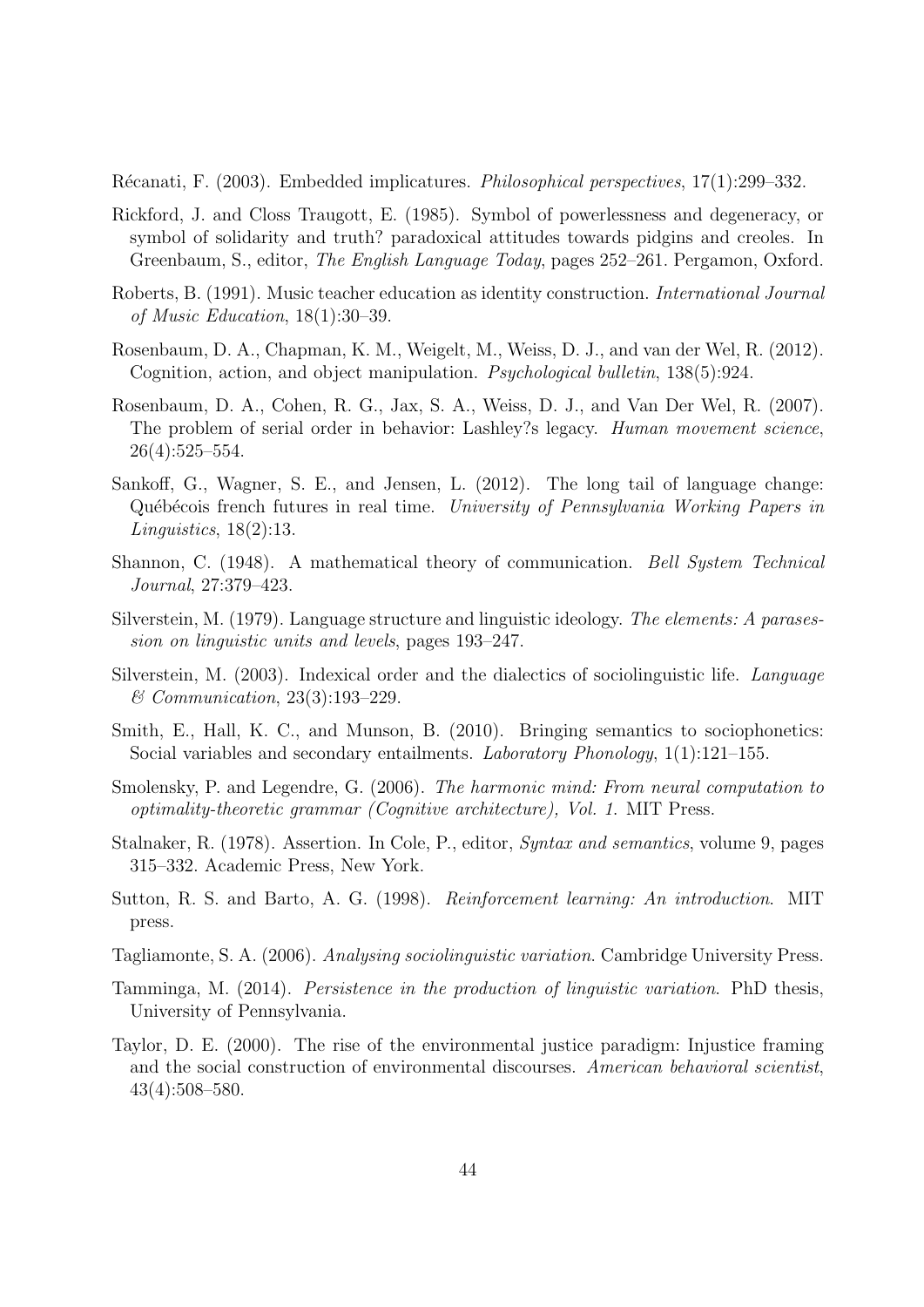<span id="page-43-4"></span>R´ecanati, F. (2003). Embedded implicatures. Philosophical perspectives, 17(1):299–332.

- <span id="page-43-1"></span>Rickford, J. and Closs Traugott, E. (1985). Symbol of powerlessness and degeneracy, or symbol of solidarity and truth? paradoxical attitudes towards pidgins and creoles. In Greenbaum, S., editor, The English Language Today, pages 252–261. Pergamon, Oxford.
- <span id="page-43-7"></span>Roberts, B. (1991). Music teacher education as identity construction. International Journal of Music Education, 18(1):30–39.
- <span id="page-43-11"></span>Rosenbaum, D. A., Chapman, K. M., Weigelt, M., Weiss, D. J., and van der Wel, R. (2012). Cognition, action, and object manipulation. Psychological bulletin, 138(5):924.
- <span id="page-43-10"></span>Rosenbaum, D. A., Cohen, R. G., Jax, S. A., Weiss, D. J., and Van Der Wel, R. (2007). The problem of serial order in behavior: Lashley?s legacy. Human movement science, 26(4):525–554.
- <span id="page-43-3"></span>Sankoff, G., Wagner, S. E., and Jensen, L. (2012). The long tail of language change: Québécois french futures in real time. University of Pennsylvania Working Papers in Linguistics, 18(2):13.
- <span id="page-43-13"></span>Shannon, C. (1948). A mathematical theory of communication. Bell System Technical Journal, 27:379–423.
- <span id="page-43-5"></span>Silverstein, M. (1979). Language structure and linguistic ideology. The elements: A parasession on linguistic units and levels, pages 193–247.
- <span id="page-43-6"></span>Silverstein, M. (2003). Indexical order and the dialectics of sociolinguistic life. Language & Communication, 23(3):193–229.
- <span id="page-43-0"></span>Smith, E., Hall, K. C., and Munson, B. (2010). Bringing semantics to sociophonetics: Social variables and secondary entailments. Laboratory Phonology, 1(1):121–155.
- <span id="page-43-12"></span>Smolensky, P. and Legendre, G. (2006). The harmonic mind: From neural computation to optimality-theoretic grammar (Cognitive architecture), Vol. 1. MIT Press.
- <span id="page-43-9"></span>Stalnaker, R. (1978). Assertion. In Cole, P., editor, Syntax and semantics, volume 9, pages 315–332. Academic Press, New York.
- <span id="page-43-14"></span>Sutton, R. S. and Barto, A. G. (1998). Reinforcement learning: An introduction. MIT press.
- <span id="page-43-15"></span>Tagliamonte, S. A. (2006). Analysing sociolinguistic variation. Cambridge University Press.
- <span id="page-43-2"></span>Tamminga, M. (2014). Persistence in the production of linguistic variation. PhD thesis, University of Pennsylvania.
- <span id="page-43-8"></span>Taylor, D. E. (2000). The rise of the environmental justice paradigm: Injustice framing and the social construction of environmental discourses. American behavioral scientist, 43(4):508–580.